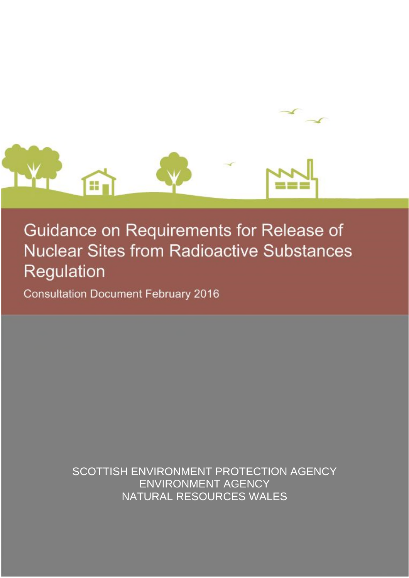

# Guidance on Requirements for Release of **Nuclear Sites from Radioactive Substances** Regulation

**Consultation Document February 2016** 

SCOTTISH ENVIRONMENT PROTECTION AGENCY ENVIRONMENT AGENCY NATURAL RESOURCES WALES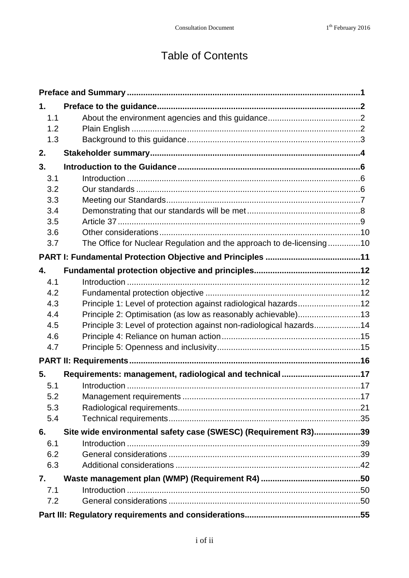## Table of Contents

| 1.  |                                                                      |  |
|-----|----------------------------------------------------------------------|--|
| 1.1 |                                                                      |  |
| 1.2 |                                                                      |  |
| 1.3 |                                                                      |  |
| 2.  |                                                                      |  |
| 3.  |                                                                      |  |
| 3.1 |                                                                      |  |
| 3.2 |                                                                      |  |
| 3.3 |                                                                      |  |
| 3.4 |                                                                      |  |
| 3.5 |                                                                      |  |
| 3.6 |                                                                      |  |
| 3.7 | The Office for Nuclear Regulation and the approach to de-licensing10 |  |
|     |                                                                      |  |
| 4.  |                                                                      |  |
| 4.1 |                                                                      |  |
| 4.2 |                                                                      |  |
| 4.3 | Principle 1: Level of protection against radiological hazards12      |  |
| 4.4 | Principle 2: Optimisation (as low as reasonably achievable)13        |  |
| 4.5 | Principle 3: Level of protection against non-radiological hazards14  |  |
| 4.6 |                                                                      |  |
| 4.7 |                                                                      |  |
|     |                                                                      |  |
| 5.  | Requirements: management, radiological and technical 17              |  |
| 5.1 |                                                                      |  |
| 5.2 |                                                                      |  |
| 5.3 |                                                                      |  |
| 5.4 |                                                                      |  |
| 6.  | Site wide environmental safety case (SWESC) (Requirement R3)39       |  |
| 6.1 |                                                                      |  |
| 6.2 |                                                                      |  |
| 6.3 |                                                                      |  |
| 7.  |                                                                      |  |
| 7.1 |                                                                      |  |
| 7.2 |                                                                      |  |
|     |                                                                      |  |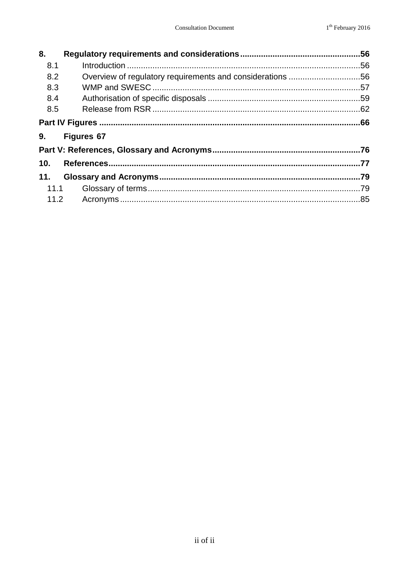| <b>Figures 67</b> |              |  |
|-------------------|--------------|--|
|                   |              |  |
|                   |              |  |
|                   |              |  |
|                   |              |  |
|                   |              |  |
|                   | 11.1<br>11.2 |  |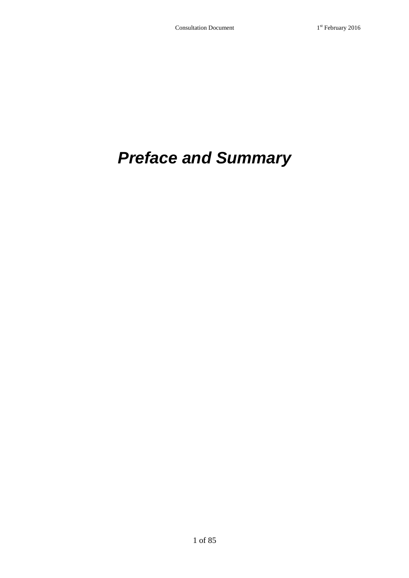## <span id="page-4-0"></span>*Preface and Summary*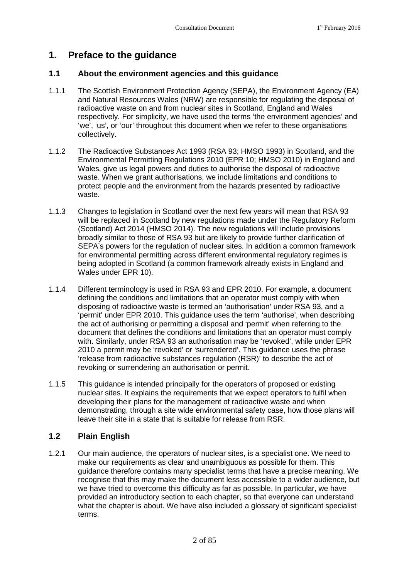### <span id="page-5-0"></span>**1. Preface to the guidance**

#### <span id="page-5-1"></span>**1.1 About the environment agencies and this guidance**

- 1.1.1 The Scottish Environment Protection Agency (SEPA), the Environment Agency (EA) and Natural Resources Wales (NRW) are responsible for regulating the disposal of radioactive waste on and from nuclear sites in Scotland, England and Wales respectively. For simplicity, we have used the terms 'the environment agencies' and 'we', 'us', or 'our' throughout this document when we refer to these organisations collectively.
- 1.1.2 The Radioactive Substances Act 1993 (RSA 93; HMSO 1993) in Scotland, and the Environmental Permitting Regulations 2010 (EPR 10; HMSO 2010) in England and Wales, give us legal powers and duties to authorise the disposal of radioactive waste. When we grant authorisations, we include limitations and conditions to protect people and the environment from the hazards presented by radioactive waste.
- 1.1.3 Changes to legislation in Scotland over the next few years will mean that RSA 93 will be replaced in Scotland by new regulations made under the Regulatory Reform (Scotland) Act 2014 (HMSO 2014). The new regulations will include provisions broadly similar to those of RSA 93 but are likely to provide further clarification of SEPA's powers for the regulation of nuclear sites. In addition a common framework for environmental permitting across different environmental regulatory regimes is being adopted in Scotland (a common framework already exists in England and Wales under EPR 10).
- 1.1.4 Different terminology is used in RSA 93 and EPR 2010. For example, a document defining the conditions and limitations that an operator must comply with when disposing of radioactive waste is termed an 'authorisation' under RSA 93, and a 'permit' under EPR 2010. This guidance uses the term 'authorise', when describing the act of authorising or permitting a disposal and 'permit' when referring to the document that defines the conditions and limitations that an operator must comply with. Similarly, under RSA 93 an authorisation may be 'revoked', while under EPR 2010 a permit may be 'revoked' or 'surrendered'. This guidance uses the phrase 'release from radioactive substances regulation (RSR)' to describe the act of revoking or surrendering an authorisation or permit.
- 1.1.5 This guidance is intended principally for the operators of proposed or existing nuclear sites. It explains the requirements that we expect operators to fulfil when developing their plans for the management of radioactive waste and when demonstrating, through a site wide environmental safety case, how those plans will leave their site in a state that is suitable for release from RSR.

#### <span id="page-5-2"></span>**1.2 Plain English**

1.2.1 Our main audience, the operators of nuclear sites, is a specialist one. We need to make our requirements as clear and unambiguous as possible for them. This guidance therefore contains many specialist terms that have a precise meaning. We recognise that this may make the document less accessible to a wider audience, but we have tried to overcome this difficulty as far as possible. In particular, we have provided an introductory section to each chapter, so that everyone can understand what the chapter is about. We have also included a glossary of significant specialist terms.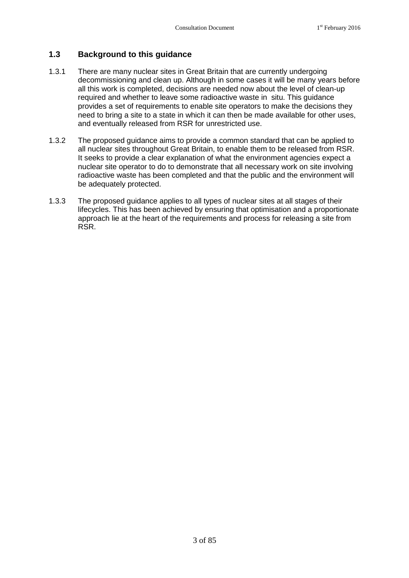#### <span id="page-6-0"></span>**1.3 Background to this guidance**

- 1.3.1 There are many nuclear sites in Great Britain that are currently undergoing decommissioning and clean up. Although in some cases it will be many years before all this work is completed, decisions are needed now about the level of clean-up required and whether to leave some radioactive waste in situ. This guidance provides a set of requirements to enable site operators to make the decisions they need to bring a site to a state in which it can then be made available for other uses, and eventually released from RSR for unrestricted use.
- 1.3.2 The proposed guidance aims to provide a common standard that can be applied to all nuclear sites throughout Great Britain, to enable them to be released from RSR. It seeks to provide a clear explanation of what the environment agencies expect a nuclear site operator to do to demonstrate that all necessary work on site involving radioactive waste has been completed and that the public and the environment will be adequately protected.
- 1.3.3 The proposed guidance applies to all types of nuclear sites at all stages of their lifecycles. This has been achieved by ensuring that optimisation and a proportionate approach lie at the heart of the requirements and process for releasing a site from RSR.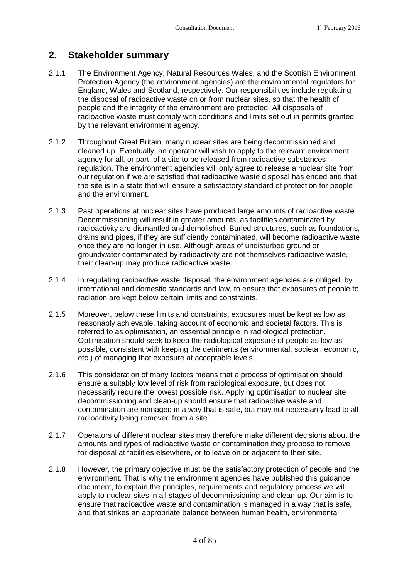### <span id="page-7-0"></span>**2. Stakeholder summary**

- 2.1.1 The Environment Agency, Natural Resources Wales, and the Scottish Environment Protection Agency (the environment agencies) are the environmental regulators for England, Wales and Scotland, respectively. Our responsibilities include regulating the disposal of radioactive waste on or from nuclear sites, so that the health of people and the integrity of the environment are protected. All disposals of radioactive waste must comply with conditions and limits set out in permits granted by the relevant environment agency.
- 2.1.2 Throughout Great Britain, many nuclear sites are being decommissioned and cleaned up. Eventually, an operator will wish to apply to the relevant environment agency for all, or part, of a site to be released from radioactive substances regulation. The environment agencies will only agree to release a nuclear site from our regulation if we are satisfied that radioactive waste disposal has ended and that the site is in a state that will ensure a satisfactory standard of protection for people and the environment.
- 2.1.3 Past operations at nuclear sites have produced large amounts of radioactive waste. Decommissioning will result in greater amounts, as facilities contaminated by radioactivity are dismantled and demolished. Buried structures, such as foundations, drains and pipes, if they are sufficiently contaminated, will become radioactive waste once they are no longer in use. Although areas of undisturbed ground or groundwater contaminated by radioactivity are not themselves radioactive waste, their clean-up may produce radioactive waste.
- 2.1.4 In regulating radioactive waste disposal, the environment agencies are obliged, by international and domestic standards and law, to ensure that exposures of people to radiation are kept below certain limits and constraints.
- 2.1.5 Moreover, below these limits and constraints, exposures must be kept as low as reasonably achievable, taking account of economic and societal factors. This is referred to as optimisation, an essential principle in radiological protection. Optimisation should seek to keep the radiological exposure of people as low as possible, consistent with keeping the detriments (environmental, societal, economic, etc.) of managing that exposure at acceptable levels.
- 2.1.6 This consideration of many factors means that a process of optimisation should ensure a suitably low level of risk from radiological exposure, but does not necessarily require the lowest possible risk. Applying optimisation to nuclear site decommissioning and clean-up should ensure that radioactive waste and contamination are managed in a way that is safe, but may not necessarily lead to all radioactivity being removed from a site.
- 2.1.7 Operators of different nuclear sites may therefore make different decisions about the amounts and types of radioactive waste or contamination they propose to remove for disposal at facilities elsewhere, or to leave on or adjacent to their site.
- 2.1.8 However, the primary objective must be the satisfactory protection of people and the environment. That is why the environment agencies have published this guidance document, to explain the principles, requirements and regulatory process we will apply to nuclear sites in all stages of decommissioning and clean-up. Our aim is to ensure that radioactive waste and contamination is managed in a way that is safe, and that strikes an appropriate balance between human health, environmental,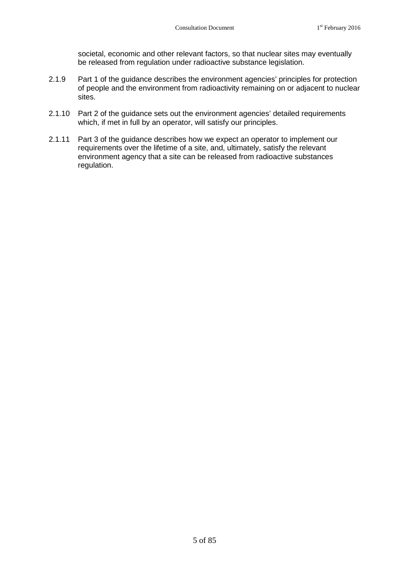societal, economic and other relevant factors, so that nuclear sites may eventually be released from regulation under radioactive substance legislation.

- 2.1.9 Part 1 of the guidance describes the environment agencies' principles for protection of people and the environment from radioactivity remaining on or adjacent to nuclear sites.
- 2.1.10 Part 2 of the guidance sets out the environment agencies' detailed requirements which, if met in full by an operator, will satisfy our principles.
- 2.1.11 Part 3 of the guidance describes how we expect an operator to implement our requirements over the lifetime of a site, and, ultimately, satisfy the relevant environment agency that a site can be released from radioactive substances regulation.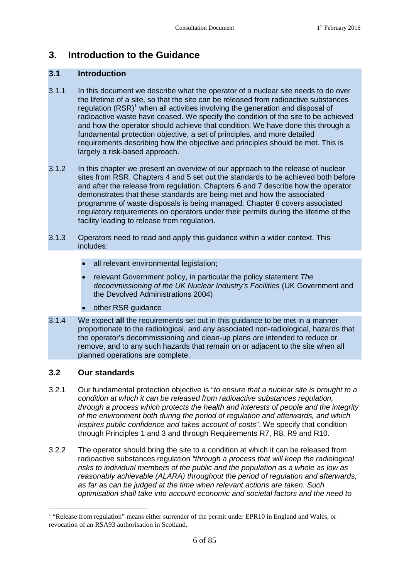### <span id="page-9-0"></span>**3. Introduction to the Guidance**

#### <span id="page-9-1"></span>**3.1 Introduction**

- 3.1.1 In this document we describe what the operator of a nuclear site needs to do over the lifetime of a site, so that the site can be released from radioactive substances regulation  $(RSR)^1$  $(RSR)^1$  when all activities involving the generation and disposal of radioactive waste have ceased. We specify the condition of the site to be achieved and how the operator should achieve that condition. We have done this through a fundamental protection objective, a set of principles, and more detailed requirements describing how the objective and principles should be met. This is largely a risk-based approach.
- 3.1.2 In this chapter we present an overview of our approach to the release of nuclear sites from RSR. Chapters 4 and 5 set out the standards to be achieved both before and after the release from regulation. Chapters 6 and 7 describe how the operator demonstrates that these standards are being met and how the associated programme of waste disposals is being managed. Chapter 8 covers associated regulatory requirements on operators under their permits during the lifetime of the facility leading to release from regulation.
- 3.1.3 Operators need to read and apply this guidance within a wider context. This includes:
	- all relevant environmental legislation;
	- relevant Government policy, in particular the policy statement *The decommissioning of the UK Nuclear Industry's Facilities* (UK Government and the Devolved Administrations 2004)
	- other RSR guidance
- 3.1.4 We expect **all** the requirements set out in this guidance to be met in a manner proportionate to the radiological, and any associated non-radiological, hazards that the operator's decommissioning and clean-up plans are intended to reduce or remove, and to any such hazards that remain on or adjacent to the site when all planned operations are complete.

#### <span id="page-9-2"></span>**3.2 Our standards**

- 3.2.1 Our fundamental protection objective is "*to ensure that a nuclear site is brought to a condition at which it can be released from radioactive substances regulation, through a process which protects the health and interests of people and the integrity of the environment both during the period of regulation and afterwards, and which inspires public confidence and takes account of costs*". We specify that condition through Principles 1 and 3 and through Requirements R7, R8, R9 and R10.
- 3.2.2 The operator should bring the site to a condition at which it can be released from radioactive substances regulation *"through a process that will keep the radiological risks to individual members of the public and the population as a whole as low as reasonably achievable (ALARA) throughout the period of regulation and afterwards, as far as can be judged at the time when relevant actions are taken. Such optimisation shall take into account economic and societal factors and the need to*

<span id="page-9-3"></span><sup>&</sup>lt;sup>1</sup> "Release from regulation" means either surrender of the permit under EPR10 in England and Wales, or revocation of an RSA93 authorisation in Scotland.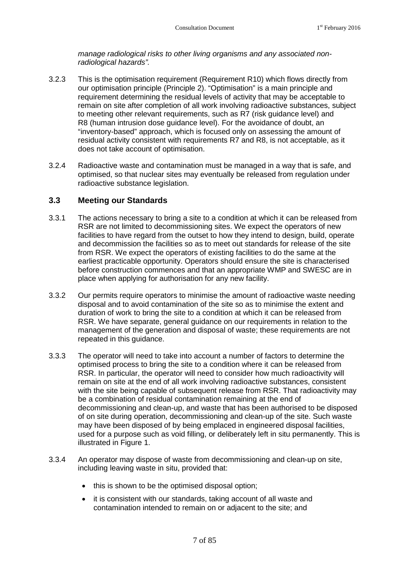*manage radiological risks to other living organisms and any associated nonradiological hazards".*

- 3.2.3 This is the optimisation requirement([Requirement R10\)](#page-34-0) which flows directly from our optimisation principle (Principle 2). "Optimisation" is a main principle and requirement determining the residual levels of activity that may be acceptable to remain on site after completion of all work involving radioactive substances, subject to meeting other relevant requirements, such as R7 (risk guidance level) and R8 (human intrusion dose guidance level). For the avoidance of doubt, an "inventory-based" approach, which is focused only on assessing the amount of residual activity consistent with requirements R7 and R8, is not acceptable, as it does not take account of optimisation.
- 3.2.4 Radioactive waste and contamination must be managed in a way that is safe, and optimised, so that nuclear sites may eventually be released from regulation under radioactive substance legislation.

#### <span id="page-10-0"></span>**3.3 Meeting our Standards**

- 3.3.1 The actions necessary to bring a site to a condition at which it can be released from RSR are not limited to decommissioning sites. We expect the operators of new facilities to have regard from the outset to how they intend to design, build, operate and decommission the facilities so as to meet out standards for release of the site from RSR. We expect the operators of existing facilities to do the same at the earliest practicable opportunity. Operators should ensure the site is characterised before construction commences and that an appropriate WMP and SWESC are in place when applying for authorisation for any new facility.
- 3.3.2 Our permits require operators to minimise the amount of radioactive waste needing disposal and to avoid contamination of the site so as to minimise the extent and duration of work to bring the site to a condition at which it can be released from RSR. We have separate, general guidance on our requirements in relation to the management of the generation and disposal of waste; these requirements are not repeated in this guidance.
- 3.3.3 The operator will need to take into account a number of factors to determine the optimised process to bring the site to a condition where it can be released from RSR. In particular, the operator will need to consider how much radioactivity will remain on site at the end of all work involving radioactive substances, consistent with the site being capable of subsequent release from RSR. That radioactivity may be a combination of residual contamination remaining at the end of decommissioning and clean-up, and waste that has been authorised to be disposed of on site during operation, decommissioning and clean-up of the site. Such waste may have been disposed of by being emplaced in engineered disposal facilities, used for a purpose such as void filling, or deliberately left in situ permanently. This is illustrated in Figure 1.
- 3.3.4 An operator may dispose of waste from decommissioning and clean-up on site, including leaving waste in situ, provided that:
	- this is shown to be the optimised disposal option;
	- it is consistent with our standards, taking account of all waste and contamination intended to remain on or adjacent to the site; and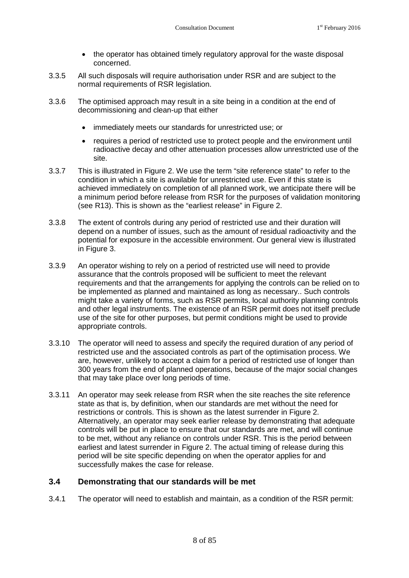- the operator has obtained timely regulatory approval for the waste disposal concerned.
- 3.3.5 All such disposals will require authorisation under RSR and are subject to the normal requirements of RSR legislation.
- 3.3.6 The optimised approach may result in a site being in a condition at the end of decommissioning and clean-up that either
	- immediately meets our standards for unrestricted use; or
	- requires a period of restricted use to protect people and the environment until radioactive decay and other attenuation processes allow unrestricted use of the site.
- 3.3.7 This is illustrated in Figure 2. We use the term "site reference state" to refer to the condition in which a site is available for unrestricted use. Even if this state is achieved immediately on completion of all planned work, we anticipate there will be a minimum period before release from RSR for the purposes of validation monitoring (see R13). This is shown as the "earliest release" in Figure 2.
- 3.3.8 The extent of controls during any period of restricted use and their duration will depend on a number of issues, such as the amount of residual radioactivity and the potential for exposure in the accessible environment. Our general view is illustrated in Figure 3.
- 3.3.9 An operator wishing to rely on a period of restricted use will need to provide assurance that the controls proposed will be sufficient to meet the relevant requirements and that the arrangements for applying the controls can be relied on to be implemented as planned and maintained as long as necessary.. Such controls might take a variety of forms, such as RSR permits, local authority planning controls and other legal instruments. The existence of an RSR permit does not itself preclude use of the site for other purposes, but permit conditions might be used to provide appropriate controls.
- 3.3.10 The operator will need to assess and specify the required duration of any period of restricted use and the associated controls as part of the optimisation process. We are, however, unlikely to accept a claim for a period of restricted use of longer than 300 years from the end of planned operations, because of the major social changes that may take place over long periods of time.
- 3.3.11 An operator may seek release from RSR when the site reaches the site reference state as that is, by definition, when our standards are met without the need for restrictions or controls. This is shown as the latest surrender in Figure 2. Alternatively, an operator may seek earlier release by demonstrating that adequate controls will be put in place to ensure that our standards are met, and will continue to be met, without any reliance on controls under RSR. This is the period between earliest and latest surrender in Figure 2. The actual timing of release during this period will be site specific depending on when the operator applies for and successfully makes the case for release.

#### <span id="page-11-0"></span>**3.4 Demonstrating that our standards will be met**

3.4.1 The operator will need to establish and maintain, as a condition of the RSR permit: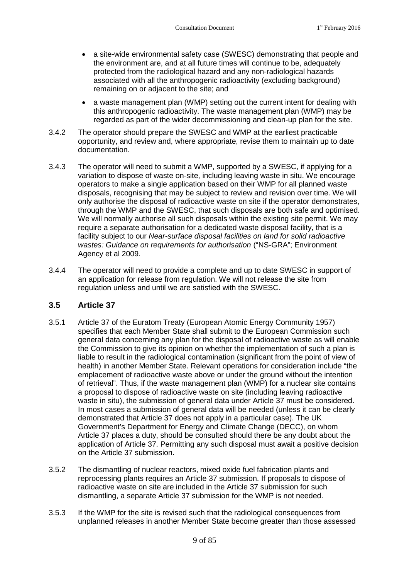- a site-wide environmental safety case (SWESC) demonstrating that people and the environment are, and at all future times will continue to be, adequately protected from the radiological hazard and any non-radiological hazards associated with all the anthropogenic radioactivity (excluding background) remaining on or adjacent to the site; and
- a waste management plan (WMP) setting out the current intent for dealing with this anthropogenic radioactivity. The waste management plan (WMP) may be regarded as part of the wider decommissioning and clean-up plan for the site.
- 3.4.2 The operator should prepare the SWESC and WMP at the earliest practicable opportunity, and review and, where appropriate, revise them to maintain up to date documentation.
- 3.4.3 The operator will need to submit a WMP, supported by a SWESC, if applying for a variation to dispose of waste on-site, including leaving waste in situ. We encourage operators to make a single application based on their WMP for all planned waste disposals, recognising that may be subject to review and revision over time. We will only authorise the disposal of radioactive waste on site if the operator demonstrates, through the WMP and the SWESC, that such disposals are both safe and optimised. We will normally authorise all such disposals within the existing site permit. We may require a separate authorisation for a dedicated waste disposal facility, that is a facility subject to our *Near-surface disposal facilities on land for solid radioactive wastes: Guidance on requirements for authorisation* ("NS-GRA"; Environment Agency et al 2009.
- 3.4.4 The operator will need to provide a complete and up to date SWESC in support of an application for release from regulation. We will not release the site from regulation unless and until we are satisfied with the SWESC.

#### <span id="page-12-0"></span>**3.5 Article 37**

- 3.5.1 Article 37 of the Euratom Treaty (European Atomic Energy Community 1957) specifies that each Member State shall submit to the European Commission such general data concerning any plan for the disposal of radioactive waste as will enable the Commission to give its opinion on whether the implementation of such a plan is liable to result in the radiological contamination (significant from the point of view of health) in another Member State. Relevant operations for consideration include "the emplacement of radioactive waste above or under the ground without the intention of retrieval". Thus, if the waste management plan (WMP) for a nuclear site contains a proposal to dispose of radioactive waste on site (including leaving radioactive waste in situ), the submission of general data under Article 37 must be considered. In most cases a submission of general data will be needed (unless it can be clearly demonstrated that Article 37 does not apply in a particular case). The UK Government's Department for Energy and Climate Change (DECC), on whom Article 37 places a duty, should be consulted should there be any doubt about the application of Article 37. Permitting any such disposal must await a positive decision on the Article 37 submission.
- 3.5.2 The dismantling of nuclear reactors, mixed oxide fuel fabrication plants and reprocessing plants requires an Article 37 submission. If proposals to dispose of radioactive waste on site are included in the Article 37 submission for such dismantling, a separate Article 37 submission for the WMP is not needed.
- 3.5.3 If the WMP for the site is revised such that the radiological consequences from unplanned releases in another Member State become greater than those assessed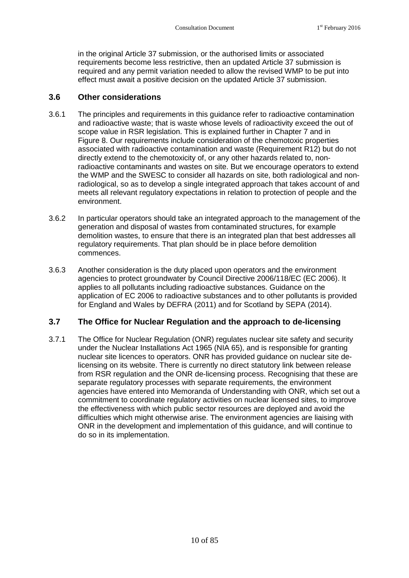in the original Article 37 submission, or the authorised limits or associated requirements become less restrictive, then an updated Article 37 submission is required and any permit variation needed to allow the revised WMP to be put into effect must await a positive decision on the updated Article 37 submission.

#### <span id="page-13-0"></span>**3.6 Other considerations**

- 3.6.1 The principles and requirements in this guidance refer to radioactive contamination and radioactive waste; that is waste whose levels of radioactivity exceed the out of scope value in RSR legislation. This is explained further in Chapter 7 and in Figure 8. Our requirements include consideration of the chemotoxic properties associated with radioactive contamination and waste (Requirement R12) but do not directly extend to the chemotoxicity of, or any other hazards related to, nonradioactive contaminants and wastes on site. But we encourage operators to extend the WMP and the SWESC to consider all hazards on site, both radiological and nonradiological, so as to develop a single integrated approach that takes account of and meets all relevant regulatory expectations in relation to protection of people and the environment.
- 3.6.2 In particular operators should take an integrated approach to the management of the generation and disposal of wastes from contaminated structures, for example demolition wastes, to ensure that there is an integrated plan that best addresses all regulatory requirements. That plan should be in place before demolition commences.
- 3.6.3 Another consideration is the duty placed upon operators and the environment agencies to protect groundwater by Council Directive 2006/118/EC (EC 2006). It applies to all pollutants including radioactive substances. Guidance on the application of EC 2006 to radioactive substances and to other pollutants is provided for England and Wales by DEFRA (2011) and for Scotland by SEPA (2014).

#### <span id="page-13-1"></span>**3.7 The Office for Nuclear Regulation and the approach to de-licensing**

3.7.1 The Office for Nuclear Regulation (ONR) regulates nuclear site safety and security under the Nuclear Installations Act 1965 (NIA 65), and is responsible for granting nuclear site licences to operators. ONR has provided guidance on nuclear site delicensing on its website. There is currently no direct statutory link between release from RSR regulation and the ONR de-licensing process. Recognising that these are separate regulatory processes with separate requirements, the environment agencies have entered into Memoranda of Understanding with ONR, which set out a commitment to coordinate regulatory activities on nuclear licensed sites, to improve the effectiveness with which public sector resources are deployed and avoid the difficulties which might otherwise arise. The environment agencies are liaising with ONR in the development and implementation of this guidance, and will continue to do so in its implementation.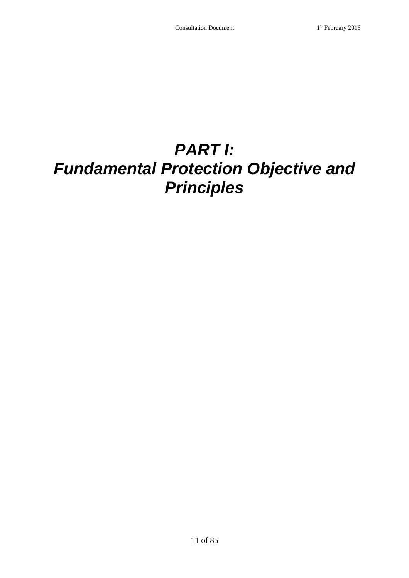## <span id="page-14-0"></span>*PART I: Fundamental Protection Objective and Principles*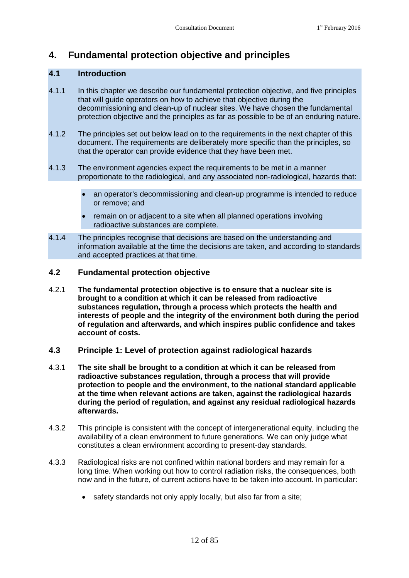## <span id="page-15-0"></span>**4. Fundamental protection objective and principles**

#### <span id="page-15-1"></span>**4.1 Introduction**

- 4.1.1 In this chapter we describe our fundamental protection objective, and five principles that will guide operators on how to achieve that objective during the decommissioning and clean-up of nuclear sites. We have chosen the fundamental protection objective and the principles as far as possible to be of an enduring nature.
- 4.1.2 The principles set out below lead on to the requirements in the next chapter of this document. The requirements are deliberately more specific than the principles, so that the operator can provide evidence that they have been met.
- 4.1.3 The environment agencies expect the requirements to be met in a manner proportionate to the radiological, and any associated non-radiological, hazards that:
	- an operator's decommissioning and clean-up programme is intended to reduce or remove; and
	- remain on or adjacent to a site when all planned operations involving radioactive substances are complete.
- 4.1.4 The principles recognise that decisions are based on the understanding and information available at the time the decisions are taken, and according to standards and accepted practices at that time.

#### <span id="page-15-2"></span>**4.2 Fundamental protection objective**

- 4.2.1 **The fundamental protection objective is to ensure that a nuclear site is brought to a condition at which it can be released from radioactive substances regulation, through a process which protects the health and interests of people and the integrity of the environment both during the period of regulation and afterwards, and which inspires public confidence and takes account of costs.**
- <span id="page-15-3"></span>**4.3 Principle 1: Level of protection against radiological hazards**
- 4.3.1 **The site shall be brought to a condition at which it can be released from radioactive substances regulation, through a process that will provide protection to people and the environment, to the national standard applicable at the time when relevant actions are taken, against the radiological hazards during the period of regulation, and against any residual radiological hazards afterwards.**
- 4.3.2 This principle is consistent with the concept of intergenerational equity, including the availability of a clean environment to future generations. We can only judge what constitutes a clean environment according to present-day standards.
- 4.3.3 Radiological risks are not confined within national borders and may remain for a long time. When working out how to control radiation risks, the consequences, both now and in the future, of current actions have to be taken into account. In particular:
	- safety standards not only apply locally, but also far from a site;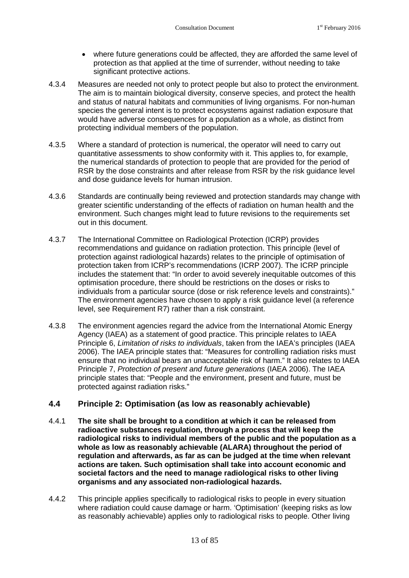- where future generations could be affected, they are afforded the same level of protection as that applied at the time of surrender, without needing to take significant protective actions.
- 4.3.4 Measures are needed not only to protect people but also to protect the environment. The aim is to maintain biological diversity, conserve species, and protect the health and status of natural habitats and communities of living organisms. For non-human species the general intent is to protect ecosystems against radiation exposure that would have adverse consequences for a population as a whole, as distinct from protecting individual members of the population.
- 4.3.5 Where a standard of protection is numerical, the operator will need to carry out quantitative assessments to show conformity with it. This applies to, for example, the numerical standards of protection to people that are provided for the period of RSR by the dose constraints and after release from RSR by the risk guidance level and dose guidance levels for human intrusion.
- 4.3.6 Standards are continually being reviewed and protection standards may change with greater scientific understanding of the effects of radiation on human health and the environment. Such changes might lead to future revisions to the requirements set out in this document.
- 4.3.7 The International Committee on Radiological Protection (ICRP) provides recommendations and guidance on radiation protection. This principle (level of protection against radiological hazards) relates to the principle of optimisation of protection taken from ICRP's recommendations (ICRP 2007). The ICRP principle includes the statement that: "In order to avoid severely inequitable outcomes of this optimisation procedure, there should be restrictions on the doses or risks to individuals from a particular source (dose or risk reference levels and constraints)." The environment agencies have chosen to apply a risk guidance level (a reference level,see [Requirement R7](#page-25-0)) rather than a risk constraint.
- 4.3.8 The environment agencies regard the advice from the International Atomic Energy Agency (IAEA) as a statement of good practice. This principle relates to IAEA Principle 6, *Limitation of risks to individuals*, taken from the IAEA's principles (IAEA 2006). The IAEA principle states that: "Measures for controlling radiation risks must ensure that no individual bears an unacceptable risk of harm." It also relates to IAEA Principle 7, *Protection of present and future generations* (IAEA 2006). The IAEA principle states that: "People and the environment, present and future, must be protected against radiation risks."

#### <span id="page-16-0"></span>**4.4 Principle 2: Optimisation (as low as reasonably achievable)**

- 4.4.1 **The site shall be brought to a condition at which it can be released from radioactive substances regulation, through a process that will keep the radiological risks to individual members of the public and the population as a whole as low as reasonably achievable (ALARA) throughout the period of regulation and afterwards, as far as can be judged at the time when relevant actions are taken. Such optimisation shall take into account economic and societal factors and the need to manage radiological risks to other living organisms and any associated non-radiological hazards.**
- 4.4.2 This principle applies specifically to radiological risks to people in every situation where radiation could cause damage or harm. 'Optimisation' (keeping risks as low as reasonably achievable) applies only to radiological risks to people. Other living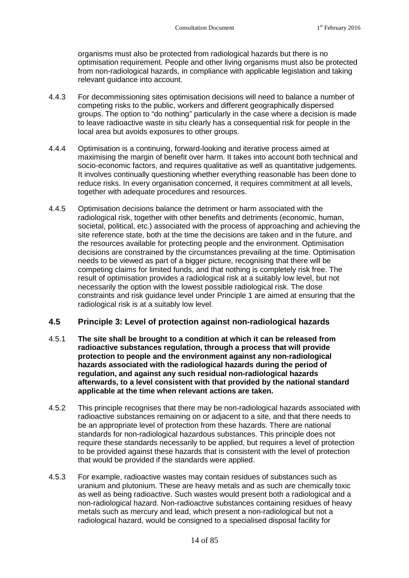organisms must also be protected from radiological hazards but there is no optimisation requirement. People and other living organisms must also be protected from non-radiological hazards, in compliance with applicable legislation and taking relevant guidance into account.

- 4.4.3 For decommissioning sites optimisation decisions will need to balance a number of competing risks to the public, workers and different geographically dispersed groups. The option to "do nothing" particularly in the case where a decision is made to leave radioactive waste in situ clearly has a consequential risk for people in the local area but avoids exposures to other groups.
- 4.4.4 Optimisation is a continuing, forward-looking and iterative process aimed at maximising the margin of benefit over harm. It takes into account both technical and socio-economic factors, and requires qualitative as well as quantitative judgements. It involves continually questioning whether everything reasonable has been done to reduce risks. In every organisation concerned, it requires commitment at all levels, together with adequate procedures and resources.
- 4.4.5 Optimisation decisions balance the detriment or harm associated with the radiological risk, together with other benefits and detriments (economic, human, societal, political, etc.) associated with the process of approaching and achieving the site reference state, both at the time the decisions are taken and in the future, and the resources available for protecting people and the environment. Optimisation decisions are constrained by the circumstances prevailing at the time. Optimisation needs to be viewed as part of a bigger picture, recognising that there will be competing claims for limited funds, and that nothing is completely risk free. The result of optimisation provides a radiological risk at a suitably low level, but not necessarily the option with the lowest possible radiological risk. The dose constraints and risk guidance level under Principle 1 are aimed at ensuring that the radiological risk is at a suitably low level.

#### <span id="page-17-0"></span>**4.5 Principle 3: Level of protection against non-radiological hazards**

- 4.5.1 **The site shall be brought to a condition at which it can be released from radioactive substances regulation, through a process that will provide protection to people and the environment against any non-radiological hazards associated with the radiological hazards during the period of regulation, and against any such residual non-radiological hazards afterwards, to a level consistent with that provided by the national standard applicable at the time when relevant actions are taken.**
- 4.5.2 This principle recognises that there may be non-radiological hazards associated with radioactive substances remaining on or adjacent to a site, and that there needs to be an appropriate level of protection from these hazards. There are national standards for non-radiological hazardous substances. This principle does not require these standards necessarily to be applied, but requires a level of protection to be provided against these hazards that is consistent with the level of protection that would be provided if the standards were applied.
- 4.5.3 For example, radioactive wastes may contain residues of substances such as uranium and plutonium. These are heavy metals and as such are chemically toxic as well as being radioactive. Such wastes would present both a radiological and a non-radiological hazard. Non-radioactive substances containing residues of heavy metals such as mercury and lead, which present a non-radiological but not a radiological hazard, would be consigned to a specialised disposal facility for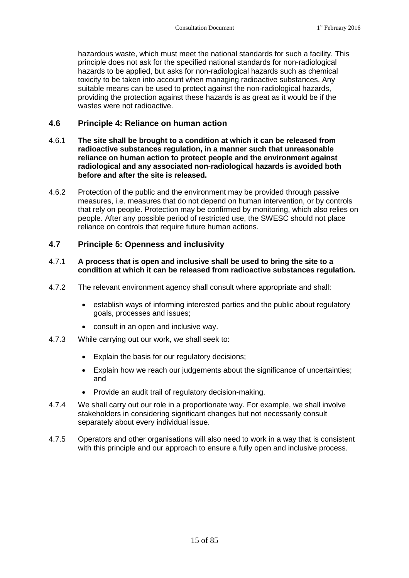hazardous waste, which must meet the national standards for such a facility. This principle does not ask for the specified national standards for non-radiological hazards to be applied, but asks for non-radiological hazards such as chemical toxicity to be taken into account when managing radioactive substances. Any suitable means can be used to protect against the non-radiological hazards. providing the protection against these hazards is as great as it would be if the wastes were not radioactive.

#### <span id="page-18-0"></span>**4.6 Principle 4: Reliance on human action**

- 4.6.1 **The site shall be brought to a condition at which it can be released from radioactive substances regulation, in a manner such that unreasonable reliance on human action to protect people and the environment against radiological and any associated non-radiological hazards is avoided both before and after the site is released.**
- 4.6.2 Protection of the public and the environment may be provided through passive measures, i.e. measures that do not depend on human intervention, or by controls that rely on people. Protection may be confirmed by monitoring, which also relies on people. After any possible period of restricted use, the SWESC should not place reliance on controls that require future human actions.

#### <span id="page-18-1"></span>**4.7 Principle 5: Openness and inclusivity**

#### 4.7.1 **A process that is open and inclusive shall be used to bring the site to a condition at which it can be released from radioactive substances regulation.**

- 4.7.2 The relevant environment agency shall consult where appropriate and shall:
	- establish ways of informing interested parties and the public about regulatory goals, processes and issues;
	- consult in an open and inclusive way.
- 4.7.3 While carrying out our work, we shall seek to:
	- Explain the basis for our regulatory decisions:
	- Explain how we reach our judgements about the significance of uncertainties; and
	- Provide an audit trail of regulatory decision-making.
- 4.7.4 We shall carry out our role in a proportionate way. For example, we shall involve stakeholders in considering significant changes but not necessarily consult separately about every individual issue.
- 4.7.5 Operators and other organisations will also need to work in a way that is consistent with this principle and our approach to ensure a fully open and inclusive process.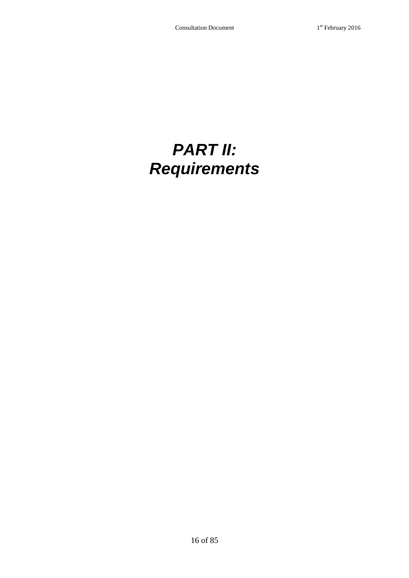## <span id="page-19-0"></span>*PART II: Requirements*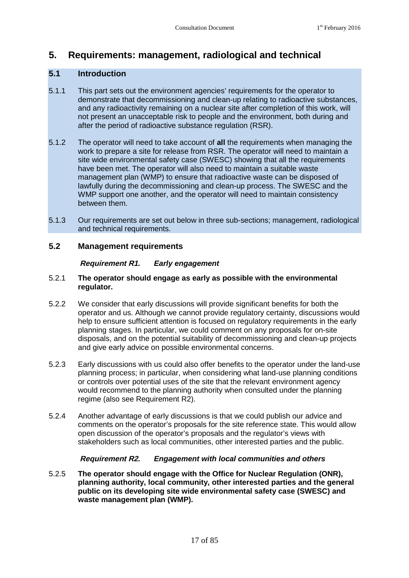### <span id="page-20-0"></span>**5. Requirements: management, radiological and technical**

#### <span id="page-20-1"></span>**5.1 Introduction**

- 5.1.1 This part sets out the environment agencies' requirements for the operator to demonstrate that decommissioning and clean-up relating to radioactive substances, and any radioactivity remaining on a nuclear site after completion of this work, will not present an unacceptable risk to people and the environment, both during and after the period of radioactive substance regulation (RSR).
- 5.1.2 The operator will need to take account of **all** the requirements when managing the work to prepare a site for release from RSR. The operator will need to maintain a site wide environmental safety case (SWESC) showing that all the requirements have been met. The operator will also need to maintain a suitable waste management plan (WMP) to ensure that radioactive waste can be disposed of lawfully during the decommissioning and clean-up process. The SWESC and the WMP support one another, and the operator will need to maintain consistency between them.
- 5.1.3 Our requirements are set out below in three sub-sections; management, radiological and technical requirements.

#### **5.2 Management requirements**

#### <span id="page-20-2"></span>**Requirement R1.** *Early engagement*

#### 5.2.1 **The operator should engage as early as possible with the environmental regulator.**

- 5.2.2 We consider that early discussions will provide significant benefits for both the operator and us. Although we cannot provide regulatory certainty, discussions would help to ensure sufficient attention is focused on regulatory requirements in the early planning stages. In particular, we could comment on any proposals for on-site disposals, and on the potential suitability of decommissioning and clean-up projects and give early advice on possible environmental concerns.
- 5.2.3 Early discussions with us could also offer benefits to the operator under the land-use planning process; in particular, when considering what land-use planning conditions or controls over potential uses of the site that the relevant environment agency would recommend to the planning authority when consulted under the planning regime (also see Requirement R2).
- 5.2.4 Another advantage of early discussions is that we could publish our advice and comments on the operator's proposals for the site reference state. This would allow open discussion of the operator's proposals and the regulator's views with stakeholders such as local communities, other interested parties and the public.

#### **Requirement R2.** *Engagement with local communities and others*

5.2.5 **The operator should engage with the Office for Nuclear Regulation (ONR), planning authority, local community, other interested parties and the general public on its developing site wide environmental safety case (SWESC) and waste management plan (WMP).**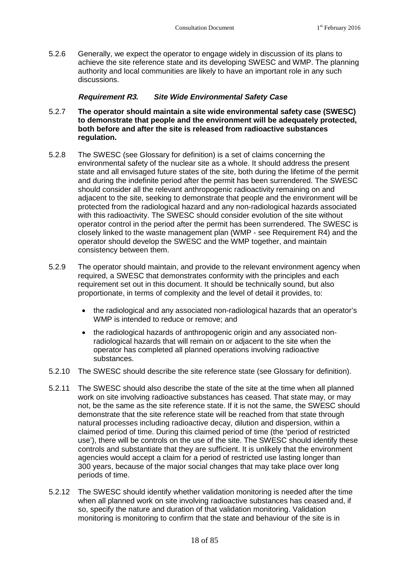5.2.6 Generally, we expect the operator to engage widely in discussion of its plans to achieve the site reference state and its developing SWESC and WMP. The planning authority and local communities are likely to have an important role in any such discussions.

#### **Requirement R3.** *Site Wide Environmental Safety Case*

- 5.2.7 **The operator should maintain a site wide environmental safety case (SWESC) to demonstrate that people and the environment will be adequately protected, both before and after the site is released from radioactive substances regulation.**
- 5.2.8 The SWESC (see Glossary for definition) is a set of claims concerning the environmental safety of the nuclear site as a whole. It should address the present state and all envisaged future states of the site, both during the lifetime of the permit and during the indefinite period after the permit has been surrendered. The SWESC should consider all the relevant anthropogenic radioactivity remaining on and adjacent to the site, seeking to demonstrate that people and the environment will be protected from the radiological hazard and any non-radiological hazards associated with this radioactivity. The SWESC should consider evolution of the site without operator control in the period after the permit has been surrendered. The SWESC is closely linked to the waste management plan (WMP - see Requirement R4) and the operator should develop the SWESC and the WMP together, and maintain consistency between them.
- 5.2.9 The operator should maintain, and provide to the relevant environment agency when required, a SWESC that demonstrates conformity with the principles and each requirement set out in this document. It should be technically sound, but also proportionate, in terms of complexity and the level of detail it provides, to:
	- the radiological and any associated non-radiological hazards that an operator's WMP is intended to reduce or remove; and
	- the radiological hazards of anthropogenic origin and any associated nonradiological hazards that will remain on or adjacent to the site when the operator has completed all planned operations involving radioactive substances.
- 5.2.10 The SWESC should describe the site reference state (see Glossary for definition).
- 5.2.11 The SWESC should also describe the state of the site at the time when all planned work on site involving radioactive substances has ceased. That state may, or may not, be the same as the site reference state. If it is not the same, the SWESC should demonstrate that the site reference state will be reached from that state through natural processes including radioactive decay, dilution and dispersion, within a claimed period of time. During this claimed period of time (the 'period of restricted use'), there will be controls on the use of the site. The SWESC should identify these controls and substantiate that they are sufficient. It is unlikely that the environment agencies would accept a claim for a period of restricted use lasting longer than 300 years, because of the major social changes that may take place over long periods of time.
- 5.2.12 The SWESC should identify whether validation monitoring is needed after the time when all planned work on site involving radioactive substances has ceased and, if so, specify the nature and duration of that validation monitoring. Validation monitoring is monitoring to confirm that the state and behaviour of the site is in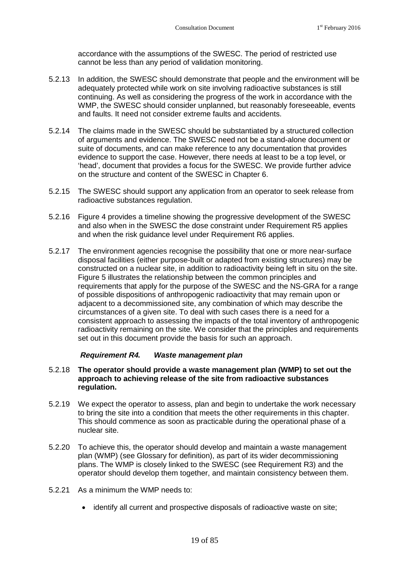accordance with the assumptions of the SWESC. The period of restricted use cannot be less than any period of validation monitoring.

- 5.2.13 In addition, the SWESC should demonstrate that people and the environment will be adequately protected while work on site involving radioactive substances is still continuing. As well as considering the progress of the work in accordance with the WMP, the SWESC should consider unplanned, but reasonably foreseeable, events and faults. It need not consider extreme faults and accidents.
- 5.2.14 The claims made in the SWESC should be substantiated by a structured collection of arguments and evidence. The SWESC need not be a stand-alone document or suite of documents, and can make reference to any documentation that provides evidence to support the case. However, there needs at least to be a top level, or 'head', document that provides a focus for the SWESC. We provide further advice on the structure and content of the SWESC in Chapter [6](#page-42-0).
- 5.2.15 The SWESC should support any application from an operator to seek release from radioactive substances regulation.
- 5.2.16 Figure 4 provides a timeline showing the progressive development of the SWESC and also when in the SWESC the dose constraint under Requirement R5 applies and when the risk guidance level under Requirement R6 applies.
- 5.2.17 The environment agencies recognise the possibility that one or more near-surface disposal facilities (either purpose-built or adapted from existing structures) may be constructed on a nuclear site, in addition to radioactivity being left in situ on the site. Figure 5 illustrates the relationship between the common principles and requirements that apply for the purpose of the SWESC and the NS-GRA for a range of possible dispositions of anthropogenic radioactivity that may remain upon or adjacent to a decommissioned site, any combination of which may describe the circumstances of a given site. To deal with such cases there is a need for a consistent approach to assessing the impacts of the total inventory of anthropogenic radioactivity remaining on the site. We consider that the principles and requirements set out in this document provide the basis for such an approach.

#### **Requirement R4.** *Waste management plan*

#### 5.2.18 **The operator should provide a waste management plan (WMP) to set out the approach to achieving release of the site from radioactive substances regulation.**

- 5.2.19 We expect the operator to assess, plan and begin to undertake the work necessary to bring the site into a condition that meets the other requirements in this chapter. This should commence as soon as practicable during the operational phase of a nuclear site.
- 5.2.20 To achieve this, the operator should develop and maintain a waste management plan (WMP) (see Glossary for definition), as part of its wider decommissioning plans. The WMP is closely linked to the SWESC (see Requirement R3) and the operator should develop them together, and maintain consistency between them.
- 5.2.21 As a minimum the WMP needs to:
	- identify all current and prospective disposals of radioactive waste on site;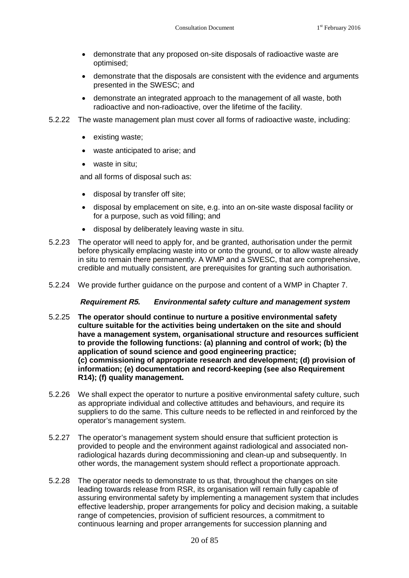- demonstrate that any proposed on-site disposals of radioactive waste are optimised;
- demonstrate that the disposals are consistent with the evidence and arguments presented in the SWESC; and
- demonstrate an integrated approach to the management of all waste, both radioactive and non-radioactive, over the lifetime of the facility.
- 5.2.22 The waste management plan must cover all forms of radioactive waste, including:
	- existing waste;
	- waste anticipated to arise; and
	- waste in situ:

and all forms of disposal such as:

- disposal by transfer off site;
- disposal by emplacement on site, e.g. into an on-site waste disposal facility or for a purpose, such as void filling; and
- disposal by deliberately leaving waste in situ.
- 5.2.23 The operator will need to apply for, and be granted, authorisation under the permit before physically emplacing waste into or onto the ground, or to allow waste already in situ to remain there permanently. A WMP and a SWESC, that are comprehensive, credible and mutually consistent, are prerequisites for granting such authorisation.
- 5.2.24 We provide further guidance on the purpose and content of a WMP in Chapter 7.

#### **Requirement R5.** *Environmental safety culture and management system*

- 5.2.25 **The operator should continue to nurture a positive environmental safety culture suitable for the activities being undertaken on the site and should have a management system, organisational structure and resources sufficient to provide the following functions: (a) planning and control of work; (b) the application of sound science and good engineering practice; (c) commissioning of appropriate research and development; (d) provision of information; (e) documentation and record-keeping (see also Requirement R14); (f) quality management.**
- 5.2.26 We shall expect the operator to nurture a positive environmental safety culture, such as appropriate individual and collective attitudes and behaviours, and require its suppliers to do the same. This culture needs to be reflected in and reinforced by the operator's management system.
- 5.2.27 The operator's management system should ensure that sufficient protection is provided to people and the environment against radiological and associated nonradiological hazards during decommissioning and clean-up and subsequently. In other words, the management system should reflect a proportionate approach.
- 5.2.28 The operator needs to demonstrate to us that, throughout the changes on site leading towards release from RSR, its organisation will remain fully capable of assuring environmental safety by implementing a management system that includes effective leadership, proper arrangements for policy and decision making, a suitable range of competencies, provision of sufficient resources, a commitment to continuous learning and proper arrangements for succession planning and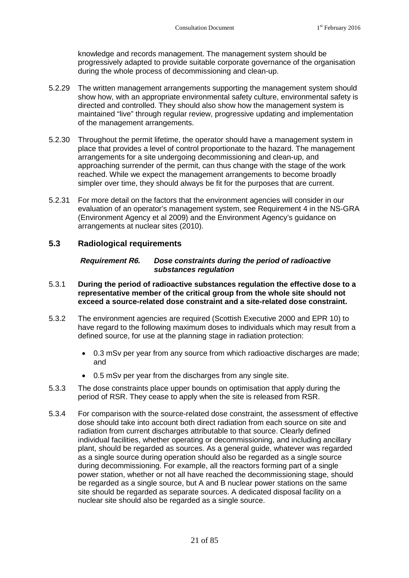knowledge and records management. The management system should be progressively adapted to provide suitable corporate governance of the organisation during the whole process of decommissioning and clean-up.

- 5.2.29 The written management arrangements supporting the management system should show how, with an appropriate environmental safety culture, environmental safety is directed and controlled. They should also show how the management system is maintained "live" through regular review, progressive updating and implementation of the management arrangements.
- 5.2.30 Throughout the permit lifetime, the operator should have a management system in place that provides a level of control proportionate to the hazard. The management arrangements for a site undergoing decommissioning and clean-up, and approaching surrender of the permit, can thus change with the stage of the work reached. While we expect the management arrangements to become broadly simpler over time, they should always be fit for the purposes that are current.
- 5.2.31 For more detail on the factors that the environment agencies will consider in our evaluation of an operator's management system, see Requirement 4 in the NS-GRA (Environment Agency et al 2009) and the Environment Agency's guidance on arrangements at nuclear sites (2010).

#### **5.3 Radiological requirements**

#### <span id="page-24-1"></span><span id="page-24-0"></span>**Requirement R6.** *Dose constraints during the period of radioactive substances regulation*

- 5.3.1 **During the period of radioactive substances regulation the effective dose to a representative member of the critical group from the whole site should not exceed a source-related dose constraint and a site-related dose constraint.**
- 5.3.2 The environment agencies are required (Scottish Executive 2000 and EPR 10) to have regard to the following maximum doses to individuals which may result from a defined source, for use at the planning stage in radiation protection:
	- 0.3 mSv per year from any source from which radioactive discharges are made; and
	- 0.5 mSv per year from the discharges from any single site.
- 5.3.3 The dose constraints place upper bounds on optimisation that apply during the period of RSR. They cease to apply when the site is released from RSR.
- 5.3.4 For comparison with the source-related dose constraint, the assessment of effective dose should take into account both direct radiation from each source on site and radiation from current discharges attributable to that source. Clearly defined individual facilities, whether operating or decommissioning, and including ancillary plant, should be regarded as sources. As a general guide, whatever was regarded as a single source during operation should also be regarded as a single source during decommissioning. For example, all the reactors forming part of a single power station, whether or not all have reached the decommissioning stage, should be regarded as a single source, but A and B nuclear power stations on the same site should be regarded as separate sources. A dedicated disposal facility on a nuclear site should also be regarded as a single source.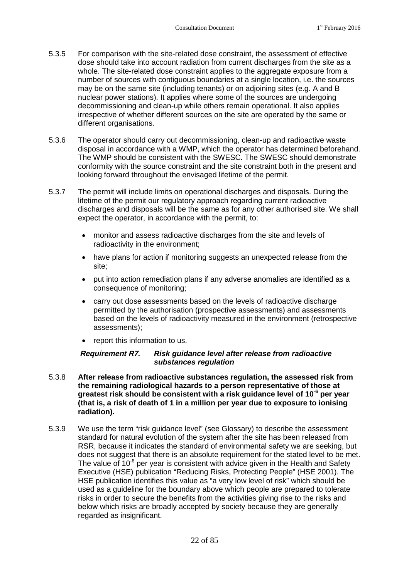- 5.3.5 For comparison with the site-related dose constraint, the assessment of effective dose should take into account radiation from current discharges from the site as a whole. The site-related dose constraint applies to the aggregate exposure from a number of sources with contiguous boundaries at a single location, i.e. the sources may be on the same site (including tenants) or on adjoining sites (e.g. A and B nuclear power stations). It applies where some of the sources are undergoing decommissioning and clean-up while others remain operational. It also applies irrespective of whether different sources on the site are operated by the same or different organisations.
- 5.3.6 The operator should carry out decommissioning, clean-up and radioactive waste disposal in accordance with a WMP, which the operator has determined beforehand. The WMP should be consistent with the SWESC. The SWESC should demonstrate conformity with the source constraint and the site constraint both in the present and looking forward throughout the envisaged lifetime of the permit.
- 5.3.7 The permit will include limits on operational discharges and disposals. During the lifetime of the permit our regulatory approach regarding current radioactive discharges and disposals will be the same as for any other authorised site. We shall expect the operator, in accordance with the permit, to:
	- monitor and assess radioactive discharges from the site and levels of radioactivity in the environment;
	- have plans for action if monitoring suggests an unexpected release from the site;
	- put into action remediation plans if any adverse anomalies are identified as a consequence of monitoring;
	- carry out dose assessments based on the levels of radioactive discharge permitted by the authorisation (prospective assessments) and assessments based on the levels of radioactivity measured in the environment (retrospective assessments);
	- report this information to us.

#### <span id="page-25-0"></span>**Requirement R7.** *Risk guidance level after release from radioactive substances regulation*

- 5.3.8 **After release from radioactive substances regulation, the assessed risk from the remaining radiological hazards to a person representative of those at greatest risk should be consistent with a risk guidance level of 10-6 per year (that is, a risk of death of 1 in a million per year due to exposure to ionising radiation).**
- 5.3.9 We use the term "risk guidance level" (see Glossary) to describe the assessment standard for natural evolution of the system after the site has been released from RSR, because it indicates the standard of environmental safety we are seeking, but does not suggest that there is an absolute requirement for the stated level to be met. The value of  $10^{-6}$  per year is consistent with advice given in the Health and Safety Executive (HSE) publication "Reducing Risks, Protecting People" (HSE 2001). The HSE publication identifies this value as "a very low level of risk" which should be used as a guideline for the boundary above which people are prepared to tolerate risks in order to secure the benefits from the activities giving rise to the risks and below which risks are broadly accepted by society because they are generally regarded as insignificant.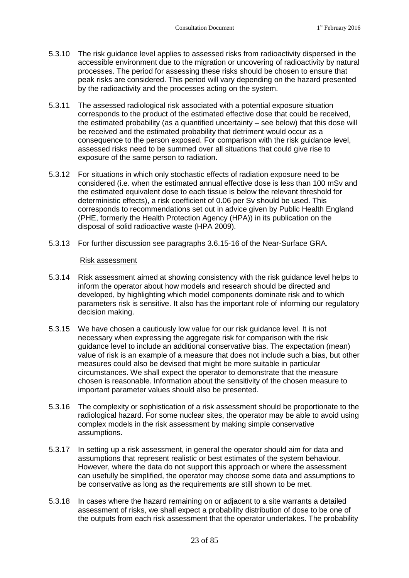- 5.3.10 The risk guidance level applies to assessed risks from radioactivity dispersed in the accessible environment due to the migration or uncovering of radioactivity by natural processes. The period for assessing these risks should be chosen to ensure that peak risks are considered. This period will vary depending on the hazard presented by the radioactivity and the processes acting on the system.
- 5.3.11 The assessed radiological risk associated with a potential exposure situation corresponds to the product of the estimated effective dose that could be received, the estimated probability (as a quantified uncertainty – see below) that this dose will be received and the estimated probability that detriment would occur as a consequence to the person exposed. For comparison with the risk guidance level, assessed risks need to be summed over all situations that could give rise to exposure of the same person to radiation.
- 5.3.12 For situations in which only stochastic effects of radiation exposure need to be considered (i.e. when the estimated annual effective dose is less than 100 mSv and the estimated equivalent dose to each tissue is below the relevant threshold for deterministic effects), a risk coefficient of 0.06 per Sv should be used. This corresponds to recommendations set out in advice given by Public Health England (PHE, formerly the Health Protection Agency (HPA)) in its publication on the disposal of solid radioactive waste (HPA 2009).
- 5.3.13 For further discussion see paragraphs 3.6.15-16 of the Near-Surface GRA.

#### Risk assessment

- 5.3.14 Risk assessment aimed at showing consistency with the risk guidance level helps to inform the operator about how models and research should be directed and developed, by highlighting which model components dominate risk and to which parameters risk is sensitive. It also has the important role of informing our regulatory decision making.
- 5.3.15 We have chosen a cautiously low value for our risk guidance level. It is not necessary when expressing the aggregate risk for comparison with the risk guidance level to include an additional conservative bias. The expectation (mean) value of risk is an example of a measure that does not include such a bias, but other measures could also be devised that might be more suitable in particular circumstances. We shall expect the operator to demonstrate that the measure chosen is reasonable. Information about the sensitivity of the chosen measure to important parameter values should also be presented.
- 5.3.16 The complexity or sophistication of a risk assessment should be proportionate to the radiological hazard. For some nuclear sites, the operator may be able to avoid using complex models in the risk assessment by making simple conservative assumptions.
- 5.3.17 In setting up a risk assessment, in general the operator should aim for data and assumptions that represent realistic or best estimates of the system behaviour. However, where the data do not support this approach or where the assessment can usefully be simplified, the operator may choose some data and assumptions to be conservative as long as the requirements are still shown to be met.
- 5.3.18 In cases where the hazard remaining on or adjacent to a site warrants a detailed assessment of risks, we shall expect a probability distribution of dose to be one of the outputs from each risk assessment that the operator undertakes. The probability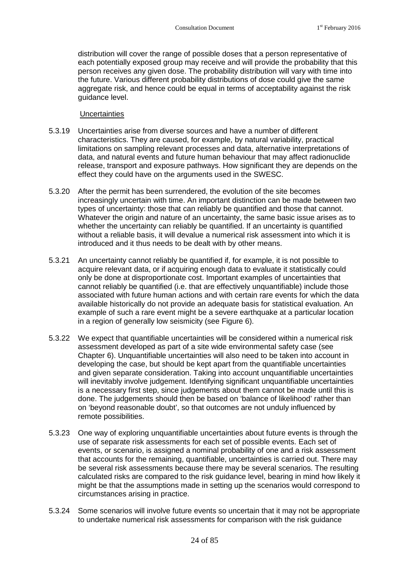distribution will cover the range of possible doses that a person representative of each potentially exposed group may receive and will provide the probability that this person receives any given dose. The probability distribution will vary with time into the future. Various different probability distributions of dose could give the same aggregate risk, and hence could be equal in terms of acceptability against the risk guidance level.

#### **Uncertainties**

- 5.3.19 Uncertainties arise from diverse sources and have a number of different characteristics. They are caused, for example, by natural variability, practical limitations on sampling relevant processes and data, alternative interpretations of data, and natural events and future human behaviour that may affect radionuclide release, transport and exposure pathways. How significant they are depends on the effect they could have on the arguments used in the SWESC.
- 5.3.20 After the permit has been surrendered, the evolution of the site becomes increasingly uncertain with time. An important distinction can be made between two types of uncertainty: those that can reliably be quantified and those that cannot. Whatever the origin and nature of an uncertainty, the same basic issue arises as to whether the uncertainty can reliably be quantified. If an uncertainty is quantified without a reliable basis, it will devalue a numerical risk assessment into which it is introduced and it thus needs to be dealt with by other means.
- 5.3.21 An uncertainty cannot reliably be quantified if, for example, it is not possible to acquire relevant data, or if acquiring enough data to evaluate it statistically could only be done at disproportionate cost. Important examples of uncertainties that cannot reliably be quantified (i.e. that are effectively unquantifiable) include those associated with future human actions and with certain rare events for which the data available historically do not provide an adequate basis for statistical evaluation. An example of such a rare event might be a severe earthquake at a particular location in a region of generally low seismicity (see Figure 6).
- 5.3.22 We expect that quantifiable uncertainties will be considered within a numerical risk assessment developed as part of a site wide environmental safety case (see Chapter [6\)](#page-42-0). Unquantifiable uncertainties will also need to be taken into account in developing the case, but should be kept apart from the quantifiable uncertainties and given separate consideration. Taking into account unquantifiable uncertainties will inevitably involve judgement. Identifying significant unquantifiable uncertainties is a necessary first step, since judgements about them cannot be made until this is done. The judgements should then be based on 'balance of likelihood' rather than on 'beyond reasonable doubt', so that outcomes are not unduly influenced by remote possibilities.
- 5.3.23 One way of exploring unquantifiable uncertainties about future events is through the use of separate risk assessments for each set of possible events. Each set of events, or scenario, is assigned a nominal probability of one and a risk assessment that accounts for the remaining, quantifiable, uncertainties is carried out. There may be several risk assessments because there may be several scenarios. The resulting calculated risks are compared to the risk guidance level, bearing in mind how likely it might be that the assumptions made in setting up the scenarios would correspond to circumstances arising in practice.
- 5.3.24 Some scenarios will involve future events so uncertain that it may not be appropriate to undertake numerical risk assessments for comparison with the risk guidance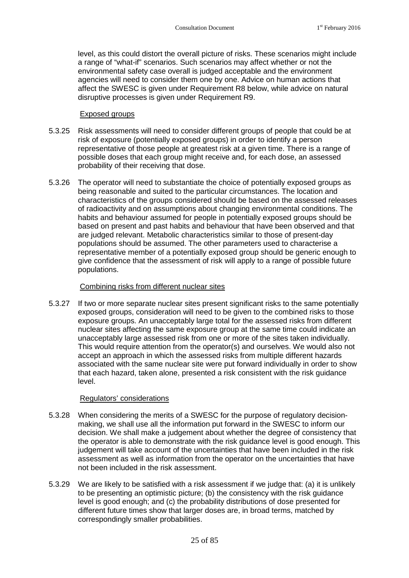level, as this could distort the overall picture of risks. These scenarios might include a range of "what-if" scenarios. Such scenarios may affect whether or not the environmental safety case overall is judged acceptable and the environment agencies will need to consider them one by one. Advice on human actions that affect the SWESC is given under [Requirement R8](#page-29-0) below, while advice on natural disruptive processes is given under [Requirement R9](#page-32-0).

#### Exposed groups

- 5.3.25 Risk assessments will need to consider different groups of people that could be at risk of exposure (potentially exposed groups) in order to identify a person representative of those people at greatest risk at a given time. There is a range of possible doses that each group might receive and, for each dose, an assessed probability of their receiving that dose.
- 5.3.26 The operator will need to substantiate the choice of potentially exposed groups as being reasonable and suited to the particular circumstances. The location and characteristics of the groups considered should be based on the assessed releases of radioactivity and on assumptions about changing environmental conditions. The habits and behaviour assumed for people in potentially exposed groups should be based on present and past habits and behaviour that have been observed and that are judged relevant. Metabolic characteristics similar to those of present-day populations should be assumed. The other parameters used to characterise a representative member of a potentially exposed group should be generic enough to give confidence that the assessment of risk will apply to a range of possible future populations.

#### Combining risks from different nuclear sites

5.3.27 If two or more separate nuclear sites present significant risks to the same potentially exposed groups, consideration will need to be given to the combined risks to those exposure groups. An unacceptably large total for the assessed risks from different nuclear sites affecting the same exposure group at the same time could indicate an unacceptably large assessed risk from one or more of the sites taken individually. This would require attention from the operator(s) and ourselves. We would also not accept an approach in which the assessed risks from multiple different hazards associated with the same nuclear site were put forward individually in order to show that each hazard, taken alone, presented a risk consistent with the risk guidance level.

#### Regulators' considerations

- 5.3.28 When considering the merits of a SWESC for the purpose of regulatory decisionmaking, we shall use all the information put forward in the SWESC to inform our decision. We shall make a judgement about whether the degree of consistency that the operator is able to demonstrate with the risk guidance level is good enough. This judgement will take account of the uncertainties that have been included in the risk assessment as well as information from the operator on the uncertainties that have not been included in the risk assessment.
- 5.3.29 We are likely to be satisfied with a risk assessment if we judge that: (a) it is unlikely to be presenting an optimistic picture; (b) the consistency with the risk guidance level is good enough; and (c) the probability distributions of dose presented for different future times show that larger doses are, in broad terms, matched by correspondingly smaller probabilities.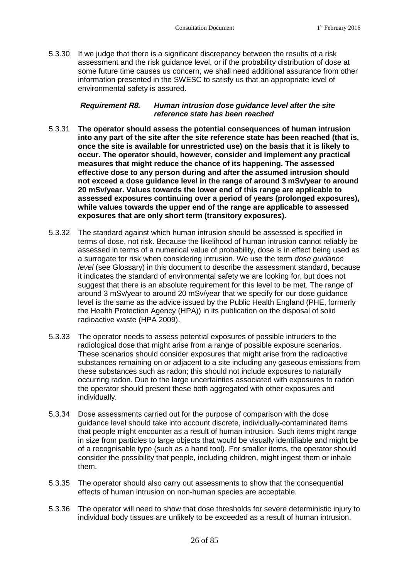5.3.30 If we judge that there is a significant discrepancy between the results of a risk assessment and the risk guidance level, or if the probability distribution of dose at some future time causes us concern, we shall need additional assurance from other information presented in the SWESC to satisfy us that an appropriate level of environmental safety is assured.

#### <span id="page-29-0"></span>**Requirement R8.** *Human intrusion dose guidance level after the site reference state has been reached*

- 5.3.31 **The operator should assess the potential consequences of human intrusion into any part of the site after the site reference state has been reached (that is, once the site is available for unrestricted use) on the basis that it is likely to occur. The operator should, however, consider and implement any practical measures that might reduce the chance of its happening. The assessed effective dose to any person during and after the assumed intrusion should not exceed a dose guidance level in the range of around 3 mSv/year to around 20 mSv/year. Values towards the lower end of this range are applicable to assessed exposures continuing over a period of years (prolonged exposures), while values towards the upper end of the range are applicable to assessed exposures that are only short term (transitory exposures).**
- 5.3.32 The standard against which human intrusion should be assessed is specified in terms of dose, not risk. Because the likelihood of human intrusion cannot reliably be assessed in terms of a numerical value of probability, dose is in effect being used as a surrogate for risk when considering intrusion. We use the term *dose guidance level* (see Glossary) in this document to describe the assessment standard, because it indicates the standard of environmental safety we are looking for, but does not suggest that there is an absolute requirement for this level to be met. The range of around 3 mSv/year to around 20 mSv/year that we specify for our dose guidance level is the same as the advice issued by the Public Health England (PHE, formerly the Health Protection Agency (HPA)) in its publication on the disposal of solid radioactive waste (HPA 2009).
- 5.3.33 The operator needs to assess potential exposures of possible intruders to the radiological dose that might arise from a range of possible exposure scenarios. These scenarios should consider exposures that might arise from the radioactive substances remaining on or adjacent to a site including any gaseous emissions from these substances such as radon; this should not include exposures to naturally occurring radon. Due to the large uncertainties associated with exposures to radon the operator should present these both aggregated with other exposures and individually.
- 5.3.34 Dose assessments carried out for the purpose of comparison with the dose guidance level should take into account discrete, individually-contaminated items that people might encounter as a result of human intrusion. Such items might range in size from particles to large objects that would be visually identifiable and might be of a recognisable type (such as a hand tool). For smaller items, the operator should consider the possibility that people, including children, might ingest them or inhale them.
- 5.3.35 The operator should also carry out assessments to show that the consequential effects of human intrusion on non-human species are acceptable.
- 5.3.36 The operator will need to show that dose thresholds for severe deterministic injury to individual body tissues are unlikely to be exceeded as a result of human intrusion.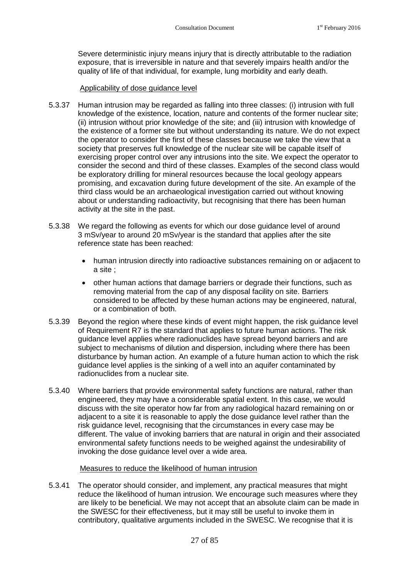Severe deterministic injury means injury that is directly attributable to the radiation exposure, that is irreversible in nature and that severely impairs health and/or the quality of life of that individual, for example, lung morbidity and early death.

#### Applicability of dose guidance level

- 5.3.37 Human intrusion may be regarded as falling into three classes: (i) intrusion with full knowledge of the existence, location, nature and contents of the former nuclear site; (ii) intrusion without prior knowledge of the site; and (iii) intrusion with knowledge of the existence of a former site but without understanding its nature. We do not expect the operator to consider the first of these classes because we take the view that a society that preserves full knowledge of the nuclear site will be capable itself of exercising proper control over any intrusions into the site. We expect the operator to consider the second and third of these classes. Examples of the second class would be exploratory drilling for mineral resources because the local geology appears promising, and excavation during future development of the site. An example of the third class would be an archaeological investigation carried out without knowing about or understanding radioactivity, but recognising that there has been human activity at the site in the past.
- 5.3.38 We regard the following as events for which our dose guidance level of around 3 mSv/year to around 20 mSv/year is the standard that applies after the site reference state has been reached:
	- human intrusion directly into radioactive substances remaining on or adjacent to a site ;
	- other human actions that damage barriers or degrade their functions, such as removing material from the cap of any disposal facility on site. Barriers considered to be affected by these human actions may be engineered, natural, or a combination of both.
- 5.3.39 Beyond the region where these kinds of event might happen, the risk guidance level of [Requirement R7](#page-25-0) is the standard that applies to future human actions. The risk guidance level applies where radionuclides have spread beyond barriers and are subject to mechanisms of dilution and dispersion, including where there has been disturbance by human action. An example of a future human action to which the risk guidance level applies is the sinking of a well into an aquifer contaminated by radionuclides from a nuclear site.
- 5.3.40 Where barriers that provide environmental safety functions are natural, rather than engineered, they may have a considerable spatial extent. In this case, we would discuss with the site operator how far from any radiological hazard remaining on or adjacent to a site it is reasonable to apply the dose guidance level rather than the risk guidance level, recognising that the circumstances in every case may be different. The value of invoking barriers that are natural in origin and their associated environmental safety functions needs to be weighed against the undesirability of invoking the dose guidance level over a wide area.

#### Measures to reduce the likelihood of human intrusion

5.3.41 The operator should consider, and implement, any practical measures that might reduce the likelihood of human intrusion. We encourage such measures where they are likely to be beneficial. We may not accept that an absolute claim can be made in the SWESC for their effectiveness, but it may still be useful to invoke them in contributory, qualitative arguments included in the SWESC. We recognise that it is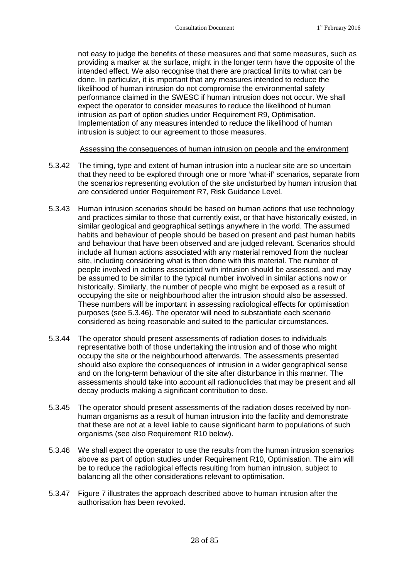not easy to judge the benefits of these measures and that some measures, such as providing a marker at the surface, might in the longer term have the opposite of the intended effect. We also recognise that there are practical limits to what can be done. In particular, it is important that any measures intended to reduce the likelihood of human intrusion do not compromise the environmental safety performance claimed in the SWESC if human intrusion does not occur. We shall expect the operator to consider measures to reduce the likelihood of human intrusion as part of option studies under Requirement R9, Optimisation. Implementation of any measures intended to reduce the likelihood of human intrusion is subject to our agreement to those measures.

#### Assessing the consequences of human intrusion on people and the environment

- 5.3.42 The timing, type and extent of human intrusion into a nuclear site are so uncertain that they need to be explored through one or more 'what-if' scenarios, separate from the scenarios representing evolution of the site undisturbed by human intrusion that are considered under [Requirement R7,](#page-25-0) Risk Guidance Level.
- 5.3.43 Human intrusion scenarios should be based on human actions that use technology and practices similar to those that currently exist, or that have historically existed, in similar geological and geographical settings anywhere in the world. The assumed habits and behaviour of people should be based on present and past human habits and behaviour that have been observed and are judged relevant. Scenarios should include all human actions associated with any material removed from the nuclear site, including considering what is then done with this material. The number of people involved in actions associated with intrusion should be assessed, and may be assumed to be similar to the typical number involved in similar actions now or historically. Similarly, the number of people who might be exposed as a result of occupying the site or neighbourhood after the intrusion should also be assessed. These numbers will be important in assessing radiological effects for optimisation purposes(see [5.3.46\)](#page-31-0). The operator will need to substantiate each scenario considered as being reasonable and suited to the particular circumstances.
- 5.3.44 The operator should present assessments of radiation doses to individuals representative both of those undertaking the intrusion and of those who might occupy the site or the neighbourhood afterwards. The assessments presented should also explore the consequences of intrusion in a wider geographical sense and on the long-term behaviour of the site after disturbance in this manner. The assessments should take into account all radionuclides that may be present and all decay products making a significant contribution to dose.
- 5.3.45 The operator should present assessments of the radiation doses received by nonhuman organisms as a result of human intrusion into the facility and demonstrate that these are not at a level liable to cause significant harm to populations of such organisms (see also Requirement R10 below).
- <span id="page-31-0"></span>5.3.46 We shall expect the operator to use the results from the human intrusion scenarios above as part of option studies under [Requirement R10,](#page-34-0) Optimisation. The aim will be to reduce the radiological effects resulting from human intrusion, subject to balancing all the other considerations relevant to optimisation.
- 5.3.47 Figure 7 illustrates the approach described above to human intrusion after the authorisation has been revoked.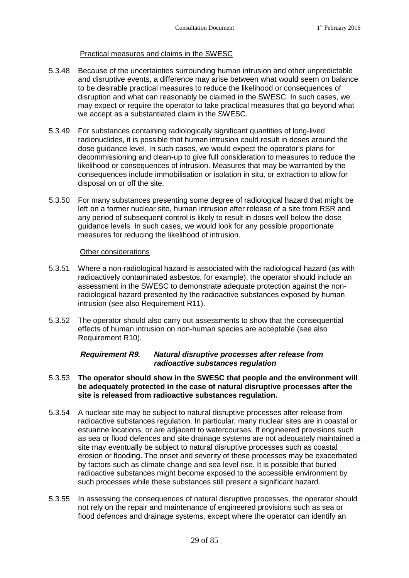#### Practical measures and claims in the SWESC

- 5.3.48 Because of the uncertainties surrounding human intrusion and other unpredictable and disruptive events, a difference may arise between what would seem on balance to be desirable practical measures to reduce the likelihood or consequences of disruption and what can reasonably be claimed in the SWESC. In such cases, we may expect or require the operator to take practical measures that go beyond what we accept as a substantiated claim in the SWESC.
- 5.3.49 For substances containing radiologically significant quantities of long-lived radionuclides, it is possible that human intrusion could result in doses around the dose guidance level. In such cases, we would expect the operator's plans for decommissioning and clean-up to give full consideration to measures to reduce the likelihood or consequences of intrusion. Measures that may be warranted by the consequences include immobilisation or isolation in situ, or extraction to allow for disposal on or off the site.
- 5.3.50 For many substances presenting some degree of radiological hazard that might be left on a former nuclear site, human intrusion after release of a site from RSR and any period of subsequent control is likely to result in doses well below the dose guidance levels. In such cases, we would look for any possible proportionate measures for reducing the likelihood of intrusion.

#### Other considerations

- 5.3.51 Where a non-radiological hazard is associated with the radiological hazard (as with radioactively contaminated asbestos, for example), the operator should include an assessment in the SWESC to demonstrate adequate protection against the nonradiological hazard presented by the radioactive substances exposed by human intrusion (see also Requirement R11).
- 5.3.52 The operator should also carry out assessments to show that the consequential effects of human intrusion on non-human species are acceptable (see also Requirement R10).

#### <span id="page-32-0"></span>**Requirement R9.** *Natural disruptive processes after release from radioactive substances regulation*

#### 5.3.53 **The operator should show in the SWESC that people and the environment will be adequately protected in the case of natural disruptive processes after the site is released from radioactive substances regulation.**

- 5.3.54 A nuclear site may be subject to natural disruptive processes after release from radioactive substances regulation. In particular, many nuclear sites are in coastal or estuarine locations, or are adjacent to watercourses. If engineered provisions such as sea or flood defences and site drainage systems are not adequately maintained a site may eventually be subject to natural disruptive processes such as coastal erosion or flooding. The onset and severity of these processes may be exacerbated by factors such as climate change and sea level rise. It is possible that buried radioactive substances might become exposed to the accessible environment by such processes while these substances still present a significant hazard.
- 5.3.55 In assessing the consequences of natural disruptive processes, the operator should not rely on the repair and maintenance of engineered provisions such as sea or flood defences and drainage systems, except where the operator can identify an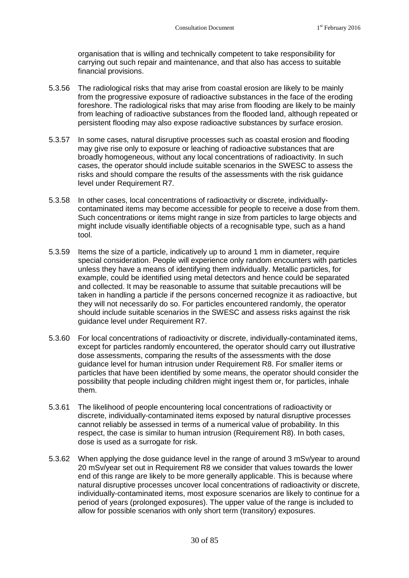organisation that is willing and technically competent to take responsibility for carrying out such repair and maintenance, and that also has access to suitable financial provisions.

- 5.3.56 The radiological risks that may arise from coastal erosion are likely to be mainly from the progressive exposure of radioactive substances in the face of the eroding foreshore. The radiological risks that may arise from flooding are likely to be mainly from leaching of radioactive substances from the flooded land, although repeated or persistent flooding may also expose radioactive substances by surface erosion.
- 5.3.57 In some cases, natural disruptive processes such as coastal erosion and flooding may give rise only to exposure or leaching of radioactive substances that are broadly homogeneous, without any local concentrations of radioactivity. In such cases, the operator should include suitable scenarios in the SWESC to assess the risks and should compare the results of the assessments with the risk guidance level under [Requirement R7](#page-25-0).
- 5.3.58 In other cases, local concentrations of radioactivity or discrete, individuallycontaminated items may become accessible for people to receive a dose from them. Such concentrations or items might range in size from particles to large objects and might include visually identifiable objects of a recognisable type, such as a hand tool.
- 5.3.59 Items the size of a particle, indicatively up to around 1 mm in diameter, require special consideration. People will experience only random encounters with particles unless they have a means of identifying them individually. Metallic particles, for example, could be identified using metal detectors and hence could be separated and collected. It may be reasonable to assume that suitable precautions will be taken in handling a particle if the persons concerned recognize it as radioactive, but they will not necessarily do so. For particles encountered randomly, the operator should include suitable scenarios in the SWESC and assess risks against the risk guidance level under [Requirement R7](#page-25-0).
- 5.3.60 For local concentrations of radioactivity or discrete, individually-contaminated items, except for particles randomly encountered, the operator should carry out illustrative dose assessments, comparing the results of the assessments with the dose guidance level for human intrusion under [Requirement R8](#page-29-0). For smaller items or particles that have been identified by some means, the operator should consider the possibility that people including children might ingest them or, for particles, inhale them.
- 5.3.61 The likelihood of people encountering local concentrations of radioactivity or discrete, individually-contaminated items exposed by natural disruptive processes cannot reliably be assessed in terms of a numerical value of probability. In this respect, the case is similar to human intrusion [\(Requirement R8](#page-29-0)). In both cases, dose is used as a surrogate for risk.
- 5.3.62 When applying the dose guidance level in the range of around 3 mSv/year to around 20 mSv/year set outin [Requirement R8](#page-29-0) we consider that values towards the lower end of this range are likely to be more generally applicable. This is because where natural disruptive processes uncover local concentrations of radioactivity or discrete, individually-contaminated items, most exposure scenarios are likely to continue for a period of years (prolonged exposures). The upper value of the range is included to allow for possible scenarios with only short term (transitory) exposures.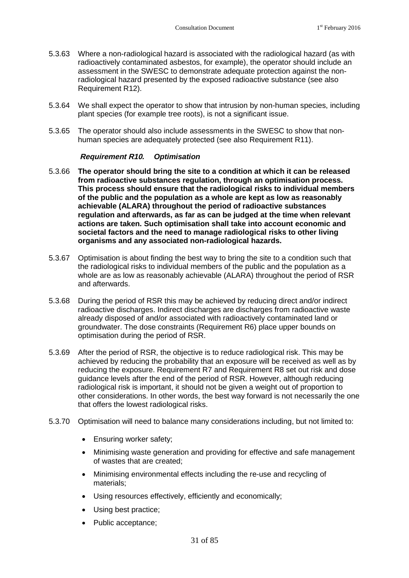- 5.3.63 Where a non-radiological hazard is associated with the radiological hazard (as with radioactively contaminated asbestos, for example), the operator should include an assessment in the SWESC to demonstrate adequate protection against the nonradiological hazard presented by the exposed radioactive substance (see also [Requirement R12\)](#page-38-1).
- 5.3.64 We shall expect the operator to show that intrusion by non-human species, including plant species (for example tree roots), is not a significant issue.
- 5.3.65 The operator should also include assessments in the SWESC to show that nonhuman species are adequately protected (seealso [Requirement R11](#page-37-0)).

#### <span id="page-34-0"></span>**Requirement R10.** *Optimisation*

- 5.3.66 **The operator should bring the site to a condition at which it can be released from radioactive substances regulation, through an optimisation process. This process should ensure that the radiological risks to individual members of the public and the population as a whole are kept as low as reasonably achievable (ALARA) throughout the period of radioactive substances regulation and afterwards, as far as can be judged at the time when relevant actions are taken. Such optimisation shall take into account economic and societal factors and the need to manage radiological risks to other living organisms and any associated non-radiological hazards.**
- 5.3.67 Optimisation is about finding the best way to bring the site to a condition such that the radiological risks to individual members of the public and the population as a whole are as low as reasonably achievable (ALARA) throughout the period of RSR and afterwards.
- 5.3.68 During the period of RSR this may be achieved by reducing direct and/or indirect radioactive discharges. Indirect discharges are discharges from radioactive waste already disposed of and/or associated with radioactively contaminated land or groundwater. The dose constraints([Requirement R6\)](#page-24-1) place upper bounds on optimisation during the period of RSR.
- 5.3.69 After the period of RSR, the objective is to reduce radiological risk. This may be achieved by reducing the probability that an exposure will be received as well as by reducing the exposure. [Requirement R7](#page-25-0)and [Requirement R8](#page-29-0) set out risk and dose guidance levels after the end of the period of RSR. However, although reducing radiological risk is important, it should not be given a weight out of proportion to other considerations. In other words, the best way forward is not necessarily the one that offers the lowest radiological risks.
- 5.3.70 Optimisation will need to balance many considerations including, but not limited to:
	- **Ensuring worker safety;**
	- Minimising waste generation and providing for effective and safe management of wastes that are created;
	- Minimising environmental effects including the re-use and recycling of materials;
	- Using resources effectively, efficiently and economically;
	- Using best practice;
	- Public acceptance;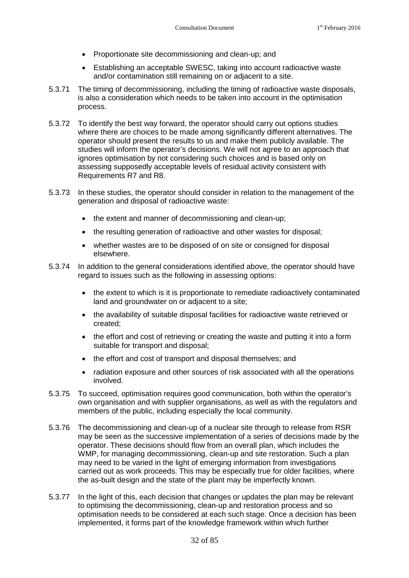- Proportionate site decommissioning and clean-up; and
- Establishing an acceptable SWESC, taking into account radioactive waste and/or contamination still remaining on or adjacent to a site.
- 5.3.71 The timing of decommissioning, including the timing of radioactive waste disposals, is also a consideration which needs to be taken into account in the optimisation process.
- 5.3.72 To identify the best way forward, the operator should carry out options studies where there are choices to be made among significantly different alternatives. The operator should present the results to us and make them publicly available. The studies will inform the operator's decisions. We will not agree to an approach that ignores optimisation by not considering such choices and is based only on assessing supposedly acceptable levels of residual activity consistent with Requirements R7 and R8.
- 5.3.73 In these studies, the operator should consider in relation to the management of the generation and disposal of radioactive waste:
	- the extent and manner of decommissioning and clean-up;
	- the resulting generation of radioactive and other wastes for disposal:
	- whether wastes are to be disposed of on site or consigned for disposal elsewhere.
- 5.3.74 In addition to the general considerations identified above, the operator should have regard to issues such as the following in assessing options:
	- the extent to which is it is proportionate to remediate radioactively contaminated land and groundwater on or adjacent to a site;
	- the availability of suitable disposal facilities for radioactive waste retrieved or created;
	- the effort and cost of retrieving or creating the waste and putting it into a form suitable for transport and disposal;
	- the effort and cost of transport and disposal themselves; and
	- radiation exposure and other sources of risk associated with all the operations involved.
- 5.3.75 To succeed, optimisation requires good communication, both within the operator's own organisation and with supplier organisations, as well as with the regulators and members of the public, including especially the local community.
- 5.3.76 The decommissioning and clean-up of a nuclear site through to release from RSR may be seen as the successive implementation of a series of decisions made by the operator. These decisions should flow from an overall plan, which includes the WMP, for managing decommissioning, clean-up and site restoration. Such a plan may need to be varied in the light of emerging information from investigations carried out as work proceeds. This may be especially true for older facilities, where the as-built design and the state of the plant may be imperfectly known.
- 5.3.77 In the light of this, each decision that changes or updates the plan may be relevant to optimising the decommissioning, clean-up and restoration process and so optimisation needs to be considered at each such stage. Once a decision has been implemented, it forms part of the knowledge framework within which further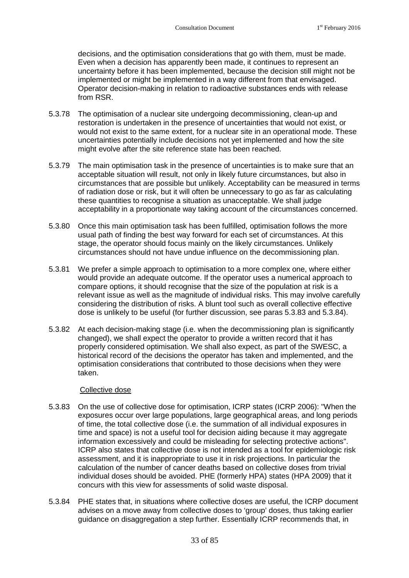decisions, and the optimisation considerations that go with them, must be made. Even when a decision has apparently been made, it continues to represent an uncertainty before it has been implemented, because the decision still might not be implemented or might be implemented in a way different from that envisaged. Operator decision-making in relation to radioactive substances ends with release from RSR.

- 5.3.78 The optimisation of a nuclear site undergoing decommissioning, clean-up and restoration is undertaken in the presence of uncertainties that would not exist, or would not exist to the same extent, for a nuclear site in an operational mode. These uncertainties potentially include decisions not yet implemented and how the site might evolve after the site reference state has been reached.
- 5.3.79 The main optimisation task in the presence of uncertainties is to make sure that an acceptable situation will result, not only in likely future circumstances, but also in circumstances that are possible but unlikely. Acceptability can be measured in terms of radiation dose or risk, but it will often be unnecessary to go as far as calculating these quantities to recognise a situation as unacceptable. We shall judge acceptability in a proportionate way taking account of the circumstances concerned.
- 5.3.80 Once this main optimisation task has been fulfilled, optimisation follows the more usual path of finding the best way forward for each set of circumstances. At this stage, the operator should focus mainly on the likely circumstances. Unlikely circumstances should not have undue influence on the decommissioning plan.
- 5.3.81 We prefer a simple approach to optimisation to a more complex one, where either would provide an adequate outcome. If the operator uses a numerical approach to compare options, it should recognise that the size of the population at risk is a relevant issue as well as the magnitude of individual risks. This may involve carefully considering the distribution of risks. A blunt tool such as overall collective effective dose is unlikely to be useful (for further discussion, see paras [5.3.83](#page-36-0)and [5.3.84\)](#page-36-1).
- 5.3.82 At each decision-making stage (i.e. when the decommissioning plan is significantly changed), we shall expect the operator to provide a written record that it has properly considered optimisation. We shall also expect, as part of the SWESC, a historical record of the decisions the operator has taken and implemented, and the optimisation considerations that contributed to those decisions when they were taken.

## <span id="page-36-0"></span>Collective dose

- 5.3.83 On the use of collective dose for optimisation, ICRP states (ICRP 2006): "When the exposures occur over large populations, large geographical areas, and long periods of time, the total collective dose (i.e. the summation of all individual exposures in time and space) is not a useful tool for decision aiding because it may aggregate information excessively and could be misleading for selecting protective actions". ICRP also states that collective dose is not intended as a tool for epidemiologic risk assessment, and it is inappropriate to use it in risk projections. In particular the calculation of the number of cancer deaths based on collective doses from trivial individual doses should be avoided. PHE (formerly HPA) states (HPA 2009) that it concurs with this view for assessments of solid waste disposal.
- <span id="page-36-1"></span>5.3.84 PHE states that, in situations where collective doses are useful, the ICRP document advises on a move away from collective doses to 'group' doses, thus taking earlier guidance on disaggregation a step further. Essentially ICRP recommends that, in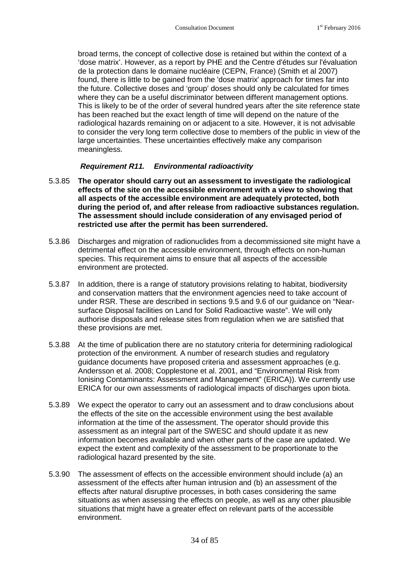broad terms, the concept of collective dose is retained but within the context of a 'dose matrix'. However, as a report by PHE and the Centre d'études sur l'évaluation de la protection dans le domaine nucléaire (CEPN, France) (Smith et al 2007) found, there is little to be gained from the 'dose matrix' approach for times far into the future. Collective doses and 'group' doses should only be calculated for times where they can be a useful discriminator between different management options. This is likely to be of the order of several hundred years after the site reference state has been reached but the exact length of time will depend on the nature of the radiological hazards remaining on or adjacent to a site. However, it is not advisable to consider the very long term collective dose to members of the public in view of the large uncertainties. These uncertainties effectively make any comparison meaningless.

## <span id="page-37-0"></span>**Requirement R11.** *Environmental radioactivity*

- 5.3.85 **The operator should carry out an assessment to investigate the radiological effects of the site on the accessible environment with a view to showing that all aspects of the accessible environment are adequately protected, both during the period of, and after release from radioactive substances regulation. The assessment should include consideration of any envisaged period of restricted use after the permit has been surrendered.**
- 5.3.86 Discharges and migration of radionuclides from a decommissioned site might have a detrimental effect on the accessible environment, through effects on non-human species. This requirement aims to ensure that all aspects of the accessible environment are protected.
- 5.3.87 In addition, there is a range of statutory provisions relating to habitat, biodiversity and conservation matters that the environment agencies need to take account of under RSR. These are described in sections 9.5 and 9.6 of our guidance on "Nearsurface Disposal facilities on Land for Solid Radioactive waste". We will only authorise disposals and release sites from regulation when we are satisfied that these provisions are met.
- 5.3.88 At the time of publication there are no statutory criteria for determining radiological protection of the environment. A number of research studies and regulatory guidance documents have proposed criteria and assessment approaches (e.g. Andersson et al. 2008; Copplestone et al. 2001, and "Environmental Risk from Ionising Contaminants: Assessment and Management" (ERICA)). We currently use ERICA for our own assessments of radiological impacts of discharges upon biota.
- 5.3.89 We expect the operator to carry out an assessment and to draw conclusions about the effects of the site on the accessible environment using the best available information at the time of the assessment. The operator should provide this assessment as an integral part of the SWESC and should update it as new information becomes available and when other parts of the case are updated. We expect the extent and complexity of the assessment to be proportionate to the radiological hazard presented by the site.
- 5.3.90 The assessment of effects on the accessible environment should include (a) an assessment of the effects after human intrusion and (b) an assessment of the effects after natural disruptive processes, in both cases considering the same situations as when assessing the effects on people, as well as any other plausible situations that might have a greater effect on relevant parts of the accessible environment.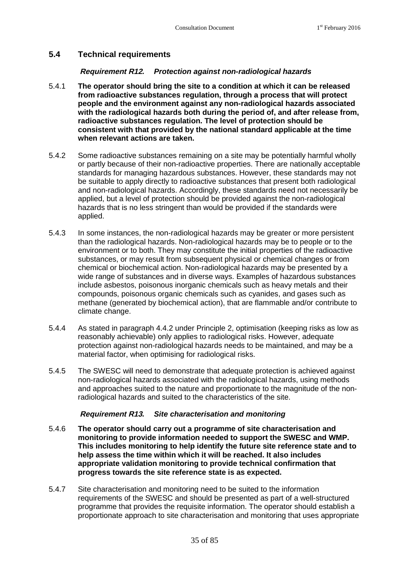## **5.4 Technical requirements**

## <span id="page-38-0"></span>**Requirement R12.** *Protection against non-radiological hazards*

- 5.4.1 **The operator should bring the site to a condition at which it can be released from radioactive substances regulation, through a process that will protect people and the environment against any non-radiological hazards associated with the radiological hazards both during the period of, and after release from, radioactive substances regulation. The level of protection should be consistent with that provided by the national standard applicable at the time when relevant actions are taken.**
- 5.4.2 Some radioactive substances remaining on a site may be potentially harmful wholly or partly because of their non-radioactive properties. There are nationally acceptable standards for managing hazardous substances. However, these standards may not be suitable to apply directly to radioactive substances that present both radiological and non-radiological hazards. Accordingly, these standards need not necessarily be applied, but a level of protection should be provided against the non-radiological hazards that is no less stringent than would be provided if the standards were applied.
- 5.4.3 In some instances, the non-radiological hazards may be greater or more persistent than the radiological hazards. Non-radiological hazards may be to people or to the environment or to both. They may constitute the initial properties of the radioactive substances, or may result from subsequent physical or chemical changes or from chemical or biochemical action. Non-radiological hazards may be presented by a wide range of substances and in diverse ways. Examples of hazardous substances include asbestos, poisonous inorganic chemicals such as heavy metals and their compounds, poisonous organic chemicals such as cyanides, and gases such as methane (generated by biochemical action), that are flammable and/or contribute to climate change.
- 5.4.4 As stated in paragraph [4.4.2](#page-16-0) under Principle 2, optimisation (keeping risks as low as reasonably achievable) only applies to radiological risks. However, adequate protection against non-radiological hazards needs to be maintained, and may be a material factor, when optimising for radiological risks.
- 5.4.5 The SWESC will need to demonstrate that adequate protection is achieved against non-radiological hazards associated with the radiological hazards, using methods and approaches suited to the nature and proportionate to the magnitude of the nonradiological hazards and suited to the characteristics of the site.

## **Requirement R13.** *Site characterisation and monitoring*

- 5.4.6 **The operator should carry out a programme of site characterisation and monitoring to provide information needed to support the SWESC and WMP. This includes monitoring to help identify the future site reference state and to help assess the time within which it will be reached. It also includes appropriate validation monitoring to provide technical confirmation that progress towards the site reference state is as expected.**
- 5.4.7 Site characterisation and monitoring need to be suited to the information requirements of the SWESC and should be presented as part of a well-structured programme that provides the requisite information. The operator should establish a proportionate approach to site characterisation and monitoring that uses appropriate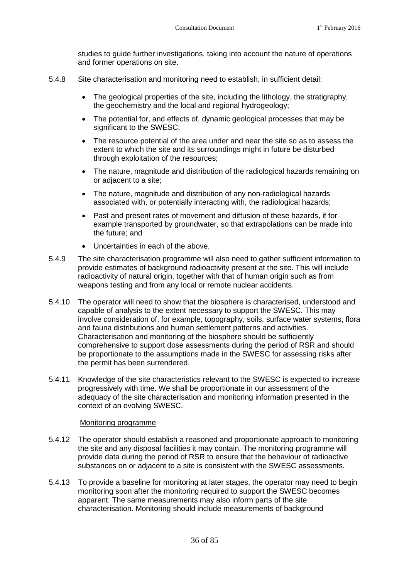studies to guide further investigations, taking into account the nature of operations and former operations on site.

- 5.4.8 Site characterisation and monitoring need to establish, in sufficient detail:
	- The geological properties of the site, including the lithology, the stratigraphy, the geochemistry and the local and regional hydrogeology;
	- The potential for, and effects of, dynamic geological processes that may be significant to the SWESC;
	- The resource potential of the area under and near the site so as to assess the extent to which the site and its surroundings might in future be disturbed through exploitation of the resources;
	- The nature, magnitude and distribution of the radiological hazards remaining on or adjacent to a site;
	- The nature, magnitude and distribution of any non-radiological hazards associated with, or potentially interacting with, the radiological hazards;
	- Past and present rates of movement and diffusion of these hazards, if for example transported by groundwater, so that extrapolations can be made into the future; and
	- Uncertainties in each of the above.
- 5.4.9 The site characterisation programme will also need to gather sufficient information to provide estimates of background radioactivity present at the site. This will include radioactivity of natural origin, together with that of human origin such as from weapons testing and from any local or remote nuclear accidents.
- 5.4.10 The operator will need to show that the biosphere is characterised, understood and capable of analysis to the extent necessary to support the SWESC. This may involve consideration of, for example, topography, soils, surface water systems, flora and fauna distributions and human settlement patterns and activities. Characterisation and monitoring of the biosphere should be sufficiently comprehensive to support dose assessments during the period of RSR and should be proportionate to the assumptions made in the SWESC for assessing risks after the permit has been surrendered.
- 5.4.11 Knowledge of the site characteristics relevant to the SWESC is expected to increase progressively with time. We shall be proportionate in our assessment of the adequacy of the site characterisation and monitoring information presented in the context of an evolving SWESC.

## Monitoring programme

- 5.4.12 The operator should establish a reasoned and proportionate approach to monitoring the site and any disposal facilities it may contain. The monitoring programme will provide data during the period of RSR to ensure that the behaviour of radioactive substances on or adjacent to a site is consistent with the SWESC assessments.
- 5.4.13 To provide a baseline for monitoring at later stages, the operator may need to begin monitoring soon after the monitoring required to support the SWESC becomes apparent. The same measurements may also inform parts of the site characterisation. Monitoring should include measurements of background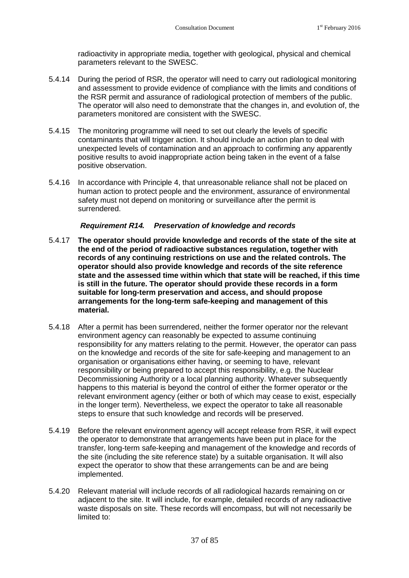radioactivity in appropriate media, together with geological, physical and chemical parameters relevant to the SWESC.

- 5.4.14 During the period of RSR, the operator will need to carry out radiological monitoring and assessment to provide evidence of compliance with the limits and conditions of the RSR permit and assurance of radiological protection of members of the public. The operator will also need to demonstrate that the changes in, and evolution of, the parameters monitored are consistent with the SWESC.
- 5.4.15 The monitoring programme will need to set out clearly the levels of specific contaminants that will trigger action. It should include an action plan to deal with unexpected levels of contamination and an approach to confirming any apparently positive results to avoid inappropriate action being taken in the event of a false positive observation.
- 5.4.16 In accordance with Principle 4, that unreasonable reliance shall not be placed on human action to protect people and the environment, assurance of environmental safety must not depend on monitoring or surveillance after the permit is surrendered.

## <span id="page-40-0"></span>**Requirement R14.** *Preservation of knowledge and records*

- 5.4.17 **The operator should provide knowledge and records of the state of the site at the end of the period of radioactive substances regulation, together with records of any continuing restrictions on use and the related controls. The operator should also provide knowledge and records of the site reference state and the assessed time within which that state will be reached, if this time is still in the future. The operator should provide these records in a form suitable for long-term preservation and access, and should propose arrangements for the long-term safe-keeping and management of this material.**
- 5.4.18 After a permit has been surrendered, neither the former operator nor the relevant environment agency can reasonably be expected to assume continuing responsibility for any matters relating to the permit. However, the operator can pass on the knowledge and records of the site for safe-keeping and management to an organisation or organisations either having, or seeming to have, relevant responsibility or being prepared to accept this responsibility, e.g. the Nuclear Decommissioning Authority or a local planning authority. Whatever subsequently happens to this material is beyond the control of either the former operator or the relevant environment agency (either or both of which may cease to exist, especially in the longer term). Nevertheless, we expect the operator to take all reasonable steps to ensure that such knowledge and records will be preserved.
- 5.4.19 Before the relevant environment agency will accept release from RSR, it will expect the operator to demonstrate that arrangements have been put in place for the transfer, long-term safe-keeping and management of the knowledge and records of the site (including the site reference state) by a suitable organisation. It will also expect the operator to show that these arrangements can be and are being implemented.
- 5.4.20 Relevant material will include records of all radiological hazards remaining on or adjacent to the site. It will include, for example, detailed records of any radioactive waste disposals on site. These records will encompass, but will not necessarily be limited to: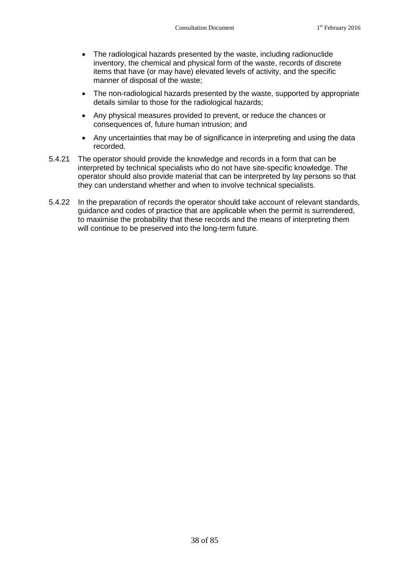- The radiological hazards presented by the waste, including radionuclide inventory, the chemical and physical form of the waste, records of discrete items that have (or may have) elevated levels of activity, and the specific manner of disposal of the waste;
- The non-radiological hazards presented by the waste, supported by appropriate details similar to those for the radiological hazards;
- Any physical measures provided to prevent, or reduce the chances or consequences of, future human intrusion; and
- Any uncertainties that may be of significance in interpreting and using the data recorded.
- 5.4.21 The operator should provide the knowledge and records in a form that can be interpreted by technical specialists who do not have site-specific knowledge. The operator should also provide material that can be interpreted by lay persons so that they can understand whether and when to involve technical specialists.
- 5.4.22 In the preparation of records the operator should take account of relevant standards, guidance and codes of practice that are applicable when the permit is surrendered, to maximise the probability that these records and the means of interpreting them will continue to be preserved into the long-term future.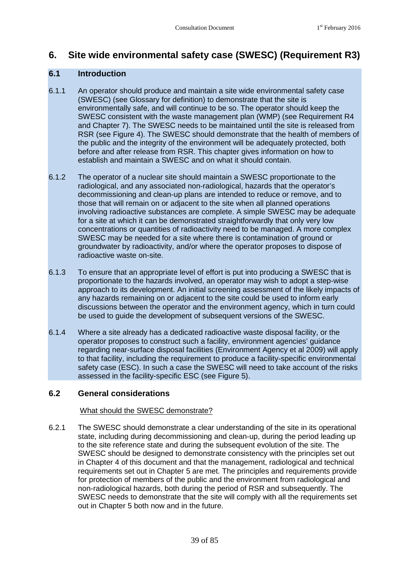## <span id="page-42-0"></span>**6. Site wide environmental safety case (SWESC) (Requirement R3)**

## **6.1 Introduction**

- 6.1.1 An operator should produce and maintain a site wide environmental safety case (SWESC) (see Glossary for definition) to demonstrate that the site is environmentally safe, and will continue to be so. The operator should keep the SWESC consistent with the waste management plan (WMP)(see [Requirement R4](#page-22-0) and Chapter 7). The SWESC needs to be maintained until the site is released from RSR (see Figure 4). The SWESC should demonstrate that the health of members of the public and the integrity of the environment will be adequately protected, both before and after release from RSR. This chapter gives information on how to establish and maintain a SWESC and on what it should contain.
- 6.1.2 The operator of a nuclear site should maintain a SWESC proportionate to the radiological, and any associated non-radiological, hazards that the operator's decommissioning and clean-up plans are intended to reduce or remove, and to those that will remain on or adjacent to the site when all planned operations involving radioactive substances are complete. A simple SWESC may be adequate for a site at which it can be demonstrated straightforwardly that only very low concentrations or quantities of radioactivity need to be managed. A more complex SWESC may be needed for a site where there is contamination of ground or groundwater by radioactivity, and/or where the operator proposes to dispose of radioactive waste on-site.
- 6.1.3 To ensure that an appropriate level of effort is put into producing a SWESC that is proportionate to the hazards involved, an operator may wish to adopt a step-wise approach to its development. An initial screening assessment of the likely impacts of any hazards remaining on or adjacent to the site could be used to inform early discussions between the operator and the environment agency, which in turn could be used to guide the development of subsequent versions of the SWESC.
- 6.1.4 Where a site already has a dedicated radioactive waste disposal facility, or the operator proposes to construct such a facility, environment agencies' guidance regarding near-surface disposal facilities (Environment Agency et al 2009) will apply to that facility, including the requirement to produce a facility-specific environmental safety case (ESC). In such a case the SWESC will need to take account of the risks assessed in the facility-specific ESC (see Figure 5).

## **6.2 General considerations**

## What should the SWESC demonstrate?

6.2.1 The SWESC should demonstrate a clear understanding of the site in its operational state, including during decommissioning and clean-up, during the period leading up to the site reference state and during the subsequent evolution of the site. The SWESC should be designed to demonstrate consistency with the principles set out in Chapter [4](#page-15-0) of this document and that the management, radiological and technical requirements set out in Chapter [5](#page-20-0) are met. The principles and requirements provide for protection of members of the public and the environment from radiological and non-radiological hazards, both during the period of RSR and subsequently. The SWESC needs to demonstrate that the site will comply with all the requirements set out in Chapter [5](#page-20-0) both now and in the future.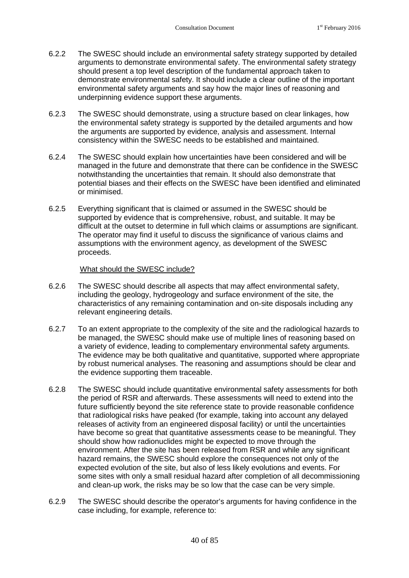- <span id="page-43-0"></span>6.2.2 The SWESC should include an environmental safety strategy supported by detailed arguments to demonstrate environmental safety. The environmental safety strategy should present a top level description of the fundamental approach taken to demonstrate environmental safety. It should include a clear outline of the important environmental safety arguments and say how the major lines of reasoning and underpinning evidence support these arguments.
- 6.2.3 The SWESC should demonstrate, using a structure based on clear linkages, how the environmental safety strategy is supported by the detailed arguments and how the arguments are supported by evidence, analysis and assessment. Internal consistency within the SWESC needs to be established and maintained.
- 6.2.4 The SWESC should explain how uncertainties have been considered and will be managed in the future and demonstrate that there can be confidence in the SWESC notwithstanding the uncertainties that remain. It should also demonstrate that potential biases and their effects on the SWESC have been identified and eliminated or minimised.
- 6.2.5 Everything significant that is claimed or assumed in the SWESC should be supported by evidence that is comprehensive, robust, and suitable. It may be difficult at the outset to determine in full which claims or assumptions are significant. The operator may find it useful to discuss the significance of various claims and assumptions with the environment agency, as development of the SWESC proceeds.

## What should the SWESC include?

- 6.2.6 The SWESC should describe all aspects that may affect environmental safety, including the geology, hydrogeology and surface environment of the site, the characteristics of any remaining contamination and on-site disposals including any relevant engineering details.
- 6.2.7 To an extent appropriate to the complexity of the site and the radiological hazards to be managed, the SWESC should make use of multiple lines of reasoning based on a variety of evidence, leading to complementary environmental safety arguments. The evidence may be both qualitative and quantitative, supported where appropriate by robust numerical analyses. The reasoning and assumptions should be clear and the evidence supporting them traceable.
- 6.2.8 The SWESC should include quantitative environmental safety assessments for both the period of RSR and afterwards. These assessments will need to extend into the future sufficiently beyond the site reference state to provide reasonable confidence that radiological risks have peaked (for example, taking into account any delayed releases of activity from an engineered disposal facility) or until the uncertainties have become so great that quantitative assessments cease to be meaningful. They should show how radionuclides might be expected to move through the environment. After the site has been released from RSR and while any significant hazard remains, the SWESC should explore the consequences not only of the expected evolution of the site, but also of less likely evolutions and events. For some sites with only a small residual hazard after completion of all decommissioning and clean-up work, the risks may be so low that the case can be very simple.
- 6.2.9 The SWESC should describe the operator's arguments for having confidence in the case including, for example, reference to: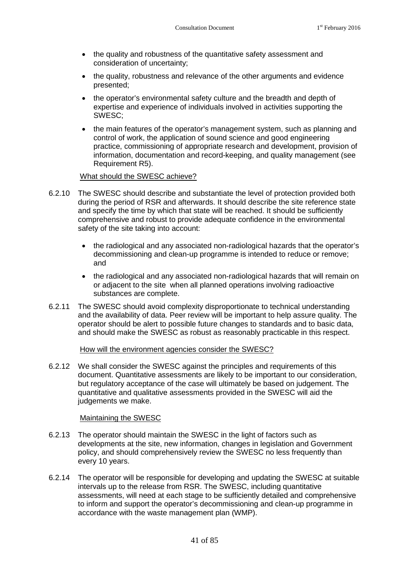- the quality and robustness of the quantitative safety assessment and consideration of uncertainty;
- the quality, robustness and relevance of the other arguments and evidence presented;
- the operator's environmental safety culture and the breadth and depth of expertise and experience of individuals involved in activities supporting the SWESC;
- the main features of the operator's management system, such as planning and control of work, the application of sound science and good engineering practice, commissioning of appropriate research and development, provision of information, documentation and record-keeping, and quality management (see [Requirement R5](#page-23-0)).

## What should the SWESC achieve?

- 6.2.10 The SWESC should describe and substantiate the level of protection provided both during the period of RSR and afterwards. It should describe the site reference state and specify the time by which that state will be reached. It should be sufficiently comprehensive and robust to provide adequate confidence in the environmental safety of the site taking into account:
	- the radiological and any associated non-radiological hazards that the operator's decommissioning and clean-up programme is intended to reduce or remove; and
	- the radiological and any associated non-radiological hazards that will remain on or adjacent to the site when all planned operations involving radioactive substances are complete.
- 6.2.11 The SWESC should avoid complexity disproportionate to technical understanding and the availability of data. Peer review will be important to help assure quality. The operator should be alert to possible future changes to standards and to basic data, and should make the SWESC as robust as reasonably practicable in this respect.

## How will the environment agencies consider the SWESC?

6.2.12 We shall consider the SWESC against the principles and requirements of this document. Quantitative assessments are likely to be important to our consideration, but regulatory acceptance of the case will ultimately be based on judgement. The quantitative and qualitative assessments provided in the SWESC will aid the judgements we make.

## Maintaining the SWESC

- 6.2.13 The operator should maintain the SWESC in the light of factors such as developments at the site, new information, changes in legislation and Government policy, and should comprehensively review the SWESC no less frequently than every 10 years.
- 6.2.14 The operator will be responsible for developing and updating the SWESC at suitable intervals up to the release from RSR. The SWESC, including quantitative assessments, will need at each stage to be sufficiently detailed and comprehensive to inform and support the operator's decommissioning and clean-up programme in accordance with the waste management plan (WMP).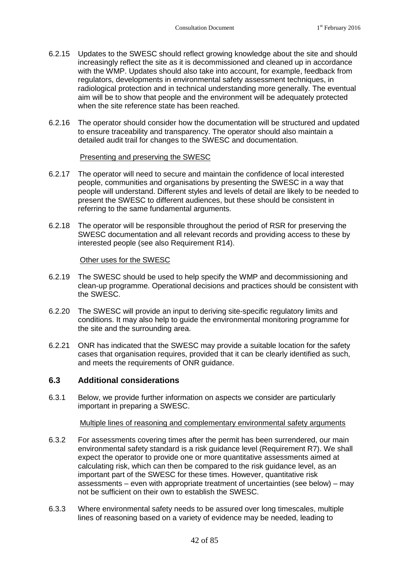- 6.2.15 Updates to the SWESC should reflect growing knowledge about the site and should increasingly reflect the site as it is decommissioned and cleaned up in accordance with the WMP. Updates should also take into account, for example, feedback from regulators, developments in environmental safety assessment techniques, in radiological protection and in technical understanding more generally. The eventual aim will be to show that people and the environment will be adequately protected when the site reference state has been reached.
- 6.2.16 The operator should consider how the documentation will be structured and updated to ensure traceability and transparency. The operator should also maintain a detailed audit trail for changes to the SWESC and documentation.

## Presenting and preserving the SWESC

- 6.2.17 The operator will need to secure and maintain the confidence of local interested people, communities and organisations by presenting the SWESC in a way that people will understand. Different styles and levels of detail are likely to be needed to present the SWESC to different audiences, but these should be consistent in referring to the same fundamental arguments.
- 6.2.18 The operator will be responsible throughout the period of RSR for preserving the SWESC documentation and all relevant records and providing access to these by interested people (seealso [Requirement R14\)](#page-40-0).

## Other uses for the SWESC

- 6.2.19 The SWESC should be used to help specify the WMP and decommissioning and clean-up programme. Operational decisions and practices should be consistent with the SWESC.
- 6.2.20 The SWESC will provide an input to deriving site-specific regulatory limits and conditions. It may also help to guide the environmental monitoring programme for the site and the surrounding area.
- 6.2.21 ONR has indicated that the SWESC may provide a suitable location for the safety cases that organisation requires, provided that it can be clearly identified as such, and meets the requirements of ONR guidance.

## **6.3 Additional considerations**

6.3.1 Below, we provide further information on aspects we consider are particularly important in preparing a SWESC.

## Multiple lines of reasoning and complementary environmental safety arguments

- 6.3.2 For assessments covering times after the permit has been surrendered, our main environmental safety standard is a risk guidancelevel [\(Requirement R7](#page-25-0)). We shall expect the operator to provide one or more quantitative assessments aimed at calculating risk, which can then be compared to the risk guidance level, as an important part of the SWESC for these times. However, quantitative risk assessments – even with appropriate treatment of uncertainties (see below) – may not be sufficient on their own to establish the SWESC.
- 6.3.3 Where environmental safety needs to be assured over long timescales, multiple lines of reasoning based on a variety of evidence may be needed, leading to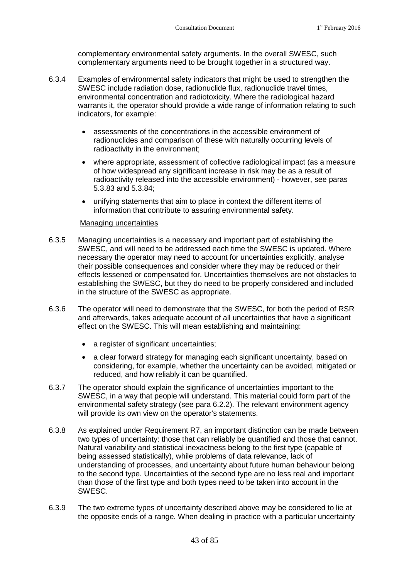complementary environmental safety arguments. In the overall SWESC, such complementary arguments need to be brought together in a structured way.

- 6.3.4 Examples of environmental safety indicators that might be used to strengthen the SWESC include radiation dose, radionuclide flux, radionuclide travel times, environmental concentration and radiotoxicity. Where the radiological hazard warrants it, the operator should provide a wide range of information relating to such indicators, for example:
	- assessments of the concentrations in the accessible environment of radionuclides and comparison of these with naturally occurring levels of radioactivity in the environment;
	- where appropriate, assessment of collective radiological impact (as a measure of how widespread any significant increase in risk may be as a result of radioactivity released into the accessible environment) - however, see paras [5.3.83](#page-36-0)and [5.3.84;](#page-36-1)
	- unifying statements that aim to place in context the different items of information that contribute to assuring environmental safety.

## Managing uncertainties

- 6.3.5 Managing uncertainties is a necessary and important part of establishing the SWESC, and will need to be addressed each time the SWESC is updated. Where necessary the operator may need to account for uncertainties explicitly, analyse their possible consequences and consider where they may be reduced or their effects lessened or compensated for. Uncertainties themselves are not obstacles to establishing the SWESC, but they do need to be properly considered and included in the structure of the SWESC as appropriate.
- 6.3.6 The operator will need to demonstrate that the SWESC, for both the period of RSR and afterwards, takes adequate account of all uncertainties that have a significant effect on the SWESC. This will mean establishing and maintaining:
	- a register of significant uncertainties;
	- a clear forward strategy for managing each significant uncertainty, based on considering, for example, whether the uncertainty can be avoided, mitigated or reduced, and how reliably it can be quantified.
- 6.3.7 The operator should explain the significance of uncertainties important to the SWESC, in a way that people will understand. This material could form part of the environmental safety strategy (seepara [6.2.2](#page-43-0)). The relevant environment agency will provide its own view on the operator's statements.
- 6.3.8 As explained under [Requirement R7,](#page-25-0) an important distinction can be made between two types of uncertainty: those that can reliably be quantified and those that cannot. Natural variability and statistical inexactness belong to the first type (capable of being assessed statistically), while problems of data relevance, lack of understanding of processes, and uncertainty about future human behaviour belong to the second type. Uncertainties of the second type are no less real and important than those of the first type and both types need to be taken into account in the SWESC.
- 6.3.9 The two extreme types of uncertainty described above may be considered to lie at the opposite ends of a range. When dealing in practice with a particular uncertainty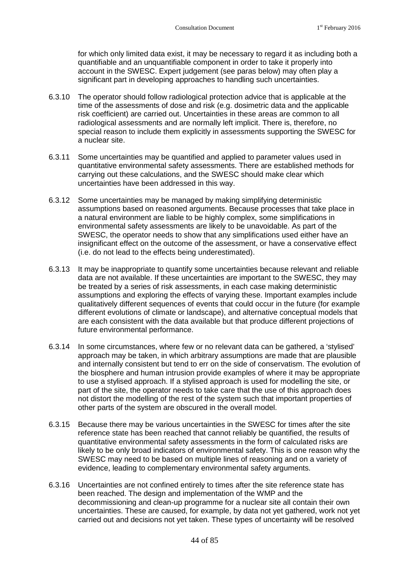for which only limited data exist, it may be necessary to regard it as including both a quantifiable and an unquantifiable component in order to take it properly into account in the SWESC. Expert judgement (see paras below) may often play a significant part in developing approaches to handling such uncertainties.

- 6.3.10 The operator should follow radiological protection advice that is applicable at the time of the assessments of dose and risk (e.g. dosimetric data and the applicable risk coefficient) are carried out. Uncertainties in these areas are common to all radiological assessments and are normally left implicit. There is, therefore, no special reason to include them explicitly in assessments supporting the SWESC for a nuclear site.
- 6.3.11 Some uncertainties may be quantified and applied to parameter values used in quantitative environmental safety assessments. There are established methods for carrying out these calculations, and the SWESC should make clear which uncertainties have been addressed in this way.
- 6.3.12 Some uncertainties may be managed by making simplifying deterministic assumptions based on reasoned arguments. Because processes that take place in a natural environment are liable to be highly complex, some simplifications in environmental safety assessments are likely to be unavoidable. As part of the SWESC, the operator needs to show that any simplifications used either have an insignificant effect on the outcome of the assessment, or have a conservative effect (i.e. do not lead to the effects being underestimated).
- 6.3.13 It may be inappropriate to quantify some uncertainties because relevant and reliable data are not available. If these uncertainties are important to the SWESC, they may be treated by a series of risk assessments, in each case making deterministic assumptions and exploring the effects of varying these. Important examples include qualitatively different sequences of events that could occur in the future (for example different evolutions of climate or landscape), and alternative conceptual models that are each consistent with the data available but that produce different projections of future environmental performance.
- <span id="page-47-0"></span>6.3.14 In some circumstances, where few or no relevant data can be gathered, a 'stylised' approach may be taken, in which arbitrary assumptions are made that are plausible and internally consistent but tend to err on the side of conservatism. The evolution of the biosphere and human intrusion provide examples of where it may be appropriate to use a stylised approach. If a stylised approach is used for modelling the site, or part of the site, the operator needs to take care that the use of this approach does not distort the modelling of the rest of the system such that important properties of other parts of the system are obscured in the overall model.
- 6.3.15 Because there may be various uncertainties in the SWESC for times after the site reference state has been reached that cannot reliably be quantified, the results of quantitative environmental safety assessments in the form of calculated risks are likely to be only broad indicators of environmental safety. This is one reason why the SWESC may need to be based on multiple lines of reasoning and on a variety of evidence, leading to complementary environmental safety arguments.
- 6.3.16 Uncertainties are not confined entirely to times after the site reference state has been reached. The design and implementation of the WMP and the decommissioning and clean-up programme for a nuclear site all contain their own uncertainties. These are caused, for example, by data not yet gathered, work not yet carried out and decisions not yet taken. These types of uncertainty will be resolved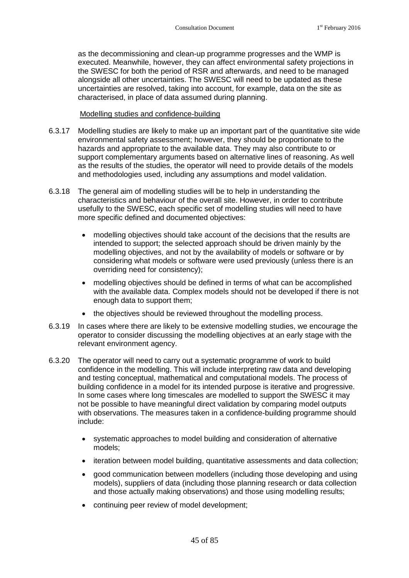as the decommissioning and clean-up programme progresses and the WMP is executed. Meanwhile, however, they can affect environmental safety projections in the SWESC for both the period of RSR and afterwards, and need to be managed alongside all other uncertainties. The SWESC will need to be updated as these uncertainties are resolved, taking into account, for example, data on the site as characterised, in place of data assumed during planning.

## Modelling studies and confidence-building

- 6.3.17 Modelling studies are likely to make up an important part of the quantitative site wide environmental safety assessment; however, they should be proportionate to the hazards and appropriate to the available data. They may also contribute to or support complementary arguments based on alternative lines of reasoning. As well as the results of the studies, the operator will need to provide details of the models and methodologies used, including any assumptions and model validation.
- 6.3.18 The general aim of modelling studies will be to help in understanding the characteristics and behaviour of the overall site. However, in order to contribute usefully to the SWESC, each specific set of modelling studies will need to have more specific defined and documented objectives:
	- modelling objectives should take account of the decisions that the results are intended to support; the selected approach should be driven mainly by the modelling objectives, and not by the availability of models or software or by considering what models or software were used previously (unless there is an overriding need for consistency);
	- modelling objectives should be defined in terms of what can be accomplished with the available data. Complex models should not be developed if there is not enough data to support them;
	- the objectives should be reviewed throughout the modelling process.
- 6.3.19 In cases where there are likely to be extensive modelling studies, we encourage the operator to consider discussing the modelling objectives at an early stage with the relevant environment agency.
- 6.3.20 The operator will need to carry out a systematic programme of work to build confidence in the modelling. This will include interpreting raw data and developing and testing conceptual, mathematical and computational models. The process of building confidence in a model for its intended purpose is iterative and progressive. In some cases where long timescales are modelled to support the SWESC it may not be possible to have meaningful direct validation by comparing model outputs with observations. The measures taken in a confidence-building programme should include:
	- systematic approaches to model building and consideration of alternative models;
	- iteration between model building, quantitative assessments and data collection;
	- good communication between modellers (including those developing and using models), suppliers of data (including those planning research or data collection and those actually making observations) and those using modelling results;
	- continuing peer review of model development;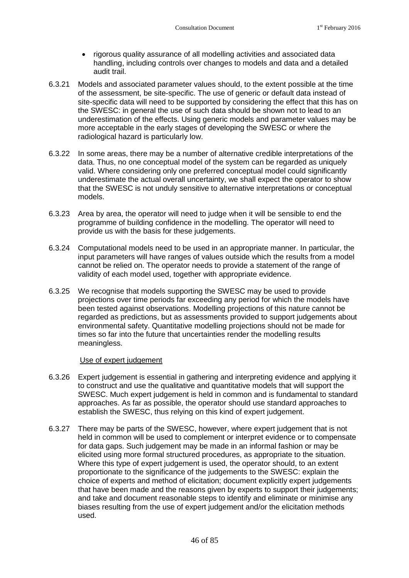- rigorous quality assurance of all modelling activities and associated data handling, including controls over changes to models and data and a detailed audit trail.
- 6.3.21 Models and associated parameter values should, to the extent possible at the time of the assessment, be site-specific. The use of generic or default data instead of site-specific data will need to be supported by considering the effect that this has on the SWESC: in general the use of such data should be shown not to lead to an underestimation of the effects. Using generic models and parameter values may be more acceptable in the early stages of developing the SWESC or where the radiological hazard is particularly low.
- 6.3.22 In some areas, there may be a number of alternative credible interpretations of the data. Thus, no one conceptual model of the system can be regarded as uniquely valid. Where considering only one preferred conceptual model could significantly underestimate the actual overall uncertainty, we shall expect the operator to show that the SWESC is not unduly sensitive to alternative interpretations or conceptual models.
- 6.3.23 Area by area, the operator will need to judge when it will be sensible to end the programme of building confidence in the modelling. The operator will need to provide us with the basis for these judgements.
- 6.3.24 Computational models need to be used in an appropriate manner. In particular, the input parameters will have ranges of values outside which the results from a model cannot be relied on. The operator needs to provide a statement of the range of validity of each model used, together with appropriate evidence.
- 6.3.25 We recognise that models supporting the SWESC may be used to provide projections over time periods far exceeding any period for which the models have been tested against observations. Modelling projections of this nature cannot be regarded as predictions, but as assessments provided to support judgements about environmental safety. Quantitative modelling projections should not be made for times so far into the future that uncertainties render the modelling results meaningless.

## Use of expert judgement

- 6.3.26 Expert judgement is essential in gathering and interpreting evidence and applying it to construct and use the qualitative and quantitative models that will support the SWESC. Much expert judgement is held in common and is fundamental to standard approaches. As far as possible, the operator should use standard approaches to establish the SWESC, thus relying on this kind of expert judgement.
- 6.3.27 There may be parts of the SWESC, however, where expert judgement that is not held in common will be used to complement or interpret evidence or to compensate for data gaps. Such judgement may be made in an informal fashion or may be elicited using more formal structured procedures, as appropriate to the situation. Where this type of expert judgement is used, the operator should, to an extent proportionate to the significance of the judgements to the SWESC: explain the choice of experts and method of elicitation; document explicitly expert judgements that have been made and the reasons given by experts to support their judgements; and take and document reasonable steps to identify and eliminate or minimise any biases resulting from the use of expert judgement and/or the elicitation methods used.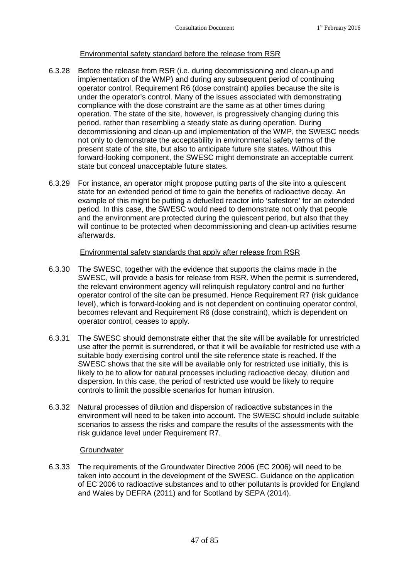## Environmental safety standard before the release from RSR

- 6.3.28 Before the release from RSR (i.e. during decommissioning and clean-up and implementation of the WMP) and during any subsequent period of continuing operator control, [Requirement R6](#page-24-0) (dose constraint) applies because the site is under the operator's control. Many of the issues associated with demonstrating compliance with the dose constraint are the same as at other times during operation. The state of the site, however, is progressively changing during this period, rather than resembling a steady state as during operation. During decommissioning and clean-up and implementation of the WMP, the SWESC needs not only to demonstrate the acceptability in environmental safety terms of the present state of the site, but also to anticipate future site states. Without this forward-looking component, the SWESC might demonstrate an acceptable current state but conceal unacceptable future states.
- 6.3.29 For instance, an operator might propose putting parts of the site into a quiescent state for an extended period of time to gain the benefits of radioactive decay. An example of this might be putting a defuelled reactor into 'safestore' for an extended period. In this case, the SWESC would need to demonstrate not only that people and the environment are protected during the quiescent period, but also that they will continue to be protected when decommissioning and clean-up activities resume afterwards.

## Environmental safety standards that apply after release from RSR

- 6.3.30 The SWESC, together with the evidence that supports the claims made in the SWESC, will provide a basis for release from RSR. When the permit is surrendered, the relevant environment agency will relinquish regulatory control and no further operator control of the site can be presumed. Hence [Requirement R7](#page-25-0) (risk guidance level), which is forward-looking and is not dependent on continuing operator control, becomes relevantand [Requirement R6](#page-24-0) (dose constraint), which is dependent on operator control, ceases to apply.
- 6.3.31 The SWESC should demonstrate either that the site will be available for unrestricted use after the permit is surrendered, or that it will be available for restricted use with a suitable body exercising control until the site reference state is reached. If the SWESC shows that the site will be available only for restricted use initially, this is likely to be to allow for natural processes including radioactive decay, dilution and dispersion. In this case, the period of restricted use would be likely to require controls to limit the possible scenarios for human intrusion.
- 6.3.32 Natural processes of dilution and dispersion of radioactive substances in the environment will need to be taken into account. The SWESC should include suitable scenarios to assess the risks and compare the results of the assessments with the risk guidance level under [Requirement R7](#page-25-0).

## **Groundwater**

6.3.33 The requirements of the Groundwater Directive 2006 (EC 2006) will need to be taken into account in the development of the SWESC. Guidance on the application of EC 2006 to radioactive substances and to other pollutants is provided for England and Wales by DEFRA (2011) and for Scotland by SEPA (2014).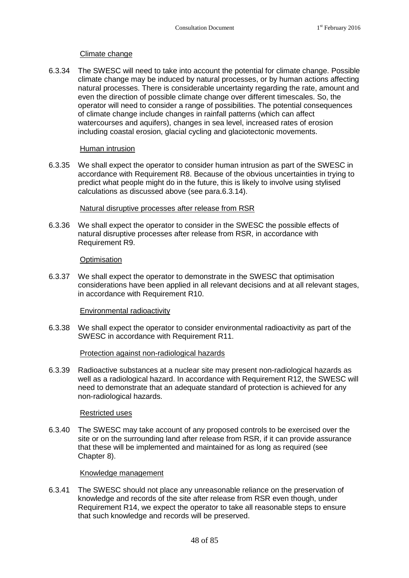## Climate change

6.3.34 The SWESC will need to take into account the potential for climate change. Possible climate change may be induced by natural processes, or by human actions affecting natural processes. There is considerable uncertainty regarding the rate, amount and even the direction of possible climate change over different timescales. So, the operator will need to consider a range of possibilities. The potential consequences of climate change include changes in rainfall patterns (which can affect watercourses and aquifers), changes in sea level, increased rates of erosion including coastal erosion, glacial cycling and glaciotectonic movements.

## Human intrusion

6.3.35 We shall expect the operator to consider human intrusion as part of the SWESC in accordancewith [Requirement R8](#page-29-0). Because of the obvious uncertainties in trying to predict what people might do in the future, this is likely to involve using stylised calculations as discussed above (seepara[.6.3.14\)](#page-47-0).

## Natural disruptive processes after release from RSR

6.3.36 We shall expect the operator to consider in the SWESC the possible effects of natural disruptive processes after release from RSR, in accordance with [Requirement R9.](#page-32-0)

## **Optimisation**

6.3.37 We shall expect the operator to demonstrate in the SWESC that optimisation considerations have been applied in all relevant decisions and at all relevant stages, in accordancewith [Requirement R10.](#page-34-0)

## Environmental radioactivity

6.3.38 We shall expect the operator to consider environmental radioactivity as part of the SWESC in accordancewith [Requirement R11](#page-37-0).

## Protection against non-radiological hazards

6.3.39 Radioactive substances at a nuclear site may present non-radiological hazards as well as a radiological hazard. In accordancewith [Requirement R12,](#page-38-0) the SWESC will need to demonstrate that an adequate standard of protection is achieved for any non-radiological hazards.

## Restricted uses

6.3.40 The SWESC may take account of any proposed controls to be exercised over the site or on the surrounding land after release from RSR, if it can provide assurance that these will be implemented and maintained for as long as required (see Chapter [8\)](#page-59-0).

## Knowledge management

6.3.41 The SWESC should not place any unreasonable reliance on the preservation of knowledge and records of the site after release from RSR even though, under [Requirement R14,](#page-40-0) we expect the operator to take all reasonable steps to ensure that such knowledge and records will be preserved.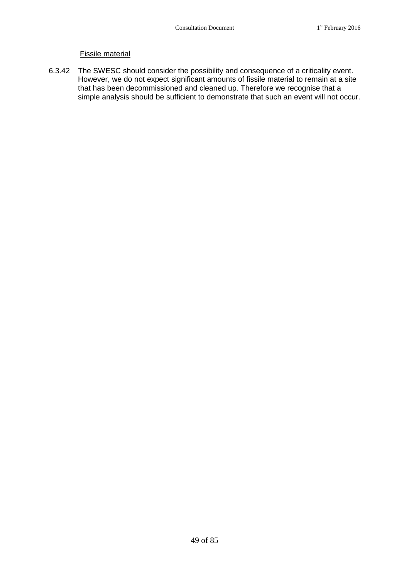## Fissile material

6.3.42 The SWESC should consider the possibility and consequence of a criticality event. However, we do not expect significant amounts of fissile material to remain at a site that has been decommissioned and cleaned up. Therefore we recognise that a simple analysis should be sufficient to demonstrate that such an event will not occur.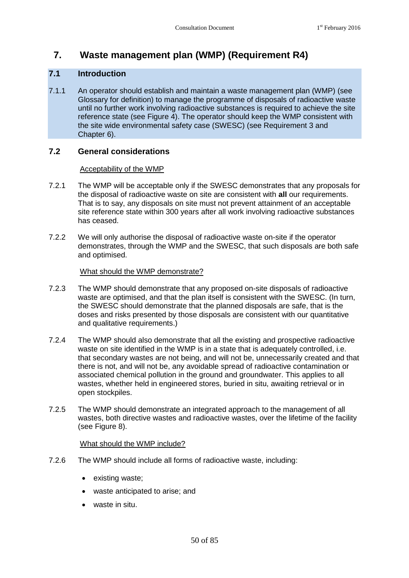## **7. Waste management plan (WMP) (Requirement R4)**

## **7.1 Introduction**

7.1.1 An operator should establish and maintain a waste management plan (WMP) (see Glossary for definition) to manage the programme of disposals of radioactive waste until no further work involving radioactive substances is required to achieve the site reference state (see Figure 4). The operator should keep the WMP consistent with the site wide environmental safety case (SWESC) (see Requirement 3 and Chapter 6).

## **7.2 General considerations**

## Acceptability of the WMP

- 7.2.1 The WMP will be acceptable only if the SWESC demonstrates that any proposals for the disposal of radioactive waste on site are consistent with **all** our requirements. That is to say, any disposals on site must not prevent attainment of an acceptable site reference state within 300 years after all work involving radioactive substances has ceased.
- 7.2.2 We will only authorise the disposal of radioactive waste on-site if the operator demonstrates, through the WMP and the SWESC, that such disposals are both safe and optimised.

## What should the WMP demonstrate?

- 7.2.3 The WMP should demonstrate that any proposed on-site disposals of radioactive waste are optimised, and that the plan itself is consistent with the SWESC. (In turn, the SWESC should demonstrate that the planned disposals are safe, that is the doses and risks presented by those disposals are consistent with our quantitative and qualitative requirements.)
- 7.2.4 The WMP should also demonstrate that all the existing and prospective radioactive waste on site identified in the WMP is in a state that is adequately controlled, i.e. that secondary wastes are not being, and will not be, unnecessarily created and that there is not, and will not be, any avoidable spread of radioactive contamination or associated chemical pollution in the ground and groundwater. This applies to all wastes, whether held in engineered stores, buried in situ, awaiting retrieval or in open stockpiles.
- 7.2.5 The WMP should demonstrate an integrated approach to the management of all wastes, both directive wastes and radioactive wastes, over the lifetime of the facility (see Figure 8).

## What should the WMP include?

- 7.2.6 The WMP should include all forms of radioactive waste, including:
	- existing waste;
	- waste anticipated to arise; and
	- waste in situ.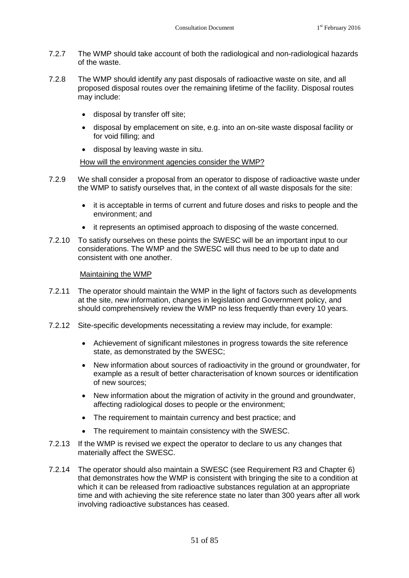- 7.2.7 The WMP should take account of both the radiological and non-radiological hazards of the waste.
- 7.2.8 The WMP should identify any past disposals of radioactive waste on site, and all proposed disposal routes over the remaining lifetime of the facility. Disposal routes may include:
	- disposal by transfer off site;
	- disposal by emplacement on site, e.g. into an on-site waste disposal facility or for void filling; and
	- disposal by leaving waste in situ.

## How will the environment agencies consider the WMP?

- 7.2.9 We shall consider a proposal from an operator to dispose of radioactive waste under the WMP to satisfy ourselves that, in the context of all waste disposals for the site:
	- it is acceptable in terms of current and future doses and risks to people and the environment; and
	- it represents an optimised approach to disposing of the waste concerned.
- 7.2.10 To satisfy ourselves on these points the SWESC will be an important input to our considerations. The WMP and the SWESC will thus need to be up to date and consistent with one another.

## Maintaining the WMP

- 7.2.11 The operator should maintain the WMP in the light of factors such as developments at the site, new information, changes in legislation and Government policy, and should comprehensively review the WMP no less frequently than every 10 years.
- 7.2.12 Site-specific developments necessitating a review may include, for example:
	- Achievement of significant milestones in progress towards the site reference state, as demonstrated by the SWESC;
	- New information about sources of radioactivity in the ground or groundwater, for example as a result of better characterisation of known sources or identification of new sources;
	- New information about the migration of activity in the ground and groundwater, affecting radiological doses to people or the environment;
	- The requirement to maintain currency and best practice; and
	- The requirement to maintain consistency with the SWESC.
- 7.2.13 If the WMP is revised we expect the operator to declare to us any changes that materially affect the SWESC.
- 7.2.14 The operator should also maintain a SWESC(see [Requirement R3](#page-21-0) and Chapter [6\)](#page-42-0) that demonstrates how the WMP is consistent with bringing the site to a condition at which it can be released from radioactive substances regulation at an appropriate time and with achieving the site reference state no later than 300 years after all work involving radioactive substances has ceased.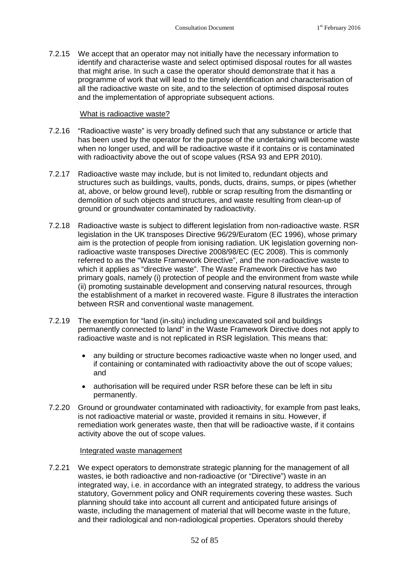7.2.15 We accept that an operator may not initially have the necessary information to identify and characterise waste and select optimised disposal routes for all wastes that might arise. In such a case the operator should demonstrate that it has a programme of work that will lead to the timely identification and characterisation of all the radioactive waste on site, and to the selection of optimised disposal routes and the implementation of appropriate subsequent actions.

## What is radioactive waste?

- 7.2.16 "Radioactive waste" is very broadly defined such that any substance or article that has been used by the operator for the purpose of the undertaking will become waste when no longer used, and will be radioactive waste if it contains or is contaminated with radioactivity above the out of scope values (RSA 93 and EPR 2010).
- 7.2.17 Radioactive waste may include, but is not limited to, redundant objects and structures such as buildings, vaults, ponds, ducts, drains, sumps, or pipes (whether at, above, or below ground level), rubble or scrap resulting from the dismantling or demolition of such objects and structures, and waste resulting from clean-up of ground or groundwater contaminated by radioactivity.
- 7.2.18 Radioactive waste is subject to different legislation from non-radioactive waste. RSR legislation in the UK transposes Directive 96/29/Euratom (EC 1996), whose primary aim is the protection of people from ionising radiation. UK legislation governing nonradioactive waste transposes Directive 2008/98/EC (EC 2008). This is commonly referred to as the "Waste Framework Directive", and the non-radioactive waste to which it applies as "directive waste". The Waste Framework Directive has two primary goals, namely (i) protection of people and the environment from waste while (ii) promoting sustainable development and conserving natural resources, through the establishment of a market in recovered waste. Figure 8 illustrates the interaction between RSR and conventional waste management.
- 7.2.19 The exemption for "land (in-situ) including unexcavated soil and buildings permanently connected to land" in the Waste Framework Directive does not apply to radioactive waste and is not replicated in RSR legislation. This means that:
	- any building or structure becomes radioactive waste when no longer used, and if containing or contaminated with radioactivity above the out of scope values; and
	- authorisation will be required under RSR before these can be left in situ permanently.
- 7.2.20 Ground or groundwater contaminated with radioactivity, for example from past leaks, is not radioactive material or waste, provided it remains in situ. However, if remediation work generates waste, then that will be radioactive waste, if it contains activity above the out of scope values.

#### Integrated waste management

7.2.21 We expect operators to demonstrate strategic planning for the management of all wastes, ie both radioactive and non-radioactive (or "Directive") waste in an integrated way, i.e. in accordance with an integrated strategy, to address the various statutory, Government policy and ONR requirements covering these wastes. Such planning should take into account all current and anticipated future arisings of waste, including the management of material that will become waste in the future, and their radiological and non-radiological properties. Operators should thereby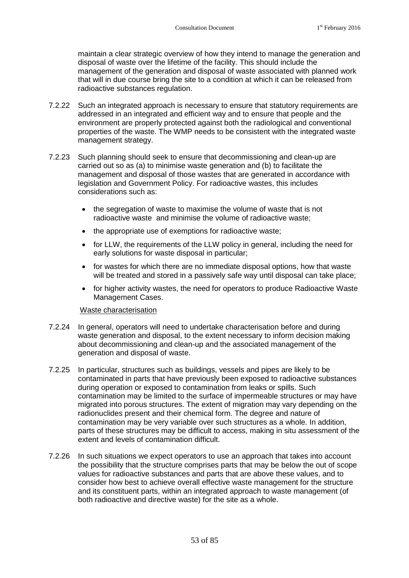maintain a clear strategic overview of how they intend to manage the generation and disposal of waste over the lifetime of the facility. This should include the management of the generation and disposal of waste associated with planned work that will in due course bring the site to a condition at which it can be released from radioactive substances regulation.

- 7.2.22 Such an integrated approach is necessary to ensure that statutory requirements are addressed in an integrated and efficient way and to ensure that people and the environment are properly protected against both the radiological and conventional properties of the waste. The WMP needs to be consistent with the integrated waste management strategy.
- 7.2.23 Such planning should seek to ensure that decommissioning and clean-up are carried out so as (a) to minimise waste generation and (b) to facilitate the management and disposal of those wastes that are generated in accordance with legislation and Government Policy. For radioactive wastes, this includes considerations such as:
	- the segregation of waste to maximise the volume of waste that is not radioactive waste and minimise the volume of radioactive waste;
	- the appropriate use of exemptions for radioactive waste:
	- for LLW, the requirements of the LLW policy in general, including the need for early solutions for waste disposal in particular;
	- for wastes for which there are no immediate disposal options, how that waste will be treated and stored in a passively safe way until disposal can take place;
	- for higher activity wastes, the need for operators to produce Radioactive Waste Management Cases.

## Waste characterisation

- 7.2.24 In general, operators will need to undertake characterisation before and during waste generation and disposal, to the extent necessary to inform decision making about decommissioning and clean-up and the associated management of the generation and disposal of waste.
- 7.2.25 In particular, structures such as buildings, vessels and pipes are likely to be contaminated in parts that have previously been exposed to radioactive substances during operation or exposed to contamination from leaks or spills. Such contamination may be limited to the surface of impermeable structures or may have migrated into porous structures. The extent of migration may vary depending on the radionuclides present and their chemical form. The degree and nature of contamination may be very variable over such structures as a whole. In addition, parts of these structures may be difficult to access, making in situ assessment of the extent and levels of contamination difficult.
- 7.2.26 In such situations we expect operators to use an approach that takes into account the possibility that the structure comprises parts that may be below the out of scope values for radioactive substances and parts that are above these values, and to consider how best to achieve overall effective waste management for the structure and its constituent parts, within an integrated approach to waste management (of both radioactive and directive waste) for the site as a whole.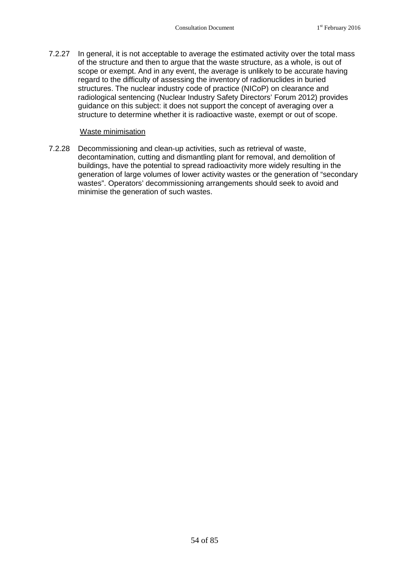7.2.27 In general, it is not acceptable to average the estimated activity over the total mass of the structure and then to argue that the waste structure, as a whole, is out of scope or exempt. And in any event, the average is unlikely to be accurate having regard to the difficulty of assessing the inventory of radionuclides in buried structures. The nuclear industry code of practice (NICoP) on clearance and radiological sentencing (Nuclear Industry Safety Directors' Forum 2012) provides guidance on this subject: it does not support the concept of averaging over a structure to determine whether it is radioactive waste, exempt or out of scope.

## Waste minimisation

7.2.28 Decommissioning and clean-up activities, such as retrieval of waste, decontamination, cutting and dismantling plant for removal, and demolition of buildings, have the potential to spread radioactivity more widely resulting in the generation of large volumes of lower activity wastes or the generation of "secondary wastes". Operators' decommissioning arrangements should seek to avoid and minimise the generation of such wastes.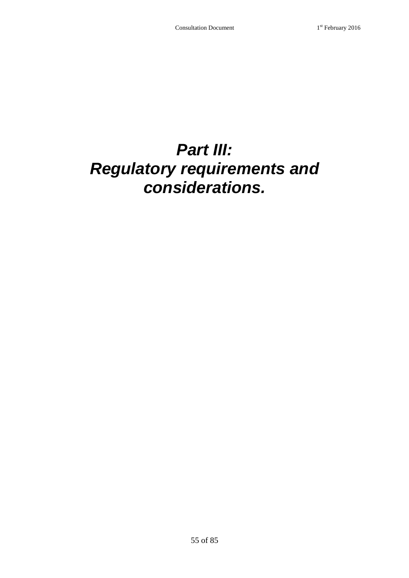## *Part III: Regulatory requirements and considerations.*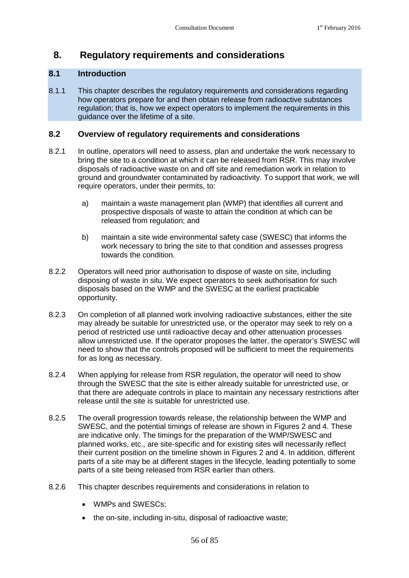## <span id="page-59-0"></span>**8. Regulatory requirements and considerations**

## **8.1 Introduction**

8.1.1 This chapter describes the regulatory requirements and considerations regarding how operators prepare for and then obtain release from radioactive substances regulation; that is, how we expect operators to implement the requirements in this guidance over the lifetime of a site.

## **8.2 Overview of regulatory requirements and considerations**

- 8.2.1 In outline, operators will need to assess, plan and undertake the work necessary to bring the site to a condition at which it can be released from RSR. This may involve disposals of radioactive waste on and off site and remediation work in relation to ground and groundwater contaminated by radioactivity. To support that work, we will require operators, under their permits, to:
	- a) maintain a waste management plan (WMP) that identifies all current and prospective disposals of waste to attain the condition at which can be released from regulation; and
	- b) maintain a site wide environmental safety case (SWESC) that informs the work necessary to bring the site to that condition and assesses progress towards the condition.
- 8.2.2 Operators will need prior authorisation to dispose of waste on site, including disposing of waste in situ. We expect operators to seek authorisation for such disposals based on the WMP and the SWESC at the earliest practicable opportunity.
- 8.2.3 On completion of all planned work involving radioactive substances, either the site may already be suitable for unrestricted use, or the operator may seek to rely on a period of restricted use until radioactive decay and other attenuation processes allow unrestricted use. If the operator proposes the latter, the operator's SWESC will need to show that the controls proposed will be sufficient to meet the requirements for as long as necessary.
- 8.2.4 When applying for release from RSR regulation, the operator will need to show through the SWESC that the site is either already suitable for unrestricted use, or that there are adequate controls in place to maintain any necessary restrictions after release until the site is suitable for unrestricted use.
- 8.2.5 The overall progression towards release, the relationship between the WMP and SWESC, and the potential timings of release are shown in Figures 2 and 4. These are indicative only. The timings for the preparation of the WMP/SWESC and planned works, etc., are site-specific and for existing sites will necessarily reflect their current position on the timeline shown in Figures 2 and 4. In addition, different parts of a site may be at different stages in the lifecycle, leading potentially to some parts of a site being released from RSR earlier than others.
- 8.2.6 This chapter describes requirements and considerations in relation to
	- WMPs and SWESCs;
	- the on-site, including in-situ, disposal of radioactive waste;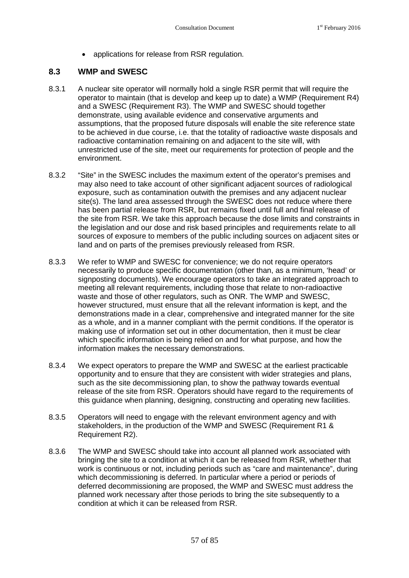applications for release from RSR regulation.

## **8.3 WMP and SWESC**

- 8.3.1 A nuclear site operator will normally hold a single RSR permit that will require the operator to maintain (that is develop and keep up to date) a WMP (Requirement R4) and a SWESC (Requirement R3). The WMP and SWESC should together demonstrate, using available evidence and conservative arguments and assumptions, that the proposed future disposals will enable the site reference state to be achieved in due course, i.e. that the totality of radioactive waste disposals and radioactive contamination remaining on and adjacent to the site will, with unrestricted use of the site, meet our requirements for protection of people and the environment.
- <span id="page-60-0"></span>8.3.2 "Site" in the SWESC includes the maximum extent of the operator's premises and may also need to take account of other significant adjacent sources of radiological exposure, such as contamination outwith the premises and any adjacent nuclear site(s). The land area assessed through the SWESC does not reduce where there has been partial release from RSR, but remains fixed until full and final release of the site from RSR. We take this approach because the dose limits and constraints in the legislation and our dose and risk based principles and requirements relate to all sources of exposure to members of the public including sources on adjacent sites or land and on parts of the premises previously released from RSR.
- 8.3.3 We refer to WMP and SWESC for convenience; we do not require operators necessarily to produce specific documentation (other than, as a minimum, 'head' or signposting documents). We encourage operators to take an integrated approach to meeting all relevant requirements, including those that relate to non-radioactive waste and those of other regulators, such as ONR. The WMP and SWESC, however structured, must ensure that all the relevant information is kept, and the demonstrations made in a clear, comprehensive and integrated manner for the site as a whole, and in a manner compliant with the permit conditions. If the operator is making use of information set out in other documentation, then it must be clear which specific information is being relied on and for what purpose, and how the information makes the necessary demonstrations.
- 8.3.4 We expect operators to prepare the WMP and SWESC at the earliest practicable opportunity and to ensure that they are consistent with wider strategies and plans, such as the site decommissioning plan, to show the pathway towards eventual release of the site from RSR. Operators should have regard to the requirements of this guidance when planning, designing, constructing and operating new facilities.
- 8.3.5 Operators will need to engage with the relevant environment agency and with stakeholders, in the production of the WMP and SWESC [\(Requirement R1](#page-20-1) & [Requirement R2\)](#page-20-2).
- 8.3.6 The WMP and SWESC should take into account all planned work associated with bringing the site to a condition at which it can be released from RSR, whether that work is continuous or not, including periods such as "care and maintenance", during which decommissioning is deferred. In particular where a period or periods of deferred decommissioning are proposed, the WMP and SWESC must address the planned work necessary after those periods to bring the site subsequently to a condition at which it can be released from RSR.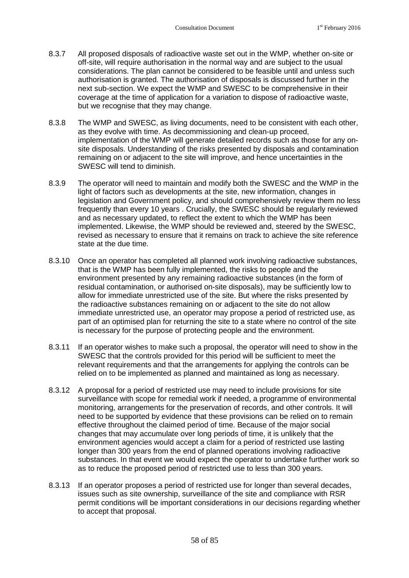- 8.3.7 All proposed disposals of radioactive waste set out in the WMP, whether on-site or off-site, will require authorisation in the normal way and are subject to the usual considerations. The plan cannot be considered to be feasible until and unless such authorisation is granted. The authorisation of disposals is discussed further in the next sub-section. We expect the WMP and SWESC to be comprehensive in their coverage at the time of application for a variation to dispose of radioactive waste, but we recognise that they may change.
- 8.3.8 The WMP and SWESC, as living documents, need to be consistent with each other, as they evolve with time. As decommissioning and clean-up proceed, implementation of the WMP will generate detailed records such as those for any onsite disposals. Understanding of the risks presented by disposals and contamination remaining on or adjacent to the site will improve, and hence uncertainties in the SWESC will tend to diminish.
- 8.3.9 The operator will need to maintain and modify both the SWESC and the WMP in the light of factors such as developments at the site, new information, changes in legislation and Government policy, and should comprehensively review them no less frequently than every 10 years . Crucially, the SWESC should be regularly reviewed and as necessary updated, to reflect the extent to which the WMP has been implemented. Likewise, the WMP should be reviewed and, steered by the SWESC, revised as necessary to ensure that it remains on track to achieve the site reference state at the due time.
- 8.3.10 Once an operator has completed all planned work involving radioactive substances, that is the WMP has been fully implemented, the risks to people and the environment presented by any remaining radioactive substances (in the form of residual contamination, or authorised on-site disposals), may be sufficiently low to allow for immediate unrestricted use of the site. But where the risks presented by the radioactive substances remaining on or adjacent to the site do not allow immediate unrestricted use, an operator may propose a period of restricted use, as part of an optimised plan for returning the site to a state where no control of the site is necessary for the purpose of protecting people and the environment.
- <span id="page-61-0"></span>8.3.11 If an operator wishes to make such a proposal, the operator will need to show in the SWESC that the controls provided for this period will be sufficient to meet the relevant requirements and that the arrangements for applying the controls can be relied on to be implemented as planned and maintained as long as necessary.
- 8.3.12 A proposal for a period of restricted use may need to include provisions for site surveillance with scope for remedial work if needed, a programme of environmental monitoring, arrangements for the preservation of records, and other controls. It will need to be supported by evidence that these provisions can be relied on to remain effective throughout the claimed period of time. Because of the major social changes that may accumulate over long periods of time, it is unlikely that the environment agencies would accept a claim for a period of restricted use lasting longer than 300 years from the end of planned operations involving radioactive substances. In that event we would expect the operator to undertake further work so as to reduce the proposed period of restricted use to less than 300 years.
- 8.3.13 If an operator proposes a period of restricted use for longer than several decades, issues such as site ownership, surveillance of the site and compliance with RSR permit conditions will be important considerations in our decisions regarding whether to accept that proposal.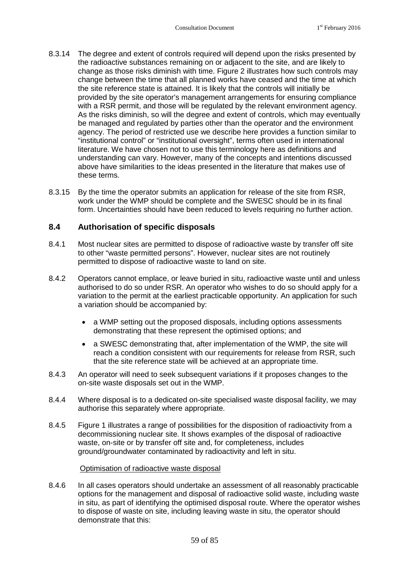- 8.3.14 The degree and extent of controls required will depend upon the risks presented by the radioactive substances remaining on or adjacent to the site, and are likely to change as those risks diminish with time. Figure 2 illustrates how such controls may change between the time that all planned works have ceased and the time at which the site reference state is attained. It is likely that the controls will initially be provided by the site operator's management arrangements for ensuring compliance with a RSR permit, and those will be regulated by the relevant environment agency. As the risks diminish, so will the degree and extent of controls, which may eventually be managed and regulated by parties other than the operator and the environment agency. The period of restricted use we describe here provides a function similar to "institutional control" or "institutional oversight", terms often used in international literature. We have chosen not to use this terminology here as definitions and understanding can vary. However, many of the concepts and intentions discussed above have similarities to the ideas presented in the literature that makes use of these terms.
- <span id="page-62-0"></span>8.3.15 By the time the operator submits an application for release of the site from RSR, work under the WMP should be complete and the SWESC should be in its final form. Uncertainties should have been reduced to levels requiring no further action.

## **8.4 Authorisation of specific disposals**

- 8.4.1 Most nuclear sites are permitted to dispose of radioactive waste by transfer off site to other "waste permitted persons". However, nuclear sites are not routinely permitted to dispose of radioactive waste to land on site.
- 8.4.2 Operators cannot emplace, or leave buried in situ, radioactive waste until and unless authorised to do so under RSR. An operator who wishes to do so should apply for a variation to the permit at the earliest practicable opportunity. An application for such a variation should be accompanied by:
	- a WMP setting out the proposed disposals, including options assessments demonstrating that these represent the optimised options; and
	- a SWESC demonstrating that, after implementation of the WMP, the site will reach a condition consistent with our requirements for release from RSR, such that the site reference state will be achieved at an appropriate time.
- 8.4.3 An operator will need to seek subsequent variations if it proposes changes to the on-site waste disposals set out in the WMP.
- 8.4.4 Where disposal is to a dedicated on-site specialised waste disposal facility, we may authorise this separately where appropriate.
- 8.4.5 Figure 1 illustrates a range of possibilities for the disposition of radioactivity from a decommissioning nuclear site. It shows examples of the disposal of radioactive waste, on-site or by transfer off site and, for completeness, includes ground/groundwater contaminated by radioactivity and left in situ.

## Optimisation of radioactive waste disposal

8.4.6 In all cases operators should undertake an assessment of all reasonably practicable options for the management and disposal of radioactive solid waste, including waste in situ, as part of identifying the optimised disposal route. Where the operator wishes to dispose of waste on site, including leaving waste in situ, the operator should demonstrate that this: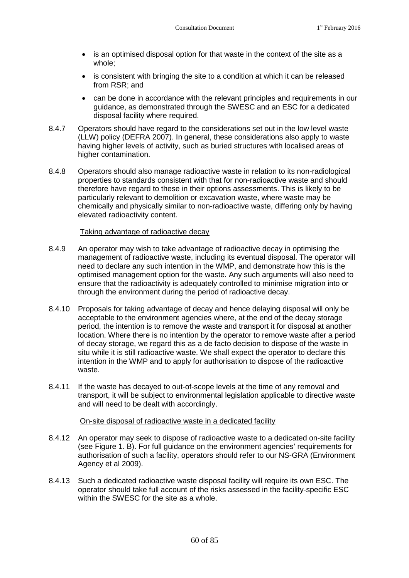- is an optimised disposal option for that waste in the context of the site as a whole;
- is consistent with bringing the site to a condition at which it can be released from RSR; and
- can be done in accordance with the relevant principles and requirements in our guidance, as demonstrated through the SWESC and an ESC for a dedicated disposal facility where required.
- 8.4.7 Operators should have regard to the considerations set out in the low level waste (LLW) policy (DEFRA 2007). In general, these considerations also apply to waste having higher levels of activity, such as buried structures with localised areas of higher contamination.
- 8.4.8 Operators should also manage radioactive waste in relation to its non-radiological properties to standards consistent with that for non-radioactive waste and should therefore have regard to these in their options assessments. This is likely to be particularly relevant to demolition or excavation waste, where waste may be chemically and physically similar to non-radioactive waste, differing only by having elevated radioactivity content.

## Taking advantage of radioactive decay

- 8.4.9 An operator may wish to take advantage of radioactive decay in optimising the management of radioactive waste, including its eventual disposal. The operator will need to declare any such intention in the WMP, and demonstrate how this is the optimised management option for the waste. Any such arguments will also need to ensure that the radioactivity is adequately controlled to minimise migration into or through the environment during the period of radioactive decay.
- 8.4.10 Proposals for taking advantage of decay and hence delaying disposal will only be acceptable to the environment agencies where, at the end of the decay storage period, the intention is to remove the waste and transport it for disposal at another location. Where there is no intention by the operator to remove waste after a period of decay storage, we regard this as a de facto decision to dispose of the waste in situ while it is still radioactive waste. We shall expect the operator to declare this intention in the WMP and to apply for authorisation to dispose of the radioactive waste.
- 8.4.11 If the waste has decayed to out-of-scope levels at the time of any removal and transport, it will be subject to environmental legislation applicable to directive waste and will need to be dealt with accordingly.

## On-site disposal of radioactive waste in a dedicated facility

- 8.4.12 An operator may seek to dispose of radioactive waste to a dedicated on-site facility (see Figure 1. B). For full guidance on the environment agencies' requirements for authorisation of such a facility, operators should refer to our NS-GRA (Environment Agency et al 2009).
- 8.4.13 Such a dedicated radioactive waste disposal facility will require its own ESC. The operator should take full account of the risks assessed in the facility-specific ESC within the SWESC for the site as a whole.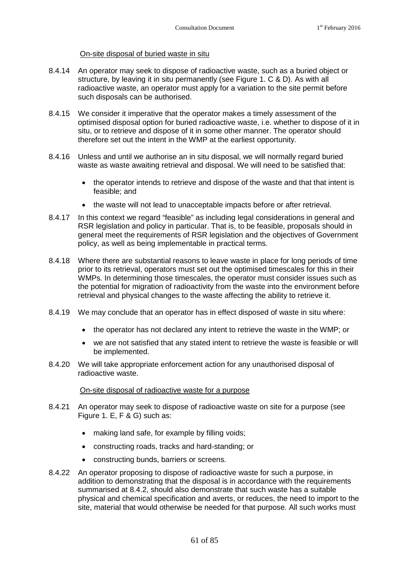## On-site disposal of buried waste in situ

- 8.4.14 An operator may seek to dispose of radioactive waste, such as a buried object or structure, by leaving it in situ permanently (see Figure 1. C & D). As with all radioactive waste, an operator must apply for a variation to the site permit before such disposals can be authorised.
- 8.4.15 We consider it imperative that the operator makes a timely assessment of the optimised disposal option for buried radioactive waste, i.e. whether to dispose of it in situ, or to retrieve and dispose of it in some other manner. The operator should therefore set out the intent in the WMP at the earliest opportunity.
- 8.4.16 Unless and until we authorise an in situ disposal, we will normally regard buried waste as waste awaiting retrieval and disposal. We will need to be satisfied that:
	- the operator intends to retrieve and dispose of the waste and that that intent is feasible; and
	- the waste will not lead to unacceptable impacts before or after retrieval.
- 8.4.17 In this context we regard "feasible" as including legal considerations in general and RSR legislation and policy in particular. That is, to be feasible, proposals should in general meet the requirements of RSR legislation and the objectives of Government policy, as well as being implementable in practical terms.
- 8.4.18 Where there are substantial reasons to leave waste in place for long periods of time prior to its retrieval, operators must set out the optimised timescales for this in their WMPs. In determining those timescales, the operator must consider issues such as the potential for migration of radioactivity from the waste into the environment before retrieval and physical changes to the waste affecting the ability to retrieve it.
- 8.4.19 We may conclude that an operator has in effect disposed of waste in situ where:
	- the operator has not declared any intent to retrieve the waste in the WMP; or
	- we are not satisfied that any stated intent to retrieve the waste is feasible or will be implemented.
- 8.4.20 We will take appropriate enforcement action for any unauthorised disposal of radioactive waste.

## On-site disposal of radioactive waste for a purpose

- 8.4.21 An operator may seek to dispose of radioactive waste on site for a purpose (see Figure 1. E, F & G) such as:
	- making land safe, for example by filling voids;
	- constructing roads, tracks and hard-standing; or
	- constructing bunds, barriers or screens.
- 8.4.22 An operator proposing to dispose of radioactive waste for such a purpose, in addition to demonstrating that the disposal is in accordance with the requirements summarised at 8.4.2, should also demonstrate that such waste has a suitable physical and chemical specification and averts, or reduces, the need to import to the site, material that would otherwise be needed for that purpose. All such works must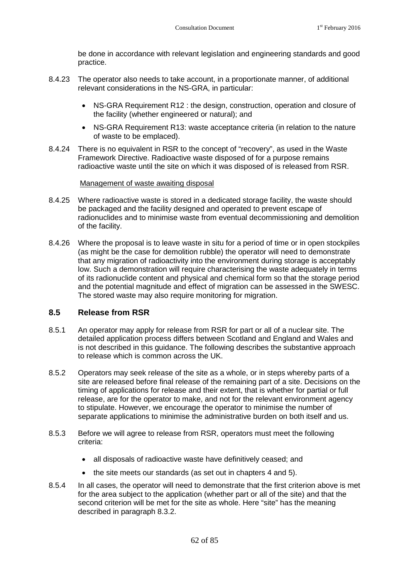be done in accordance with relevant legislation and engineering standards and good practice.

- 8.4.23 The operator also needs to take account, in a proportionate manner, of additional relevant considerations in the NS-GRA, in particular:
	- NS-GRA Requirement R12 : the design, construction, operation and closure of the facility (whether engineered or natural); and
	- NS-GRA Requirement R13: waste acceptance criteria (in relation to the nature of waste to be emplaced).
- 8.4.24 There is no equivalent in RSR to the concept of "recovery", as used in the Waste Framework Directive. Radioactive waste disposed of for a purpose remains radioactive waste until the site on which it was disposed of is released from RSR.

## Management of waste awaiting disposal

- 8.4.25 Where radioactive waste is stored in a dedicated storage facility, the waste should be packaged and the facility designed and operated to prevent escape of radionuclides and to minimise waste from eventual decommissioning and demolition of the facility.
- 8.4.26 Where the proposal is to leave waste in situ for a period of time or in open stockpiles (as might be the case for demolition rubble) the operator will need to demonstrate that any migration of radioactivity into the environment during storage is acceptably low. Such a demonstration will require characterising the waste adequately in terms of its radionuclide content and physical and chemical form so that the storage period and the potential magnitude and effect of migration can be assessed in the SWESC. The stored waste may also require monitoring for migration.

## **8.5 Release from RSR**

- 8.5.1 An operator may apply for release from RSR for part or all of a nuclear site. The detailed application process differs between Scotland and England and Wales and is not described in this guidance. The following describes the substantive approach to release which is common across the UK.
- 8.5.2 Operators may seek release of the site as a whole, or in steps whereby parts of a site are released before final release of the remaining part of a site. Decisions on the timing of applications for release and their extent, that is whether for partial or full release, are for the operator to make, and not for the relevant environment agency to stipulate. However, we encourage the operator to minimise the number of separate applications to minimise the administrative burden on both itself and us.
- 8.5.3 Before we will agree to release from RSR, operators must meet the following criteria:
	- all disposals of radioactive waste have definitively ceased; and
	- the site meets our standards (as set out in chapters 4 and 5).
- 8.5.4 In all cases, the operator will need to demonstrate that the first criterion above is met for the area subject to the application (whether part or all of the site) and that the second criterion will be met for the site as whole. Here "site" has the meaning described in paragraph [8.3.2.](#page-60-0)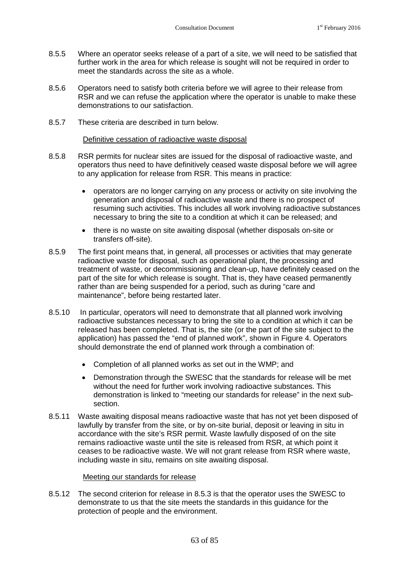- 8.5.5 Where an operator seeks release of a part of a site, we will need to be satisfied that further work in the area for which release is sought will not be required in order to meet the standards across the site as a whole.
- 8.5.6 Operators need to satisfy both criteria before we will agree to their release from RSR and we can refuse the application where the operator is unable to make these demonstrations to our satisfaction.
- 8.5.7 These criteria are described in turn below.

## Definitive cessation of radioactive waste disposal

- 8.5.8 RSR permits for nuclear sites are issued for the disposal of radioactive waste, and operators thus need to have definitively ceased waste disposal before we will agree to any application for release from RSR. This means in practice:
	- operators are no longer carrying on any process or activity on site involving the generation and disposal of radioactive waste and there is no prospect of resuming such activities. This includes all work involving radioactive substances necessary to bring the site to a condition at which it can be released; and
	- there is no waste on site awaiting disposal (whether disposals on-site or transfers off-site).
- 8.5.9 The first point means that, in general, all processes or activities that may generate radioactive waste for disposal, such as operational plant, the processing and treatment of waste, or decommissioning and clean-up, have definitely ceased on the part of the site for which release is sought. That is, they have ceased permanently rather than are being suspended for a period, such as during "care and maintenance", before being restarted later.
- 8.5.10 In particular, operators will need to demonstrate that all planned work involving radioactive substances necessary to bring the site to a condition at which it can be released has been completed. That is, the site (or the part of the site subject to the application) has passed the "end of planned work", shown in Figure 4. Operators should demonstrate the end of planned work through a combination of:
	- Completion of all planned works as set out in the WMP; and
	- Demonstration through the SWESC that the standards for release will be met without the need for further work involving radioactive substances. This demonstration is linked to "meeting our standards for release" in the next subsection.
- 8.5.11 Waste awaiting disposal means radioactive waste that has not yet been disposed of lawfully by transfer from the site, or by on-site burial, deposit or leaving in situ in accordance with the site's RSR permit. Waste lawfully disposed of on the site remains radioactive waste until the site is released from RSR, at which point it ceases to be radioactive waste. We will not grant release from RSR where waste, including waste in situ, remains on site awaiting disposal.

## Meeting our standards for release

8.5.12 The second criterion for release in 8.5.3 is that the operator uses the SWESC to demonstrate to us that the site meets the standards in this guidance for the protection of people and the environment.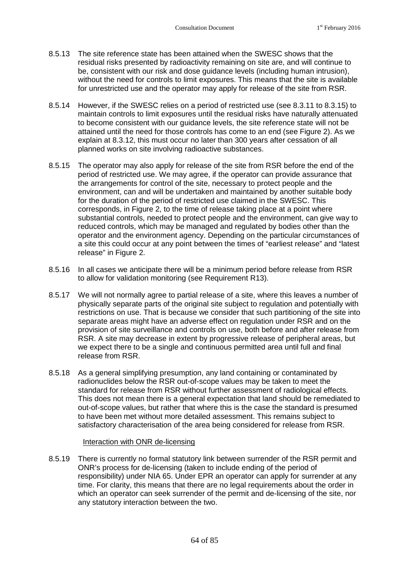- 8.5.13 The site reference state has been attained when the SWESC shows that the residual risks presented by radioactivity remaining on site are, and will continue to be, consistent with our risk and dose guidance levels (including human intrusion), without the need for controls to limit exposures. This means that the site is available for unrestricted use and the operator may apply for release of the site from RSR.
- 8.5.14 However, if the SWESC relies on a period of restricted use(see [8.3.11](#page-61-0)to [8.3.15\)](#page-62-0) to maintain controls to limit exposures until the residual risks have naturally attenuated to become consistent with our guidance levels, the site reference state will not be attained until the need for those controls has come to an end (see Figure 2). As we explain at 8.3.12, this must occur no later than 300 years after cessation of all planned works on site involving radioactive substances.
- 8.5.15 The operator may also apply for release of the site from RSR before the end of the period of restricted use. We may agree, if the operator can provide assurance that the arrangements for control of the site, necessary to protect people and the environment, can and will be undertaken and maintained by another suitable body for the duration of the period of restricted use claimed in the SWESC. This corresponds, in Figure 2, to the time of release taking place at a point where substantial controls, needed to protect people and the environment, can give way to reduced controls, which may be managed and regulated by bodies other than the operator and the environment agency. Depending on the particular circumstances of a site this could occur at any point between the times of "earliest release" and "latest release" in Figure 2.
- 8.5.16 In all cases we anticipate there will be a minimum period before release from RSR to allow for validation monitoring (see Requirement R13).
- 8.5.17 We will not normally agree to partial release of a site, where this leaves a number of physically separate parts of the original site subject to regulation and potentially with restrictions on use. That is because we consider that such partitioning of the site into separate areas might have an adverse effect on regulation under RSR and on the provision of site surveillance and controls on use, both before and after release from RSR. A site may decrease in extent by progressive release of peripheral areas, but we expect there to be a single and continuous permitted area until full and final release from RSR.
- 8.5.18 As a general simplifying presumption, any land containing or contaminated by radionuclides below the RSR out-of-scope values may be taken to meet the standard for release from RSR without further assessment of radiological effects. This does not mean there is a general expectation that land should be remediated to out-of-scope values, but rather that where this is the case the standard is presumed to have been met without more detailed assessment. This remains subject to satisfactory characterisation of the area being considered for release from RSR.

## Interaction with ONR de-licensing

8.5.19 There is currently no formal statutory link between surrender of the RSR permit and ONR's process for de-licensing (taken to include ending of the period of responsibility) under NIA 65. Under EPR an operator can apply for surrender at any time. For clarity, this means that there are no legal requirements about the order in which an operator can seek surrender of the permit and de-licensing of the site, nor any statutory interaction between the two.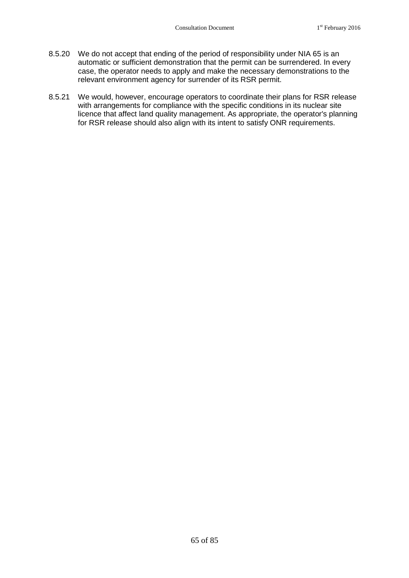- 8.5.20 We do not accept that ending of the period of responsibility under NIA 65 is an automatic or sufficient demonstration that the permit can be surrendered. In every case, the operator needs to apply and make the necessary demonstrations to the relevant environment agency for surrender of its RSR permit.
- 8.5.21 We would, however, encourage operators to coordinate their plans for RSR release with arrangements for compliance with the specific conditions in its nuclear site licence that affect land quality management. As appropriate, the operator's planning for RSR release should also align with its intent to satisfy ONR requirements.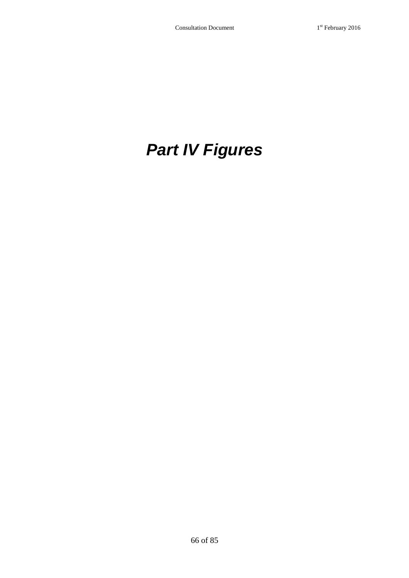# *Part IV Figures*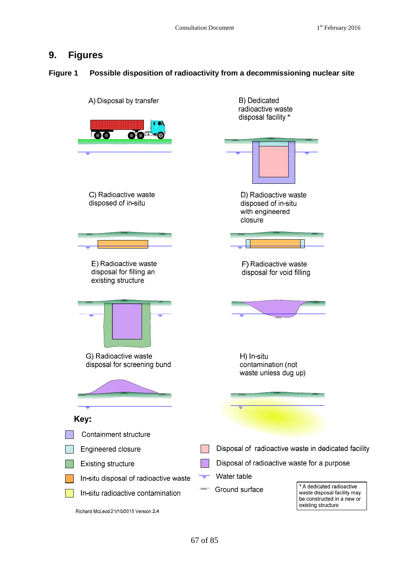## **9. Figures**

## **Figure 1 Possible disposition of radioactivity from a decommissioning nuclear site**

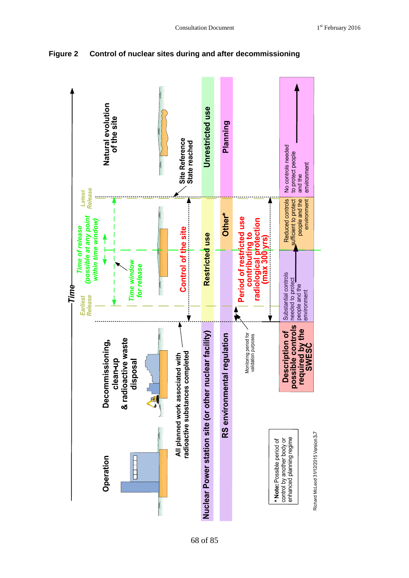

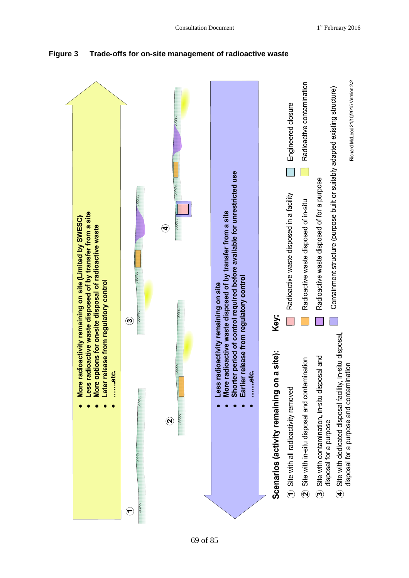

**Figure 3 Trade-offs for on-site management of radioactive waste**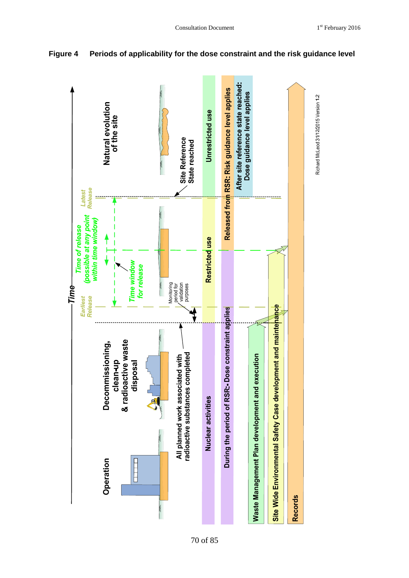



#### 70 of 85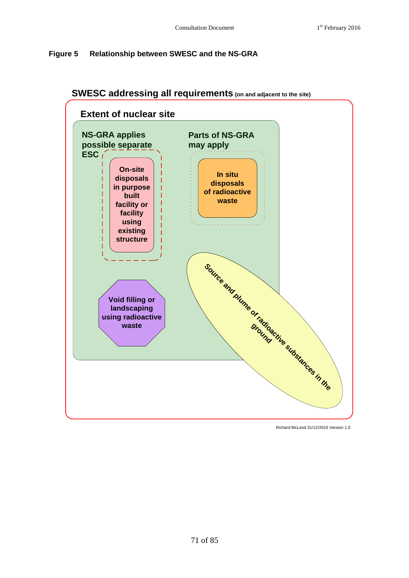# **Figure 5 Relationship between SWESC and the NS-GRA**



# **SWESC addressing all requirements (on and adjacent to the site)**

Richard McLeod 31/12/2015 Version 1.0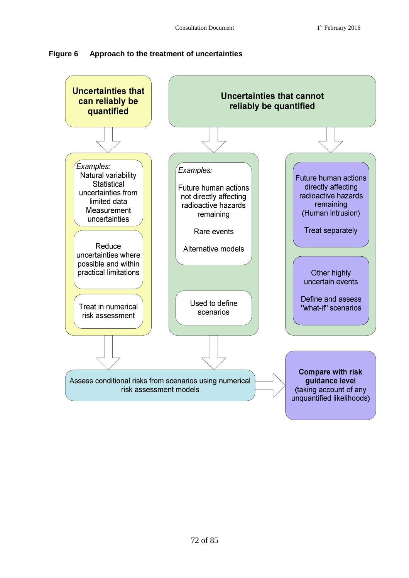

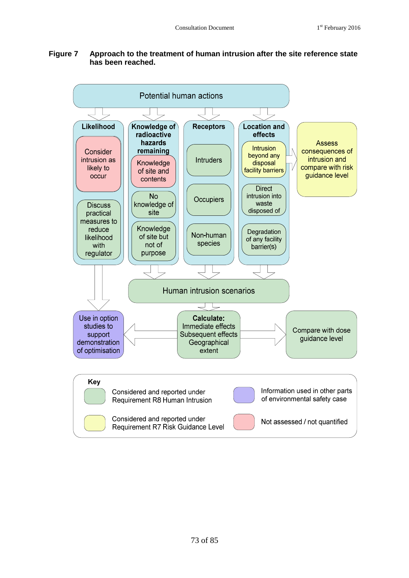# **Figure 7 Approach to the treatment of human intrusion after the site reference state has been reached.**

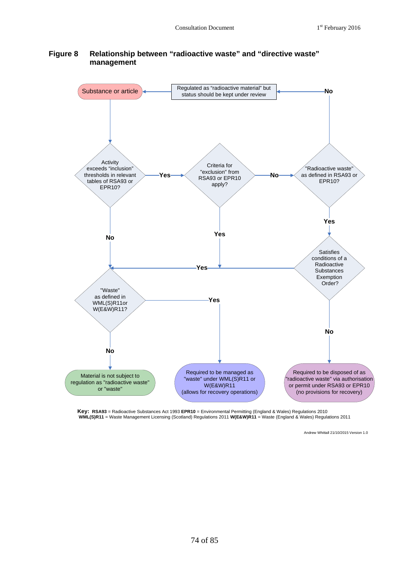#### **Figure 8 Relationship between "radioactive waste" and "directive waste" management**



Key: RSA93 = Radioactive Substances Act 1993 EPR10 = Environmental Permitting (England & Wales) Regulations 2010<br>WML(S)R11 = Waste Management Licensing (Scotland) Regulations 2011 W(E&W)R11 = Waste (England & Wales) Regula

Andrew Whittall 21/10/2015 Version 1.0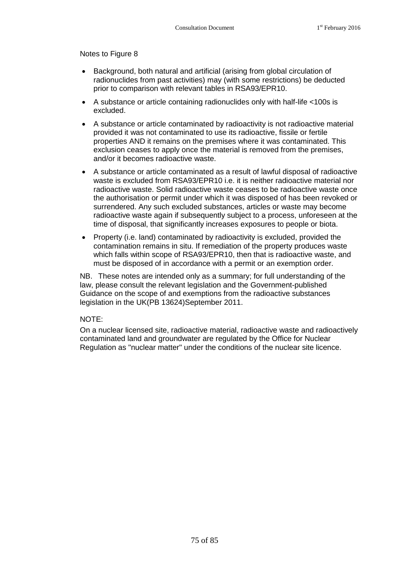Notes to Figure 8

- Background, both natural and artificial (arising from global circulation of radionuclides from past activities) may (with some restrictions) be deducted prior to comparison with relevant tables in RSA93/EPR10.
- A substance or article containing radionuclides only with half-life <100s is excluded.
- A substance or article contaminated by radioactivity is not radioactive material provided it was not contaminated to use its radioactive, fissile or fertile properties AND it remains on the premises where it was contaminated. This exclusion ceases to apply once the material is removed from the premises, and/or it becomes radioactive waste.
- A substance or article contaminated as a result of lawful disposal of radioactive waste is excluded from RSA93/EPR10 i.e. it is neither radioactive material nor radioactive waste. Solid radioactive waste ceases to be radioactive waste once the authorisation or permit under which it was disposed of has been revoked or surrendered. Any such excluded substances, articles or waste may become radioactive waste again if subsequently subject to a process, unforeseen at the time of disposal, that significantly increases exposures to people or biota.
- Property (i.e. land) contaminated by radioactivity is excluded, provided the contamination remains in situ. If remediation of the property produces waste which falls within scope of RSA93/EPR10, then that is radioactive waste, and must be disposed of in accordance with a permit or an exemption order.

NB. These notes are intended only as a summary; for full understanding of the law, please consult the relevant legislation and the Government-published Guidance on the scope of and exemptions from the radioactive substances legislation in the UK(PB 13624)September 2011.

## NOTE:

On a nuclear licensed site, radioactive material, radioactive waste and radioactively contaminated land and groundwater are regulated by the Office for Nuclear Regulation as "nuclear matter" under the conditions of the nuclear site licence.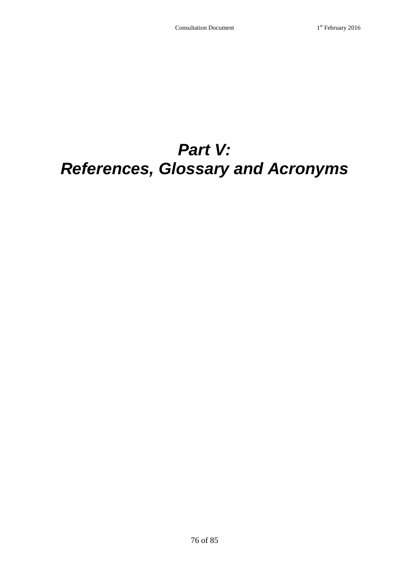# *Part V: References, Glossary and Acronyms*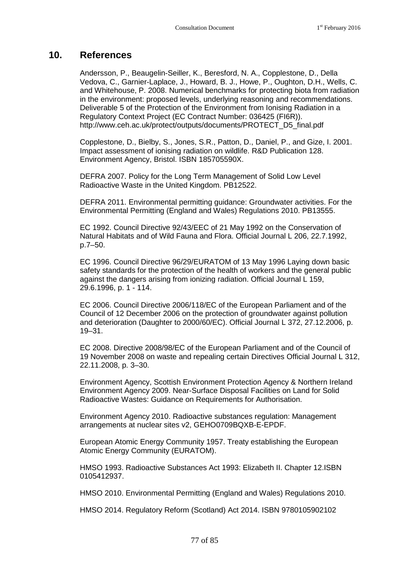# **10. References**

Andersson, P., Beaugelin-Seiller, K., Beresford, N. A., Copplestone, D., Della Vedova, C., Garnier-Laplace, J., Howard, B. J., Howe, P., Oughton, D.H., Wells, C. and Whitehouse, P. 2008. Numerical benchmarks for protecting biota from radiation in the environment: proposed levels, underlying reasoning and recommendations. Deliverable 5 of the Protection of the Environment from Ionising Radiation in a Regulatory Context Project (EC Contract Number: 036425 (FI6R)). http://www.ceh.ac.uk/protect/outputs/documents/PROTECT\_D5\_final.pdf

Copplestone, D., Bielby, S., Jones, S.R., Patton, D., Daniel, P., and Gize, I. 2001. Impact assessment of ionising radiation on wildlife. R&D Publication 128. Environment Agency, Bristol. ISBN 185705590X.

DEFRA 2007. Policy for the Long Term Management of Solid Low Level Radioactive Waste in the United Kingdom. PB12522.

DEFRA 2011. Environmental permitting guidance: Groundwater activities. For the Environmental Permitting (England and Wales) Regulations 2010. PB13555.

EC 1992. Council Directive 92/43/EEC of 21 May 1992 on the Conservation of Natural Habitats and of Wild Fauna and Flora. Official Journal L 206, 22.7.1992, p.7–50.

EC 1996. Council Directive 96/29/EURATOM of 13 May 1996 Laying down basic safety standards for the protection of the health of workers and the general public against the dangers arising from ionizing radiation. Official Journal L 159, 29.6.1996, p. 1 - 114.

EC 2006. Council Directive 2006/118/EC of the European Parliament and of the Council of 12 December 2006 on the protection of groundwater against pollution and deterioration (Daughter to 2000/60/EC). Official Journal L 372, 27.12.2006, p. 19–31.

EC 2008. Directive 2008/98/EC of the European Parliament and of the Council of 19 November 2008 on waste and repealing certain Directives Official Journal L 312, 22.11.2008, p. 3–30.

Environment Agency, Scottish Environment Protection Agency & Northern Ireland Environment Agency 2009. Near-Surface Disposal Facilities on Land for Solid Radioactive Wastes: Guidance on Requirements for Authorisation.

Environment Agency 2010. Radioactive substances regulation: Management arrangements at nuclear sites v2, GEHO0709BQXB-E-EPDF.

European Atomic Energy Community 1957. Treaty establishing the European Atomic Energy Community (EURATOM).

HMSO 1993. Radioactive Substances Act 1993: Elizabeth II. Chapter 12.ISBN 0105412937.

HMSO 2010. Environmental Permitting (England and Wales) Regulations 2010.

HMSO 2014. Regulatory Reform (Scotland) Act 2014. ISBN 9780105902102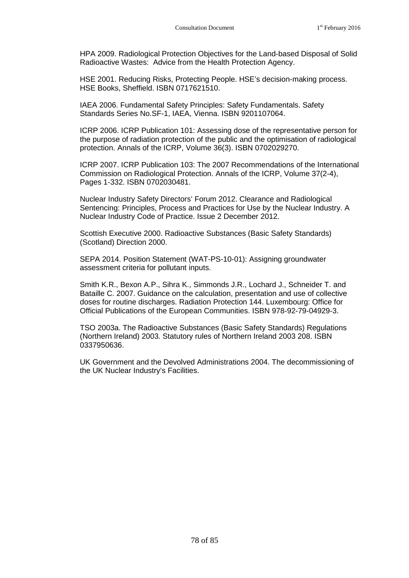HPA 2009. Radiological Protection Objectives for the Land-based Disposal of Solid Radioactive Wastes: Advice from the Health Protection Agency.

HSE 2001. Reducing Risks, Protecting People. HSE's decision-making process. HSE Books, Sheffield. ISBN 0717621510.

IAEA 2006. Fundamental Safety Principles: Safety Fundamentals. Safety Standards Series No.SF-1, IAEA, Vienna. ISBN 9201107064.

ICRP 2006. ICRP Publication 101: Assessing dose of the representative person for the purpose of radiation protection of the public and the optimisation of radiological protection. Annals of the ICRP, Volume 36(3). ISBN 0702029270.

ICRP 2007. ICRP Publication 103: The 2007 Recommendations of the International Commission on Radiological Protection. Annals of the ICRP, Volume 37(2-4), Pages 1-332. ISBN 0702030481.

Nuclear Industry Safety Directors' Forum 2012. Clearance and Radiological Sentencing: Principles, Process and Practices for Use by the Nuclear Industry. A Nuclear Industry Code of Practice. Issue 2 December 2012.

Scottish Executive 2000. Radioactive Substances (Basic Safety Standards) (Scotland) Direction 2000.

SEPA 2014. Position Statement (WAT-PS-10-01): Assigning groundwater assessment criteria for pollutant inputs.

Smith K.R., Bexon A.P., Sihra K., Simmonds J.R., Lochard J., Schneider T. and Bataille C. 2007. Guidance on the calculation, presentation and use of collective doses for routine discharges. Radiation Protection 144. Luxembourg: Office for Official Publications of the European Communities. ISBN 978-92-79-04929-3.

TSO 2003a. The Radioactive Substances (Basic Safety Standards) Regulations (Northern Ireland) 2003. Statutory rules of Northern Ireland 2003 208. ISBN 0337950636.

UK Government and the Devolved Administrations 2004. The decommissioning of the UK Nuclear Industry's Facilities.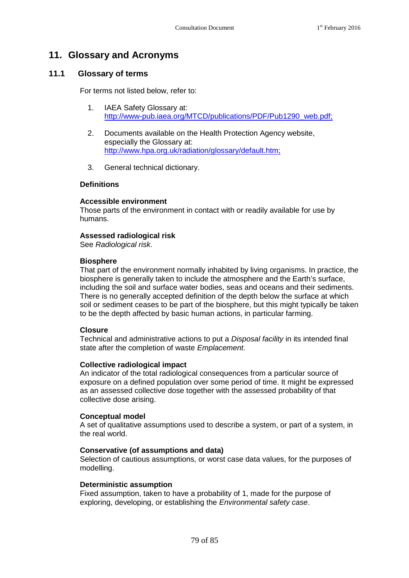# **11. Glossary and Acronyms**

# **11.1 Glossary of terms**

For terms not listed below, refer to:

- 1. IAEA Safety Glossary at: [http://www-pub.iaea.org/MTCD/publications/PDF/Pub1290\\_web.pdf;](http://www-pub.iaea.org/MTCD/publications/PDF/Pub1290_web.pdf)
- 2. Documents available on the Health Protection Agency website, especially the Glossary at: [http://www.hpa.org.uk/radiation/glossary/default.htm;](http://www.hpa.org.uk/radiation/glossary/default.htm)
- 3. General technical dictionary.

#### **Definitions**

#### **Accessible environment**

Those parts of the environment in contact with or readily available for use by humans.

#### **Assessed radiological risk**

See *Radiological risk.*

#### **Biosphere**

That part of the environment normally inhabited by living organisms. In practice, the biosphere is generally taken to include the atmosphere and the Earth's surface, including the soil and surface water bodies, seas and oceans and their sediments. There is no generally accepted definition of the depth below the surface at which soil or sediment ceases to be part of the biosphere, but this might typically be taken to be the depth affected by basic human actions, in particular farming.

#### **Closure**

Technical and administrative actions to put a *Disposal facility* in its intended final state after the completion of waste *Emplacement*.

#### **Collective radiological impact**

An indicator of the total radiological consequences from a particular source of exposure on a defined population over some period of time. It might be expressed as an assessed collective dose together with the assessed probability of that collective dose arising.

#### **Conceptual model**

A set of qualitative assumptions used to describe a system, or part of a system, in the real world.

#### **Conservative (of assumptions and data)**

Selection of cautious assumptions, or worst case data values, for the purposes of modelling.

#### **Deterministic assumption**

Fixed assumption, taken to have a probability of 1, made for the purpose of exploring, developing, or establishing the *Environmental safety case*.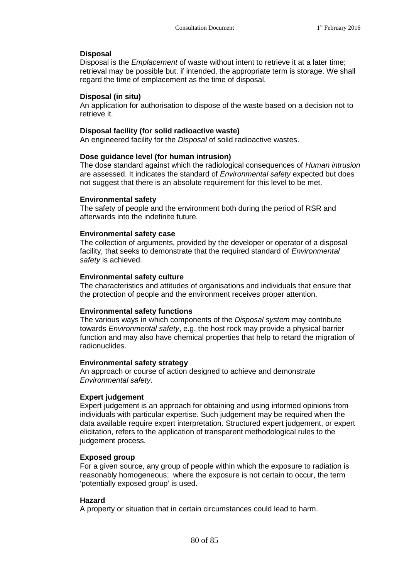# **Disposal**

Disposal is the *Emplacement* of waste without intent to retrieve it at a later time; retrieval may be possible but, if intended, the appropriate term is storage. We shall regard the time of emplacement as the time of disposal.

#### **Disposal (in situ)**

An application for authorisation to dispose of the waste based on a decision not to retrieve it.

#### **Disposal facility (for solid radioactive waste)**

An engineered facility for the *Disposal* of solid radioactive wastes.

#### **Dose guidance level (for human intrusion)**

The dose standard against which the radiological consequences of *Human intrusion* are assessed. It indicates the standard of *Environmental safety* expected but does not suggest that there is an absolute requirement for this level to be met.

#### **Environmental safety**

The safety of people and the environment both during the period of RSR and afterwards into the indefinite future.

#### **Environmental safety case**

The collection of arguments, provided by the developer or operator of a disposal facility, that seeks to demonstrate that the required standard of *Environmental safety* is achieved.

#### **Environmental safety culture**

The characteristics and attitudes of organisations and individuals that ensure that the protection of people and the environment receives proper attention.

#### **Environmental safety functions**

The various ways in which components of the *Disposal system* may contribute towards *Environmental safety*, e.g. the host rock may provide a physical barrier function and may also have chemical properties that help to retard the migration of radionuclides.

#### **Environmental safety strategy**

An approach or course of action designed to achieve and demonstrate *Environmental safety*.

#### **Expert judgement**

Expert judgement is an approach for obtaining and using informed opinions from individuals with particular expertise. Such judgement may be required when the data available require expert interpretation. Structured expert judgement, or expert elicitation, refers to the application of transparent methodological rules to the judgement process.

#### **Exposed group**

For a given source, any group of people within which the exposure to radiation is reasonably homogeneous; where the exposure is not certain to occur, the term 'potentially exposed group' is used.

#### **Hazard**

A property or situation that in certain circumstances could lead to harm.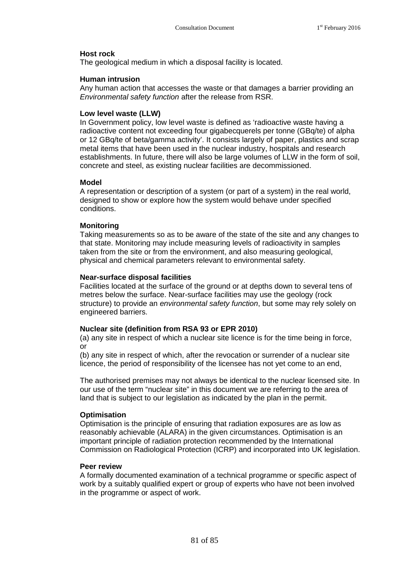#### **Host rock**

The geological medium in which a disposal facility is located.

#### **Human intrusion**

Any human action that accesses the waste or that damages a barrier providing an *Environmental safety function* after the release from RSR.

#### **Low level waste (LLW)**

In Government policy, low level waste is defined as 'radioactive waste having a radioactive content not exceeding four gigabecquerels per tonne (GBq/te) of alpha or 12 GBq/te of beta/gamma activity'. It consists largely of paper, plastics and scrap metal items that have been used in the nuclear industry, hospitals and research establishments. In future, there will also be large volumes of LLW in the form of soil, concrete and steel, as existing nuclear facilities are decommissioned.

#### **Model**

A representation or description of a system (or part of a system) in the real world, designed to show or explore how the system would behave under specified conditions.

#### **Monitoring**

Taking measurements so as to be aware of the state of the site and any changes to that state. Monitoring may include measuring levels of radioactivity in samples taken from the site or from the environment, and also measuring geological, physical and chemical parameters relevant to environmental safety.

#### **Near-surface disposal facilities**

Facilities located at the surface of the ground or at depths down to several tens of metres below the surface. Near-surface facilities may use the geology (rock structure) to provide an *environmental safety function*, but some may rely solely on engineered barriers.

#### **Nuclear site (definition from RSA 93 or EPR 2010)**

(a) any site in respect of which a nuclear site licence is for the time being in force, or

(b) any site in respect of which, after the revocation or surrender of a nuclear site licence, the period of responsibility of the licensee has not yet come to an end,

The authorised premises may not always be identical to the nuclear licensed site. In our use of the term "nuclear site" in this document we are referring to the area of land that is subject to our legislation as indicated by the plan in the permit.

#### **Optimisation**

Optimisation is the principle of ensuring that radiation exposures are as low as reasonably achievable (ALARA) in the given circumstances. Optimisation is an important principle of radiation protection recommended by the International Commission on Radiological Protection (ICRP) and incorporated into UK legislation.

#### **Peer review**

A formally documented examination of a technical programme or specific aspect of work by a suitably qualified expert or group of experts who have not been involved in the programme or aspect of work.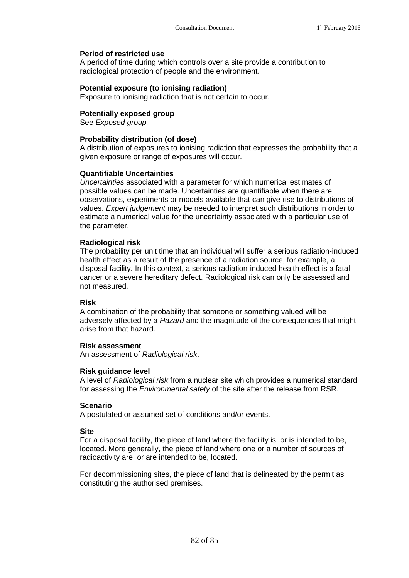# **Period of restricted use**

A period of time during which controls over a site provide a contribution to radiological protection of people and the environment.

#### **Potential exposure (to ionising radiation)**

Exposure to ionising radiation that is not certain to occur.

#### **Potentially exposed group**

See *Exposed group.*

#### **Probability distribution (of dose)**

A distribution of exposures to ionising radiation that expresses the probability that a given exposure or range of exposures will occur.

#### **Quantifiable Uncertainties**

*Uncertainties* associated with a parameter for which numerical estimates of possible values can be made. Uncertainties are quantifiable when there are observations, experiments or models available that can give rise to distributions of values. *Expert judgement* may be needed to interpret such distributions in order to estimate a numerical value for the uncertainty associated with a particular use of the parameter.

#### **Radiological risk**

The probability per unit time that an individual will suffer a serious radiation-induced health effect as a result of the presence of a radiation source, for example, a disposal facility. In this context, a serious radiation-induced health effect is a fatal cancer or a severe hereditary defect. Radiological risk can only be assessed and not measured.

#### **Risk**

A combination of the probability that someone or something valued will be adversely affected by a *Hazard* and the magnitude of the consequences that might arise from that hazard.

#### **Risk assessment**

An assessment of *Radiological risk*.

#### **Risk guidance level**

A level of *Radiological risk* from a nuclear site which provides a numerical standard for assessing the *Environmental safety* of the site after the release from RSR.

#### **Scenario**

A postulated or assumed set of conditions and/or events.

#### **Site**

For a disposal facility, the piece of land where the facility is, or is intended to be, located. More generally, the piece of land where one or a number of sources of radioactivity are, or are intended to be, located.

For decommissioning sites, the piece of land that is delineated by the permit as constituting the authorised premises.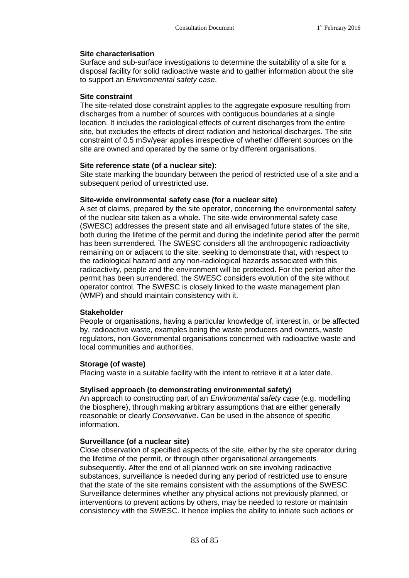#### **Site characterisation**

Surface and sub-surface investigations to determine the suitability of a site for a disposal facility for solid radioactive waste and to gather information about the site to support an *Environmental safety case*.

#### **Site constraint**

The site-related dose constraint applies to the aggregate exposure resulting from discharges from a number of sources with contiguous boundaries at a single location. It includes the radiological effects of current discharges from the entire site, but excludes the effects of direct radiation and historical discharges. The site constraint of 0.5 mSv/year applies irrespective of whether different sources on the site are owned and operated by the same or by different organisations.

#### **Site reference state (of a nuclear site):**

Site state marking the boundary between the period of restricted use of a site and a subsequent period of unrestricted use.

#### **Site-wide environmental safety case (for a nuclear site)**

A set of claims, prepared by the site operator, concerning the environmental safety of the nuclear site taken as a whole. The site-wide environmental safety case (SWESC) addresses the present state and all envisaged future states of the site, both during the lifetime of the permit and during the indefinite period after the permit has been surrendered. The SWESC considers all the anthropogenic radioactivity remaining on or adjacent to the site, seeking to demonstrate that, with respect to the radiological hazard and any non-radiological hazards associated with this radioactivity, people and the environment will be protected. For the period after the permit has been surrendered, the SWESC considers evolution of the site without operator control. The SWESC is closely linked to the waste management plan (WMP) and should maintain consistency with it.

#### **Stakeholder**

People or organisations, having a particular knowledge of, interest in, or be affected by, radioactive waste, examples being the waste producers and owners, waste regulators, non-Governmental organisations concerned with radioactive waste and local communities and authorities.

#### **Storage (of waste)**

Placing waste in a suitable facility with the intent to retrieve it at a later date.

#### **Stylised approach (to demonstrating environmental safety)**

An approach to constructing part of an *Environmental safety case* (e.g. modelling the biosphere), through making arbitrary assumptions that are either generally reasonable or clearly *Conservative*. Can be used in the absence of specific information.

#### **Surveillance (of a nuclear site)**

Close observation of specified aspects of the site, either by the site operator during the lifetime of the permit, or through other organisational arrangements subsequently. After the end of all planned work on site involving radioactive substances, surveillance is needed during any period of restricted use to ensure that the state of the site remains consistent with the assumptions of the SWESC. Surveillance determines whether any physical actions not previously planned, or interventions to prevent actions by others, may be needed to restore or maintain consistency with the SWESC. It hence implies the ability to initiate such actions or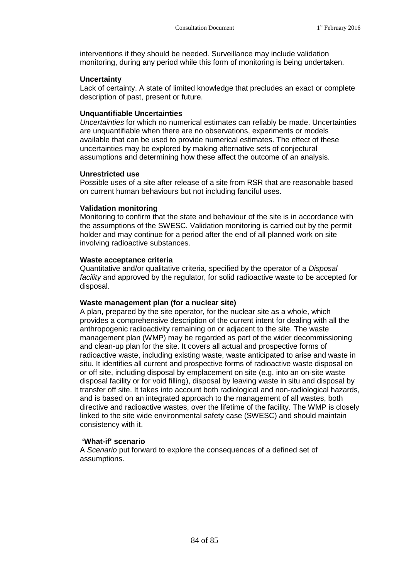interventions if they should be needed. Surveillance may include validation monitoring, during any period while this form of monitoring is being undertaken.

#### **Uncertainty**

Lack of certainty. A state of limited knowledge that precludes an exact or complete description of past, present or future.

#### **Unquantifiable Uncertainties**

*Uncertainties* for which no numerical estimates can reliably be made. Uncertainties are unquantifiable when there are no observations, experiments or models available that can be used to provide numerical estimates. The effect of these uncertainties may be explored by making alternative sets of conjectural assumptions and determining how these affect the outcome of an analysis.

#### **Unrestricted use**

Possible uses of a site after release of a site from RSR that are reasonable based on current human behaviours but not including fanciful uses.

#### **Validation monitoring**

Monitoring to confirm that the state and behaviour of the site is in accordance with the assumptions of the SWESC. Validation monitoring is carried out by the permit holder and may continue for a period after the end of all planned work on site involving radioactive substances.

#### **Waste acceptance criteria**

Quantitative and/or qualitative criteria, specified by the operator of a *Disposal facility* and approved by the regulator, for solid radioactive waste to be accepted for disposal.

#### **Waste management plan (for a nuclear site)**

A plan, prepared by the site operator, for the nuclear site as a whole, which provides a comprehensive description of the current intent for dealing with all the anthropogenic radioactivity remaining on or adjacent to the site. The waste management plan (WMP) may be regarded as part of the wider decommissioning and clean-up plan for the site. It covers all actual and prospective forms of radioactive waste, including existing waste, waste anticipated to arise and waste in situ. It identifies all current and prospective forms of radioactive waste disposal on or off site, including disposal by emplacement on site (e.g. into an on-site waste disposal facility or for void filling), disposal by leaving waste in situ and disposal by transfer off site. It takes into account both radiological and non-radiological hazards, and is based on an integrated approach to the management of all wastes, both directive and radioactive wastes, over the lifetime of the facility. The WMP is closely linked to the site wide environmental safety case (SWESC) and should maintain consistency with it.

#### **'What-if' scenario**

A *Scenario* put forward to explore the consequences of a defined set of assumptions.